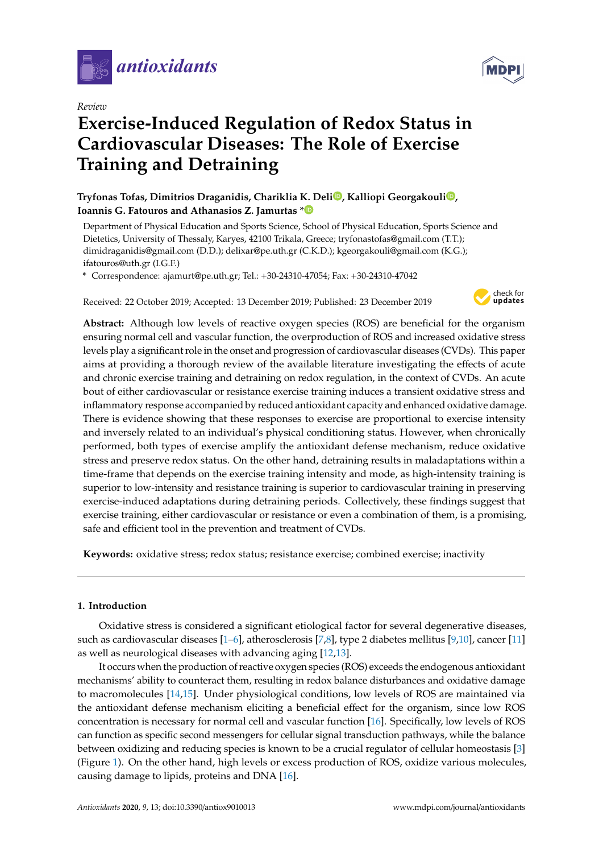

*Review*

# **Exercise-Induced Regulation of Redox Status in Cardiovascular Diseases: The Role of Exercise Training and Detraining**

**Tryfonas Tofas, Dimitrios Draganidis, Chariklia K. Deli [,](https://orcid.org/0000-0002-5762-8419) Kalliopi Georgakouli [,](https://orcid.org/0000-0001-5545-9271) Ioannis G. Fatouros and Athanasios Z. Jamurtas [\\*](https://orcid.org/0000-0001-5115-9490)**

Department of Physical Education and Sports Science, School of Physical Education, Sports Science and Dietetics, University of Thessaly, Karyes, 42100 Trikala, Greece; tryfonastofas@gmail.com (T.T.); dimidraganidis@gmail.com (D.D.); delixar@pe.uth.gr (C.K.D.); kgeorgakouli@gmail.com (K.G.); ifatouros@uth.gr (I.G.F.)

**\*** Correspondence: ajamurt@pe.uth.gr; Tel.: +30-24310-47054; Fax: +30-24310-47042

Received: 22 October 2019; Accepted: 13 December 2019; Published: 23 December 2019



**Abstract:** Although low levels of reactive oxygen species (ROS) are beneficial for the organism ensuring normal cell and vascular function, the overproduction of ROS and increased oxidative stress levels play a significant role in the onset and progression of cardiovascular diseases (CVDs). This paper aims at providing a thorough review of the available literature investigating the effects of acute and chronic exercise training and detraining on redox regulation, in the context of CVDs. An acute bout of either cardiovascular or resistance exercise training induces a transient oxidative stress and inflammatory response accompanied by reduced antioxidant capacity and enhanced oxidative damage. There is evidence showing that these responses to exercise are proportional to exercise intensity and inversely related to an individual's physical conditioning status. However, when chronically performed, both types of exercise amplify the antioxidant defense mechanism, reduce oxidative stress and preserve redox status. On the other hand, detraining results in maladaptations within a time-frame that depends on the exercise training intensity and mode, as high-intensity training is superior to low-intensity and resistance training is superior to cardiovascular training in preserving exercise-induced adaptations during detraining periods. Collectively, these findings suggest that exercise training, either cardiovascular or resistance or even a combination of them, is a promising, safe and efficient tool in the prevention and treatment of CVDs.

**Keywords:** oxidative stress; redox status; resistance exercise; combined exercise; inactivity

## **1. Introduction**

Oxidative stress is considered a significant etiological factor for several degenerative diseases, such as cardiovascular diseases [\[1–](#page-26-0)[6\]](#page-26-1), atherosclerosis [\[7,](#page-26-2)[8\]](#page-26-3), type 2 diabetes mellitus [\[9,](#page-26-4)[10\]](#page-26-5), cancer [\[11\]](#page-26-6) as well as neurological diseases with advancing aging [\[12,](#page-26-7)[13\]](#page-26-8).

It occurs when the production of reactive oxygen species (ROS) exceeds the endogenous antioxidant mechanisms' ability to counteract them, resulting in redox balance disturbances and oxidative damage to macromolecules [\[14](#page-26-9)[,15\]](#page-27-0). Under physiological conditions, low levels of ROS are maintained via the antioxidant defense mechanism eliciting a beneficial effect for the organism, since low ROS concentration is necessary for normal cell and vascular function [\[16\]](#page-27-1). Specifically, low levels of ROS can function as specific second messengers for cellular signal transduction pathways, while the balance between oxidizing and reducing species is known to be a crucial regulator of cellular homeostasis [\[3\]](#page-26-10) (Figure [1\)](#page-1-0). On the other hand, high levels or excess production of ROS, oxidize various molecules, causing damage to lipids, proteins and DNA [\[16\]](#page-27-1).

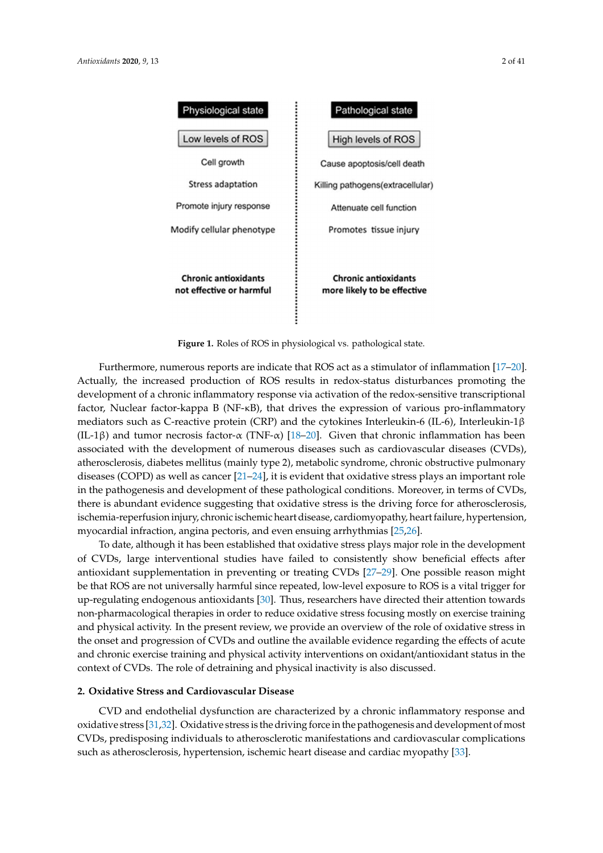<span id="page-1-0"></span>

**Figure 1.** Roles of ROS in physiological vs. pathological state. **Figure 1.** Roles of ROS in physiological vs. pathological state.

Furthermore, numerous reports are indicate that ROS act as a stimulator of inflammation [\[17–](#page-27-2)[20\]](#page-27-3). Actually, the increased production of ROS results in redox-status disturbances promoting the development of a chronic inflammatory response via activation of the redox-sensitive transcriptional factor, Nuclear factor-kappa B (NF-κB), that drives the expression of various pro-inflammatory mediators such as C-reactive protein (CRP) and the cytokines Interleukin-6 (IL-6), Interleukin-1β (IL-1β) and tumor necrosis factor-α (TNF-α) [\[18](#page-27-4)[–20\]](#page-27-3). Given that chronic inflammation has been associated with the development of numerous diseases such as cardiovascular diseases (CVDs), atherosclerosis, diabetes mellitus (mainly type 2), metabolic syndrome, chronic obstructive pulmonary diseases (COPD) as well as cancer [\[21](#page-27-5)[–24\]](#page-27-6), it is evident that oxidative stress plays an important role in the pathogenesis and development of these pathological conditions. Moreover, in terms of CVDs, there is abundant evidence suggesting that oxidative stress is the driving force for atherosclerosis, ischemia-reperfusion injury, chronic ischemic heart disease, cardiomyopathy, heart failure, hypertension, myocardial infraction, angina pectoris, and even ensuing arrhythmias [\[25,](#page-27-7)[26\]](#page-27-8).

To date, although it has been established that oxidative stress plays major role in the development of CVDs, large interventional studies have failed to consistently show beneficial effects after antioxidant supplementation in preventing or treating CVDs [\[27–](#page-27-9)[29\]](#page-27-10). One possible reason might be that ROS are not universally harmful since repeated, low-level exposure to ROS is a vital trigger for up-regulating endogenous antioxidants [\[30\]](#page-27-11). Thus, researchers have directed their attention towards non-pharmacological therapies in order to reduce oxidative stress focusing mostly on exercise training and physical activity. In the present review, we provide an overview of the role of oxidative stress in the onset and progression of CVDs and outline the available evidence regarding the effects of acute and chronic exercise training and physical activity interventions on oxidant/antioxidant status in the context of CVDs. The role of detraining and physical inactivity is also discussed. physical activity interventions on oxidant status in the context of  $C$ 

## 2. Oxidative Stress and Cardiovascular Disease

**2. CVD** and endothelial dysfunction are characterized by a chronic inflammatory response and  $\frac{1}{2}$ CVDs, predisposing individuals to atherosclerotic manifestations and cardiovascular complications such as atherosclerosis, hypertension, ischemic heart disease and cardiac myopathy [33]. oxidative stress [\[31](#page-27-12)[,32\]](#page-27-13). Oxidative stress is the driving force in the pathogenesis and development of most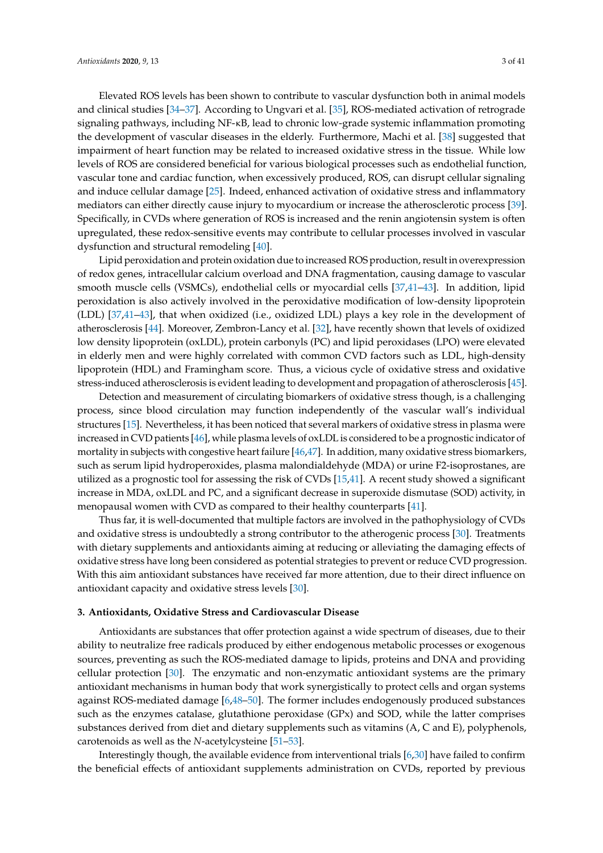Elevated ROS levels has been shown to contribute to vascular dysfunction both in animal models and clinical studies [\[34–](#page-27-15)[37\]](#page-27-16). According to Ungvari et al. [\[35\]](#page-27-17), ROS-mediated activation of retrograde signaling pathways, including NF-κB, lead to chronic low-grade systemic inflammation promoting the development of vascular diseases in the elderly. Furthermore, Machi et al. [\[38\]](#page-27-18) suggested that impairment of heart function may be related to increased oxidative stress in the tissue. While low levels of ROS are considered beneficial for various biological processes such as endothelial function, vascular tone and cardiac function, when excessively produced, ROS, can disrupt cellular signaling and induce cellular damage [\[25\]](#page-27-7). Indeed, enhanced activation of oxidative stress and inflammatory mediators can either directly cause injury to myocardium or increase the atherosclerotic process [\[39\]](#page-28-0). Specifically, in CVDs where generation of ROS is increased and the renin angiotensin system is often upregulated, these redox-sensitive events may contribute to cellular processes involved in vascular dysfunction and structural remodeling [\[40\]](#page-28-1).

Lipid peroxidation and protein oxidation due to increased ROS production, result in overexpression of redox genes, intracellular calcium overload and DNA fragmentation, causing damage to vascular smooth muscle cells (VSMCs), endothelial cells or myocardial cells [\[37,](#page-27-16)[41–](#page-28-2)[43\]](#page-28-3). In addition, lipid peroxidation is also actively involved in the peroxidative modification of low-density lipoprotein (LDL) [\[37,](#page-27-16)[41–](#page-28-2)[43\]](#page-28-3), that when oxidized (i.e., oxidized LDL) plays a key role in the development of atherosclerosis [\[44\]](#page-28-4). Moreover, Zembron-Lancy et al. [\[32\]](#page-27-13), have recently shown that levels of oxidized low density lipoprotein (oxLDL), protein carbonyls (PC) and lipid peroxidases (LPO) were elevated in elderly men and were highly correlated with common CVD factors such as LDL, high-density lipoprotein (HDL) and Framingham score. Thus, a vicious cycle of oxidative stress and oxidative stress-induced atherosclerosis is evident leading to development and propagation of atherosclerosis [\[45\]](#page-28-5).

Detection and measurement of circulating biomarkers of oxidative stress though, is a challenging process, since blood circulation may function independently of the vascular wall's individual structures [\[15\]](#page-27-0). Nevertheless, it has been noticed that several markers of oxidative stress in plasma were increased in CVD patients [\[46\]](#page-28-6), while plasma levels of oxLDL is considered to be a prognostic indicator of mortality in subjects with congestive heart failure [\[46,](#page-28-6)[47\]](#page-28-7). In addition, many oxidative stress biomarkers, such as serum lipid hydroperoxides, plasma malondialdehyde (MDA) or urine F2-isoprostanes, are utilized as a prognostic tool for assessing the risk of CVDs [\[15,](#page-27-0)[41\]](#page-28-2). A recent study showed a significant increase in MDA, oxLDL and PC, and a significant decrease in superoxide dismutase (SOD) activity, in menopausal women with CVD as compared to their healthy counterparts [\[41\]](#page-28-2).

Thus far, it is well-documented that multiple factors are involved in the pathophysiology of CVDs and oxidative stress is undoubtedly a strong contributor to the atherogenic process [\[30\]](#page-27-11). Treatments with dietary supplements and antioxidants aiming at reducing or alleviating the damaging effects of oxidative stress have long been considered as potential strategies to prevent or reduce CVD progression. With this aim antioxidant substances have received far more attention, due to their direct influence on antioxidant capacity and oxidative stress levels [\[30\]](#page-27-11).

#### **3. Antioxidants, Oxidative Stress and Cardiovascular Disease**

Antioxidants are substances that offer protection against a wide spectrum of diseases, due to their ability to neutralize free radicals produced by either endogenous metabolic processes or exogenous sources, preventing as such the ROS-mediated damage to lipids, proteins and DNA and providing cellular protection [\[30\]](#page-27-11). The enzymatic and non-enzymatic antioxidant systems are the primary antioxidant mechanisms in human body that work synergistically to protect cells and organ systems against ROS-mediated damage [\[6,](#page-26-1)[48–](#page-28-8)[50\]](#page-28-9). The former includes endogenously produced substances such as the enzymes catalase, glutathione peroxidase (GPx) and SOD, while the latter comprises substances derived from diet and dietary supplements such as vitamins (A, C and E), polyphenols, carotenoids as well as the *N*-acetylcysteine [\[51–](#page-28-10)[53\]](#page-28-11).

Interestingly though, the available evidence from interventional trials [\[6,](#page-26-1)[30\]](#page-27-11) have failed to confirm the beneficial effects of antioxidant supplements administration on CVDs, reported by previous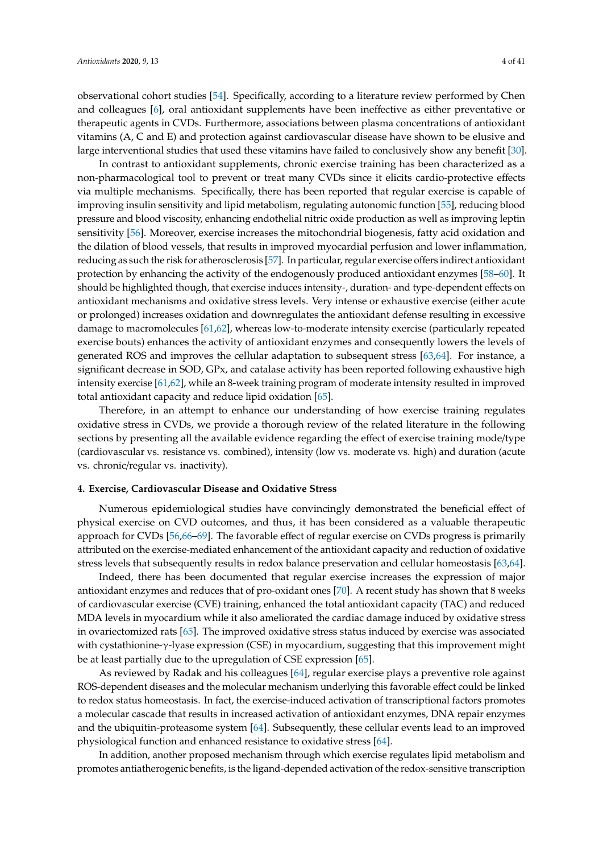observational cohort studies [\[54\]](#page-28-12). Specifically, according to a literature review performed by Chen and colleagues [\[6\]](#page-26-1), oral antioxidant supplements have been ineffective as either preventative or therapeutic agents in CVDs. Furthermore, associations between plasma concentrations of antioxidant vitamins (A, C and E) and protection against cardiovascular disease have shown to be elusive and large interventional studies that used these vitamins have failed to conclusively show any benefit [\[30\]](#page-27-11).

In contrast to antioxidant supplements, chronic exercise training has been characterized as a non-pharmacological tool to prevent or treat many CVDs since it elicits cardio-protective effects via multiple mechanisms. Specifically, there has been reported that regular exercise is capable of improving insulin sensitivity and lipid metabolism, regulating autonomic function [\[55\]](#page-28-13), reducing blood pressure and blood viscosity, enhancing endothelial nitric oxide production as well as improving leptin sensitivity [\[56\]](#page-28-14). Moreover, exercise increases the mitochondrial biogenesis, fatty acid oxidation and the dilation of blood vessels, that results in improved myocardial perfusion and lower inflammation, reducing as such the risk for atherosclerosis [\[57\]](#page-28-15). In particular, regular exercise offers indirect antioxidant protection by enhancing the activity of the endogenously produced antioxidant enzymes [\[58–](#page-28-16)[60\]](#page-28-17). It should be highlighted though, that exercise induces intensity-, duration- and type-dependent effects on antioxidant mechanisms and oxidative stress levels. Very intense or exhaustive exercise (either acute or prolonged) increases oxidation and downregulates the antioxidant defense resulting in excessive damage to macromolecules [\[61](#page-28-18)[,62\]](#page-29-0), whereas low-to-moderate intensity exercise (particularly repeated exercise bouts) enhances the activity of antioxidant enzymes and consequently lowers the levels of generated ROS and improves the cellular adaptation to subsequent stress [\[63,](#page-29-1)[64\]](#page-29-2). For instance, a significant decrease in SOD, GPx, and catalase activity has been reported following exhaustive high intensity exercise [\[61,](#page-28-18)[62\]](#page-29-0), while an 8-week training program of moderate intensity resulted in improved total antioxidant capacity and reduce lipid oxidation [\[65\]](#page-29-3).

Therefore, in an attempt to enhance our understanding of how exercise training regulates oxidative stress in CVDs, we provide a thorough review of the related literature in the following sections by presenting all the available evidence regarding the effect of exercise training mode/type (cardiovascular vs. resistance vs. combined), intensity (low vs. moderate vs. high) and duration (acute vs. chronic/regular vs. inactivity).

## **4. Exercise, Cardiovascular Disease and Oxidative Stress**

Numerous epidemiological studies have convincingly demonstrated the beneficial effect of physical exercise on CVD outcomes, and thus, it has been considered as a valuable therapeutic approach for CVDs [\[56](#page-28-14)[,66–](#page-29-4)[69\]](#page-29-5). The favorable effect of regular exercise on CVDs progress is primarily attributed on the exercise-mediated enhancement of the antioxidant capacity and reduction of oxidative stress levels that subsequently results in redox balance preservation and cellular homeostasis [\[63](#page-29-1)[,64\]](#page-29-2).

Indeed, there has been documented that regular exercise increases the expression of major antioxidant enzymes and reduces that of pro-oxidant ones [\[70\]](#page-29-6). A recent study has shown that 8 weeks of cardiovascular exercise (CVE) training, enhanced the total antioxidant capacity (TAC) and reduced MDA levels in myocardium while it also ameliorated the cardiac damage induced by oxidative stress in ovariectomized rats [\[65\]](#page-29-3). The improved oxidative stress status induced by exercise was associated with cystathionine-γ-lyase expression (CSE) in myocardium, suggesting that this improvement might be at least partially due to the upregulation of CSE expression [\[65\]](#page-29-3).

As reviewed by Radak and his colleagues [\[64\]](#page-29-2), regular exercise plays a preventive role against ROS-dependent diseases and the molecular mechanism underlying this favorable effect could be linked to redox status homeostasis. In fact, the exercise-induced activation of transcriptional factors promotes a molecular cascade that results in increased activation of antioxidant enzymes, DNA repair enzymes and the ubiquitin-proteasome system [\[64\]](#page-29-2). Subsequently, these cellular events lead to an improved physiological function and enhanced resistance to oxidative stress [\[64\]](#page-29-2).

In addition, another proposed mechanism through which exercise regulates lipid metabolism and promotes antiatherogenic benefits, is the ligand-depended activation of the redox-sensitive transcription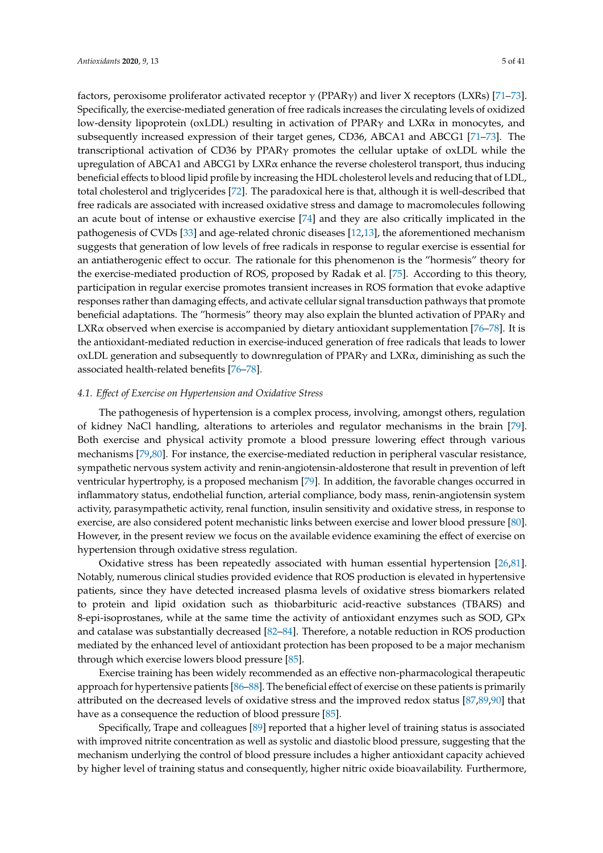factors, peroxisome proliferator activated receptor  $\gamma$  (PPAR $\gamma$ ) and liver X receptors (LXRs) [\[71–](#page-29-7)[73\]](#page-29-8). Specifically, the exercise-mediated generation of free radicals increases the circulating levels of oxidized low-density lipoprotein (oxLDL) resulting in activation of PPARγ and LXRα in monocytes, and subsequently increased expression of their target genes, CD36, ABCA1 and ABCG1 [\[71–](#page-29-7)[73\]](#page-29-8). The transcriptional activation of CD36 by PPARγ promotes the cellular uptake of oxLDL while the upregulation of ABCA1 and ABCG1 by LXRα enhance the reverse cholesterol transport, thus inducing beneficial effects to blood lipid profile by increasing the HDL cholesterol levels and reducing that of LDL, total cholesterol and triglycerides [\[72\]](#page-29-9). The paradoxical here is that, although it is well-described that free radicals are associated with increased oxidative stress and damage to macromolecules following an acute bout of intense or exhaustive exercise [\[74\]](#page-29-10) and they are also critically implicated in the pathogenesis of CVDs [\[33\]](#page-27-14) and age-related chronic diseases [\[12](#page-26-7)[,13\]](#page-26-8), the aforementioned mechanism suggests that generation of low levels of free radicals in response to regular exercise is essential for an antiatherogenic effect to occur. The rationale for this phenomenon is the "hormesis" theory for the exercise-mediated production of ROS, proposed by Radak et al. [\[75\]](#page-29-11). According to this theory, participation in regular exercise promotes transient increases in ROS formation that evoke adaptive responses rather than damaging effects, and activate cellular signal transduction pathways that promote beneficial adaptations. The "hormesis" theory may also explain the blunted activation of PPARγ and LXR $\alpha$  observed when exercise is accompanied by dietary antioxidant supplementation [\[76](#page-29-12)[–78\]](#page-29-13). It is the antioxidant-mediated reduction in exercise-induced generation of free radicals that leads to lower oxLDL generation and subsequently to downregulation of PPARγ and LXRα, diminishing as such the associated health-related benefits [\[76](#page-29-12)[–78\]](#page-29-13).

## *4.1. E*ff*ect of Exercise on Hypertension and Oxidative Stress*

The pathogenesis of hypertension is a complex process, involving, amongst others, regulation of kidney NaCl handling, alterations to arterioles and regulator mechanisms in the brain [\[79\]](#page-29-14). Both exercise and physical activity promote a blood pressure lowering effect through various mechanisms [\[79,](#page-29-14)[80\]](#page-29-15). For instance, the exercise-mediated reduction in peripheral vascular resistance, sympathetic nervous system activity and renin-angiotensin-aldosterone that result in prevention of left ventricular hypertrophy, is a proposed mechanism [\[79\]](#page-29-14). In addition, the favorable changes occurred in inflammatory status, endothelial function, arterial compliance, body mass, renin-angiotensin system activity, parasympathetic activity, renal function, insulin sensitivity and oxidative stress, in response to exercise, are also considered potent mechanistic links between exercise and lower blood pressure [\[80\]](#page-29-15). However, in the present review we focus on the available evidence examining the effect of exercise on hypertension through oxidative stress regulation.

Oxidative stress has been repeatedly associated with human essential hypertension [\[26,](#page-27-8)[81\]](#page-29-16). Notably, numerous clinical studies provided evidence that ROS production is elevated in hypertensive patients, since they have detected increased plasma levels of oxidative stress biomarkers related to protein and lipid oxidation such as thiobarbituric acid-reactive substances (TBARS) and 8-epi-isoprostanes, while at the same time the activity of antioxidant enzymes such as SOD, GPx and catalase was substantially decreased [\[82–](#page-29-17)[84\]](#page-30-0). Therefore, a notable reduction in ROS production mediated by the enhanced level of antioxidant protection has been proposed to be a major mechanism through which exercise lowers blood pressure [\[85\]](#page-30-1).

Exercise training has been widely recommended as an effective non-pharmacological therapeutic approach for hypertensive patients [\[86–](#page-30-2)[88\]](#page-30-3). The beneficial effect of exercise on these patients is primarily attributed on the decreased levels of oxidative stress and the improved redox status [\[87,](#page-30-4)[89](#page-30-5)[,90\]](#page-30-6) that have as a consequence the reduction of blood pressure [\[85\]](#page-30-1).

Specifically, Trape and colleagues [\[89\]](#page-30-5) reported that a higher level of training status is associated with improved nitrite concentration as well as systolic and diastolic blood pressure, suggesting that the mechanism underlying the control of blood pressure includes a higher antioxidant capacity achieved by higher level of training status and consequently, higher nitric oxide bioavailability. Furthermore,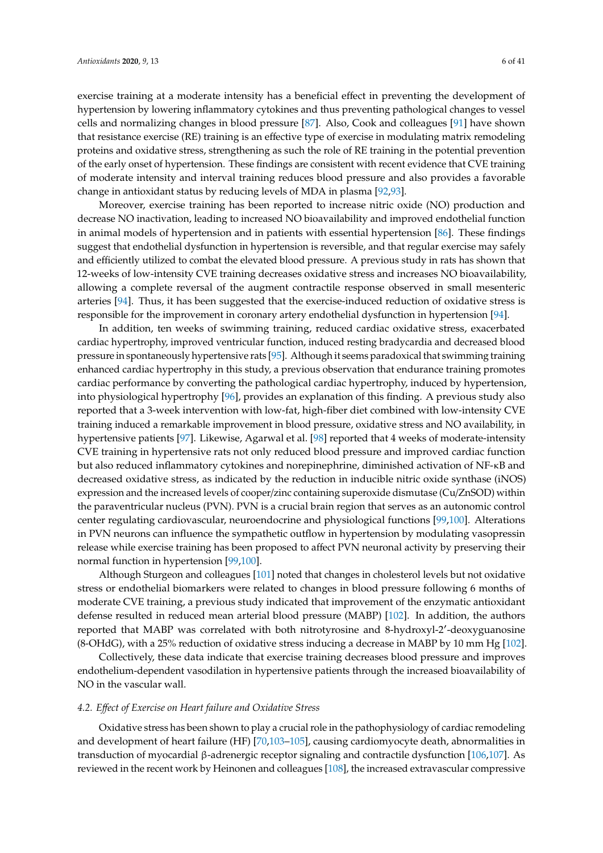exercise training at a moderate intensity has a beneficial effect in preventing the development of hypertension by lowering inflammatory cytokines and thus preventing pathological changes to vessel cells and normalizing changes in blood pressure [\[87\]](#page-30-4). Also, Cook and colleagues [\[91\]](#page-30-7) have shown that resistance exercise (RE) training is an effective type of exercise in modulating matrix remodeling proteins and oxidative stress, strengthening as such the role of RE training in the potential prevention of the early onset of hypertension. These findings are consistent with recent evidence that CVE training of moderate intensity and interval training reduces blood pressure and also provides a favorable change in antioxidant status by reducing levels of MDA in plasma [\[92](#page-30-8)[,93\]](#page-30-9).

Moreover, exercise training has been reported to increase nitric oxide (NO) production and decrease NO inactivation, leading to increased NO bioavailability and improved endothelial function in animal models of hypertension and in patients with essential hypertension [\[86\]](#page-30-2). These findings suggest that endothelial dysfunction in hypertension is reversible, and that regular exercise may safely and efficiently utilized to combat the elevated blood pressure. A previous study in rats has shown that 12-weeks of low-intensity CVE training decreases oxidative stress and increases NO bioavailability, allowing a complete reversal of the augment contractile response observed in small mesenteric arteries [\[94\]](#page-30-10). Thus, it has been suggested that the exercise-induced reduction of oxidative stress is responsible for the improvement in coronary artery endothelial dysfunction in hypertension [\[94\]](#page-30-10).

In addition, ten weeks of swimming training, reduced cardiac oxidative stress, exacerbated cardiac hypertrophy, improved ventricular function, induced resting bradycardia and decreased blood pressure in spontaneously hypertensive rats [\[95\]](#page-30-11). Although it seems paradoxical that swimming training enhanced cardiac hypertrophy in this study, a previous observation that endurance training promotes cardiac performance by converting the pathological cardiac hypertrophy, induced by hypertension, into physiological hypertrophy [\[96\]](#page-30-12), provides an explanation of this finding. A previous study also reported that a 3-week intervention with low-fat, high-fiber diet combined with low-intensity CVE training induced a remarkable improvement in blood pressure, oxidative stress and NO availability, in hypertensive patients [\[97\]](#page-30-13). Likewise, Agarwal et al. [\[98\]](#page-30-14) reported that 4 weeks of moderate-intensity CVE training in hypertensive rats not only reduced blood pressure and improved cardiac function but also reduced inflammatory cytokines and norepinephrine, diminished activation of NF-κB and decreased oxidative stress, as indicated by the reduction in inducible nitric oxide synthase (iNOS) expression and the increased levels of cooper/zinc containing superoxide dismutase (Cu/ZnSOD) within the paraventricular nucleus (PVN). PVN is a crucial brain region that serves as an autonomic control center regulating cardiovascular, neuroendocrine and physiological functions [\[99,](#page-30-15)[100\]](#page-30-16). Alterations in PVN neurons can influence the sympathetic outflow in hypertension by modulating vasopressin release while exercise training has been proposed to affect PVN neuronal activity by preserving their normal function in hypertension [\[99](#page-30-15)[,100\]](#page-30-16).

Although Sturgeon and colleagues [\[101\]](#page-31-0) noted that changes in cholesterol levels but not oxidative stress or endothelial biomarkers were related to changes in blood pressure following 6 months of moderate CVE training, a previous study indicated that improvement of the enzymatic antioxidant defense resulted in reduced mean arterial blood pressure (MABP) [\[102\]](#page-31-1). In addition, the authors reported that MABP was correlated with both nitrotyrosine and 8-hydroxyl-2'-deoxyguanosine (8-OHdG), with a 25% reduction of oxidative stress inducing a decrease in MABP by 10 mm Hg [\[102\]](#page-31-1).

Collectively, these data indicate that exercise training decreases blood pressure and improves endothelium-dependent vasodilation in hypertensive patients through the increased bioavailability of NO in the vascular wall.

#### *4.2. E*ff*ect of Exercise on Heart failure and Oxidative Stress*

Oxidative stress has been shown to play a crucial role in the pathophysiology of cardiac remodeling and development of heart failure (HF) [\[70](#page-29-6)[,103–](#page-31-2)[105\]](#page-31-3), causing cardiomyocyte death, abnormalities in transduction of myocardial β-adrenergic receptor signaling and contractile dysfunction [\[106,](#page-31-4)[107\]](#page-31-5). As reviewed in the recent work by Heinonen and colleagues [\[108\]](#page-31-6), the increased extravascular compressive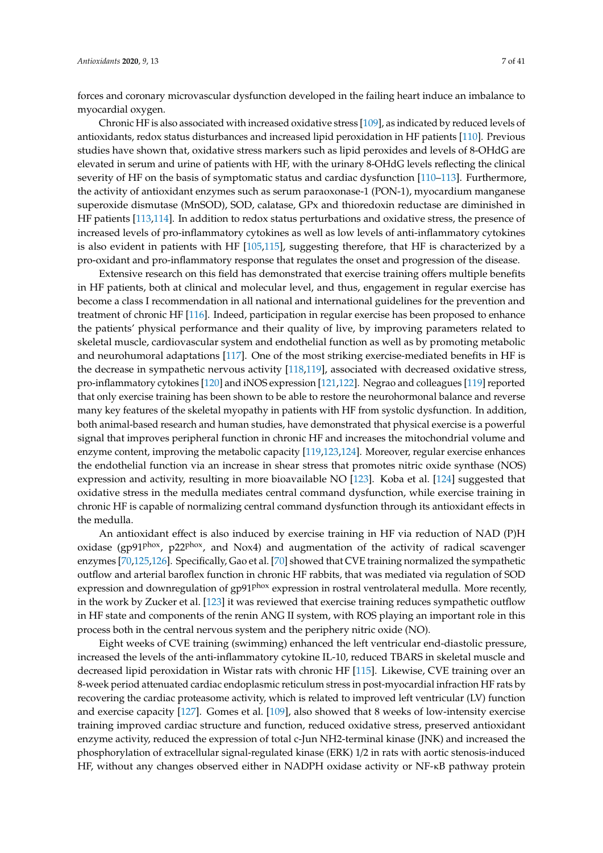forces and coronary microvascular dysfunction developed in the failing heart induce an imbalance to myocardial oxygen.

Chronic HF is also associated with increased oxidative stress [\[109\]](#page-31-7), as indicated by reduced levels of antioxidants, redox status disturbances and increased lipid peroxidation in HF patients [\[110\]](#page-31-8). Previous studies have shown that, oxidative stress markers such as lipid peroxides and levels of 8-OHdG are elevated in serum and urine of patients with HF, with the urinary 8-OHdG levels reflecting the clinical severity of HF on the basis of symptomatic status and cardiac dysfunction [\[110–](#page-31-8)[113\]](#page-31-9). Furthermore, the activity of antioxidant enzymes such as serum paraoxonase-1 (PON-1), myocardium manganese superoxide dismutase (MnSOD), SOD, calatase, GPx and thioredoxin reductase are diminished in HF patients [\[113](#page-31-9)[,114\]](#page-31-10). In addition to redox status perturbations and oxidative stress, the presence of increased levels of pro-inflammatory cytokines as well as low levels of anti-inflammatory cytokines is also evident in patients with HF [\[105,](#page-31-3)[115\]](#page-31-11), suggesting therefore, that HF is characterized by a pro-oxidant and pro-inflammatory response that regulates the onset and progression of the disease.

Extensive research on this field has demonstrated that exercise training offers multiple benefits in HF patients, both at clinical and molecular level, and thus, engagement in regular exercise has become a class I recommendation in all national and international guidelines for the prevention and treatment of chronic HF [\[116\]](#page-31-12). Indeed, participation in regular exercise has been proposed to enhance the patients' physical performance and their quality of live, by improving parameters related to skeletal muscle, cardiovascular system and endothelial function as well as by promoting metabolic and neurohumoral adaptations [\[117\]](#page-31-13). One of the most striking exercise-mediated benefits in HF is the decrease in sympathetic nervous activity [\[118,](#page-31-14)[119\]](#page-31-15), associated with decreased oxidative stress, pro-inflammatory cytokines [\[120\]](#page-32-0) and iNOS expression [\[121,](#page-32-1)[122\]](#page-32-2). Negrao and colleagues [\[119\]](#page-31-15) reported that only exercise training has been shown to be able to restore the neurohormonal balance and reverse many key features of the skeletal myopathy in patients with HF from systolic dysfunction. In addition, both animal-based research and human studies, have demonstrated that physical exercise is a powerful signal that improves peripheral function in chronic HF and increases the mitochondrial volume and enzyme content, improving the metabolic capacity [\[119](#page-31-15)[,123](#page-32-3)[,124\]](#page-32-4). Moreover, regular exercise enhances the endothelial function via an increase in shear stress that promotes nitric oxide synthase (NOS) expression and activity, resulting in more bioavailable NO [\[123\]](#page-32-3). Koba et al. [\[124\]](#page-32-4) suggested that oxidative stress in the medulla mediates central command dysfunction, while exercise training in chronic HF is capable of normalizing central command dysfunction through its antioxidant effects in the medulla.

An antioxidant effect is also induced by exercise training in HF via reduction of NAD (P)H oxidase (gp91 $P<sup>hox</sup>$ , p22 $P<sup>hox</sup>$ , and Nox4) and augmentation of the activity of radical scavenger enzymes [\[70](#page-29-6)[,125](#page-32-5)[,126\]](#page-32-6). Specifically, Gao et al. [\[70\]](#page-29-6) showed that CVE training normalized the sympathetic outflow and arterial baroflex function in chronic HF rabbits, that was mediated via regulation of SOD expression and downregulation of gp91<sup>phox</sup> expression in rostral ventrolateral medulla. More recently, in the work by Zucker et al. [\[123\]](#page-32-3) it was reviewed that exercise training reduces sympathetic outflow in HF state and components of the renin ANG II system, with ROS playing an important role in this process both in the central nervous system and the periphery nitric oxide (NO).

Eight weeks of CVE training (swimming) enhanced the left ventricular end-diastolic pressure, increased the levels of the anti-inflammatory cytokine IL-10, reduced TBARS in skeletal muscle and decreased lipid peroxidation in Wistar rats with chronic HF [\[115\]](#page-31-11). Likewise, CVE training over an 8-week period attenuated cardiac endoplasmic reticulum stress in post-myocardial infraction HF rats by recovering the cardiac proteasome activity, which is related to improved left ventricular (LV) function and exercise capacity [\[127\]](#page-32-7). Gomes et al. [\[109\]](#page-31-7), also showed that 8 weeks of low-intensity exercise training improved cardiac structure and function, reduced oxidative stress, preserved antioxidant enzyme activity, reduced the expression of total c-Jun NH2-terminal kinase (JNK) and increased the phosphorylation of extracellular signal-regulated kinase (ERK) 1/2 in rats with aortic stenosis-induced HF, without any changes observed either in NADPH oxidase activity or NF-κB pathway protein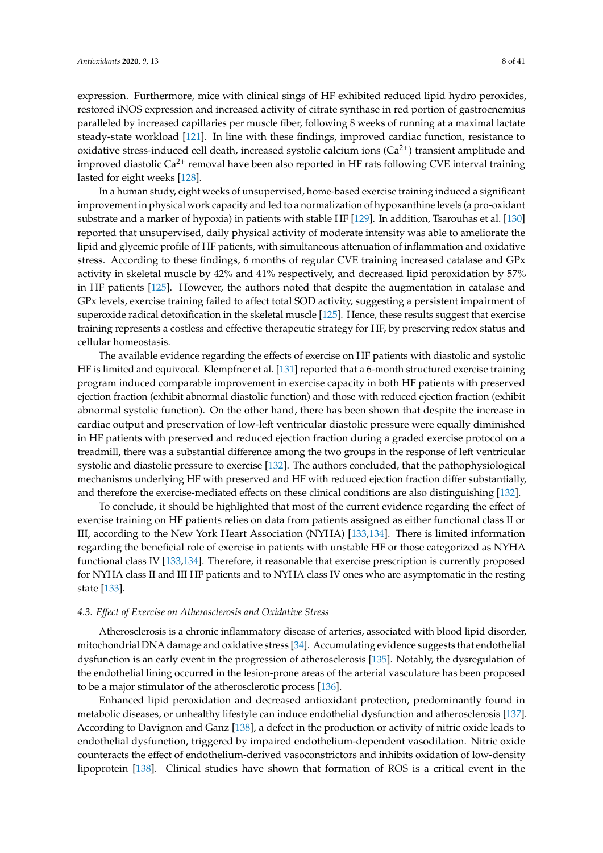expression. Furthermore, mice with clinical sings of HF exhibited reduced lipid hydro peroxides, restored iNOS expression and increased activity of citrate synthase in red portion of gastrocnemius paralleled by increased capillaries per muscle fiber, following 8 weeks of running at a maximal lactate steady-state workload [\[121\]](#page-32-1). In line with these findings, improved cardiac function, resistance to oxidative stress-induced cell death, increased systolic calcium ions  $(Ca^{2+})$  transient amplitude and improved diastolic Ca<sup>2+</sup> removal have been also reported in HF rats following CVE interval training lasted for eight weeks [\[128\]](#page-32-8).

In a human study, eight weeks of unsupervised, home-based exercise training induced a significant improvement in physical work capacity and led to a normalization of hypoxanthine levels (a pro-oxidant substrate and a marker of hypoxia) in patients with stable HF [\[129\]](#page-32-9). In addition, Tsarouhas et al. [\[130\]](#page-32-10) reported that unsupervised, daily physical activity of moderate intensity was able to ameliorate the lipid and glycemic profile of HF patients, with simultaneous attenuation of inflammation and oxidative stress. According to these findings, 6 months of regular CVE training increased catalase and GPx activity in skeletal muscle by 42% and 41% respectively, and decreased lipid peroxidation by 57% in HF patients [\[125\]](#page-32-5). However, the authors noted that despite the augmentation in catalase and GPx levels, exercise training failed to affect total SOD activity, suggesting a persistent impairment of superoxide radical detoxification in the skeletal muscle [\[125\]](#page-32-5). Hence, these results suggest that exercise training represents a costless and effective therapeutic strategy for HF, by preserving redox status and cellular homeostasis.

The available evidence regarding the effects of exercise on HF patients with diastolic and systolic HF is limited and equivocal. Klempfner et al. [\[131\]](#page-32-11) reported that a 6-month structured exercise training program induced comparable improvement in exercise capacity in both HF patients with preserved ejection fraction (exhibit abnormal diastolic function) and those with reduced ejection fraction (exhibit abnormal systolic function). On the other hand, there has been shown that despite the increase in cardiac output and preservation of low-left ventricular diastolic pressure were equally diminished in HF patients with preserved and reduced ejection fraction during a graded exercise protocol on a treadmill, there was a substantial difference among the two groups in the response of left ventricular systolic and diastolic pressure to exercise [\[132\]](#page-32-12). The authors concluded, that the pathophysiological mechanisms underlying HF with preserved and HF with reduced ejection fraction differ substantially, and therefore the exercise-mediated effects on these clinical conditions are also distinguishing [\[132\]](#page-32-12).

To conclude, it should be highlighted that most of the current evidence regarding the effect of exercise training on HF patients relies on data from patients assigned as either functional class II or III, according to the New York Heart Association (NYHA) [\[133,](#page-32-13)[134\]](#page-32-14). There is limited information regarding the beneficial role of exercise in patients with unstable HF or those categorized as NYHA functional class IV [\[133,](#page-32-13)[134\]](#page-32-14). Therefore, it reasonable that exercise prescription is currently proposed for NYHA class II and III HF patients and to NYHA class IV ones who are asymptomatic in the resting state [\[133\]](#page-32-13).

## *4.3. E*ff*ect of Exercise on Atherosclerosis and Oxidative Stress*

Atherosclerosis is a chronic inflammatory disease of arteries, associated with blood lipid disorder, mitochondrial DNA damage and oxidative stress [\[34\]](#page-27-15). Accumulating evidence suggests that endothelial dysfunction is an early event in the progression of atherosclerosis [\[135\]](#page-32-15). Notably, the dysregulation of the endothelial lining occurred in the lesion-prone areas of the arterial vasculature has been proposed to be a major stimulator of the atherosclerotic process [\[136\]](#page-32-16).

Enhanced lipid peroxidation and decreased antioxidant protection, predominantly found in metabolic diseases, or unhealthy lifestyle can induce endothelial dysfunction and atherosclerosis [\[137\]](#page-32-17). According to Davignon and Ganz [\[138\]](#page-32-18), a defect in the production or activity of nitric oxide leads to endothelial dysfunction, triggered by impaired endothelium-dependent vasodilation. Nitric oxide counteracts the effect of endothelium-derived vasoconstrictors and inhibits oxidation of low-density lipoprotein [\[138\]](#page-32-18). Clinical studies have shown that formation of ROS is a critical event in the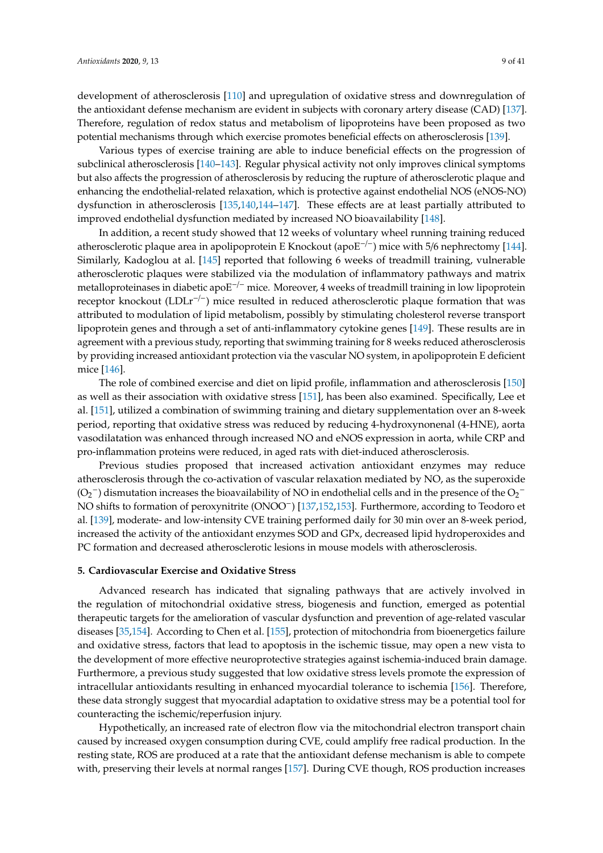development of atherosclerosis [\[110\]](#page-31-8) and upregulation of oxidative stress and downregulation of the antioxidant defense mechanism are evident in subjects with coronary artery disease (CAD) [\[137\]](#page-32-17). Therefore, regulation of redox status and metabolism of lipoproteins have been proposed as two potential mechanisms through which exercise promotes beneficial effects on atherosclerosis [\[139\]](#page-32-19).

Various types of exercise training are able to induce beneficial effects on the progression of subclinical atherosclerosis [\[140](#page-33-0)[–143\]](#page-33-1). Regular physical activity not only improves clinical symptoms but also affects the progression of atherosclerosis by reducing the rupture of atherosclerotic plaque and enhancing the endothelial-related relaxation, which is protective against endothelial NOS (eNOS-NO) dysfunction in atherosclerosis [\[135,](#page-32-15)[140,](#page-33-0)[144](#page-33-2)[–147\]](#page-33-3). These effects are at least partially attributed to improved endothelial dysfunction mediated by increased NO bioavailability [\[148\]](#page-33-4).

In addition, a recent study showed that 12 weeks of voluntary wheel running training reduced atherosclerotic plaque area in apolipoprotein E Knockout (apoE<sup> $-/-$ </sup>) mice with 5/6 nephrectomy [\[144\]](#page-33-2). Similarly, Kadoglou at al. [\[145\]](#page-33-5) reported that following 6 weeks of treadmill training, vulnerable atherosclerotic plaques were stabilized via the modulation of inflammatory pathways and matrix metalloproteinases in diabetic apoE<sup>−/−</sup> mice. Moreover, 4 weeks of treadmill training in low lipoprotein receptor knockout (LDLr−/−) mice resulted in reduced atherosclerotic plaque formation that was attributed to modulation of lipid metabolism, possibly by stimulating cholesterol reverse transport lipoprotein genes and through a set of anti-inflammatory cytokine genes [\[149\]](#page-33-6). These results are in agreement with a previous study, reporting that swimming training for 8 weeks reduced atherosclerosis by providing increased antioxidant protection via the vascular NO system, in apolipoprotein E deficient mice [\[146\]](#page-33-7).

The role of combined exercise and diet on lipid profile, inflammation and atherosclerosis [\[150\]](#page-33-8) as well as their association with oxidative stress [\[151\]](#page-33-9), has been also examined. Specifically, Lee et al. [\[151\]](#page-33-9), utilized a combination of swimming training and dietary supplementation over an 8-week period, reporting that oxidative stress was reduced by reducing 4-hydroxynonenal (4-HNE), aorta vasodilatation was enhanced through increased NO and eNOS expression in aorta, while CRP and pro-inflammation proteins were reduced, in aged rats with diet-induced atherosclerosis.

Previous studies proposed that increased activation antioxidant enzymes may reduce atherosclerosis through the co-activation of vascular relaxation mediated by NO, as the superoxide  $(O_2^-)$  dismutation increases the bioavailability of NO in endothelial cells and in the presence of the  $O_2^-$ NO shifts to formation of peroxynitrite (ONOO<sup>-</sup>) [\[137,](#page-32-17)[152,](#page-33-10)[153\]](#page-33-11). Furthermore, according to Teodoro et al. [\[139\]](#page-32-19), moderate- and low-intensity CVE training performed daily for 30 min over an 8-week period, increased the activity of the antioxidant enzymes SOD and GPx, decreased lipid hydroperoxides and PC formation and decreased atherosclerotic lesions in mouse models with atherosclerosis.

## **5. Cardiovascular Exercise and Oxidative Stress**

Advanced research has indicated that signaling pathways that are actively involved in the regulation of mitochondrial oxidative stress, biogenesis and function, emerged as potential therapeutic targets for the amelioration of vascular dysfunction and prevention of age-related vascular diseases [\[35,](#page-27-17)[154\]](#page-33-12). According to Chen et al. [\[155\]](#page-33-13), protection of mitochondria from bioenergetics failure and oxidative stress, factors that lead to apoptosis in the ischemic tissue, may open a new vista to the development of more effective neuroprotective strategies against ischemia-induced brain damage. Furthermore, a previous study suggested that low oxidative stress levels promote the expression of intracellular antioxidants resulting in enhanced myocardial tolerance to ischemia [\[156\]](#page-33-14). Therefore, these data strongly suggest that myocardial adaptation to oxidative stress may be a potential tool for counteracting the ischemic/reperfusion injury.

Hypothetically, an increased rate of electron flow via the mitochondrial electron transport chain caused by increased oxygen consumption during CVE, could amplify free radical production. In the resting state, ROS are produced at a rate that the antioxidant defense mechanism is able to compete with, preserving their levels at normal ranges [\[157\]](#page-33-15). During CVE though, ROS production increases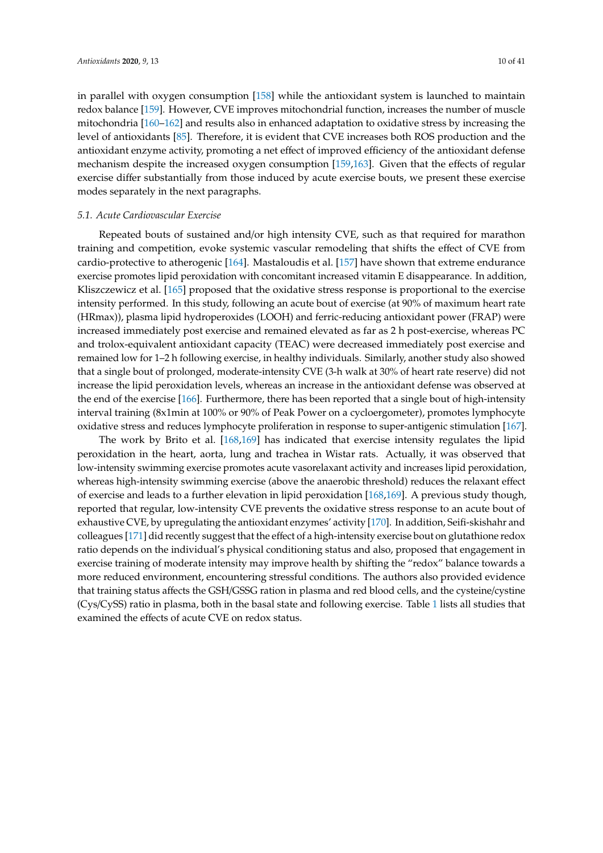in parallel with oxygen consumption [\[158\]](#page-33-16) while the antioxidant system is launched to maintain redox balance [\[159\]](#page-34-0). However, CVE improves mitochondrial function, increases the number of muscle mitochondria [\[160](#page-34-1)[–162\]](#page-34-2) and results also in enhanced adaptation to oxidative stress by increasing the level of antioxidants [\[85\]](#page-30-1). Therefore, it is evident that CVE increases both ROS production and the antioxidant enzyme activity, promoting a net effect of improved efficiency of the antioxidant defense mechanism despite the increased oxygen consumption [\[159](#page-34-0)[,163\]](#page-34-3). Given that the effects of regular exercise differ substantially from those induced by acute exercise bouts, we present these exercise modes separately in the next paragraphs.

## *5.1. Acute Cardiovascular Exercise*

Repeated bouts of sustained and/or high intensity CVE, such as that required for marathon training and competition, evoke systemic vascular remodeling that shifts the effect of CVE from cardio-protective to atherogenic [\[164\]](#page-34-4). Mastaloudis et al. [\[157\]](#page-33-15) have shown that extreme endurance exercise promotes lipid peroxidation with concomitant increased vitamin E disappearance. In addition, Kliszczewicz et al. [\[165\]](#page-34-5) proposed that the oxidative stress response is proportional to the exercise intensity performed. In this study, following an acute bout of exercise (at 90% of maximum heart rate (HRmax)), plasma lipid hydroperoxides (LOOH) and ferric-reducing antioxidant power (FRAP) were increased immediately post exercise and remained elevated as far as 2 h post-exercise, whereas PC and trolox-equivalent antioxidant capacity (TEAC) were decreased immediately post exercise and remained low for 1–2 h following exercise, in healthy individuals. Similarly, another study also showed that a single bout of prolonged, moderate-intensity CVE (3-h walk at 30% of heart rate reserve) did not increase the lipid peroxidation levels, whereas an increase in the antioxidant defense was observed at the end of the exercise [\[166\]](#page-34-6). Furthermore, there has been reported that a single bout of high-intensity interval training (8x1min at 100% or 90% of Peak Power on a cycloergometer), promotes lymphocyte oxidative stress and reduces lymphocyte proliferation in response to super-antigenic stimulation [\[167\]](#page-34-7).

The work by Brito et al. [\[168](#page-34-8)[,169\]](#page-34-9) has indicated that exercise intensity regulates the lipid peroxidation in the heart, aorta, lung and trachea in Wistar rats. Actually, it was observed that low-intensity swimming exercise promotes acute vasorelaxant activity and increases lipid peroxidation, whereas high-intensity swimming exercise (above the anaerobic threshold) reduces the relaxant effect of exercise and leads to a further elevation in lipid peroxidation [\[168](#page-34-8)[,169\]](#page-34-9). A previous study though, reported that regular, low-intensity CVE prevents the oxidative stress response to an acute bout of exhaustive CVE, by upregulating the antioxidant enzymes' activity [\[170\]](#page-34-10). In addition, Seifi-skishahr and colleagues [\[171\]](#page-34-11) did recently suggest that the effect of a high-intensity exercise bout on glutathione redox ratio depends on the individual's physical conditioning status and also, proposed that engagement in exercise training of moderate intensity may improve health by shifting the "redox" balance towards a more reduced environment, encountering stressful conditions. The authors also provided evidence that training status affects the GSH/GSSG ration in plasma and red blood cells, and the cysteine/cystine (Cys/CySS) ratio in plasma, both in the basal state and following exercise. Table [1](#page-12-0) lists all studies that examined the effects of acute CVE on redox status.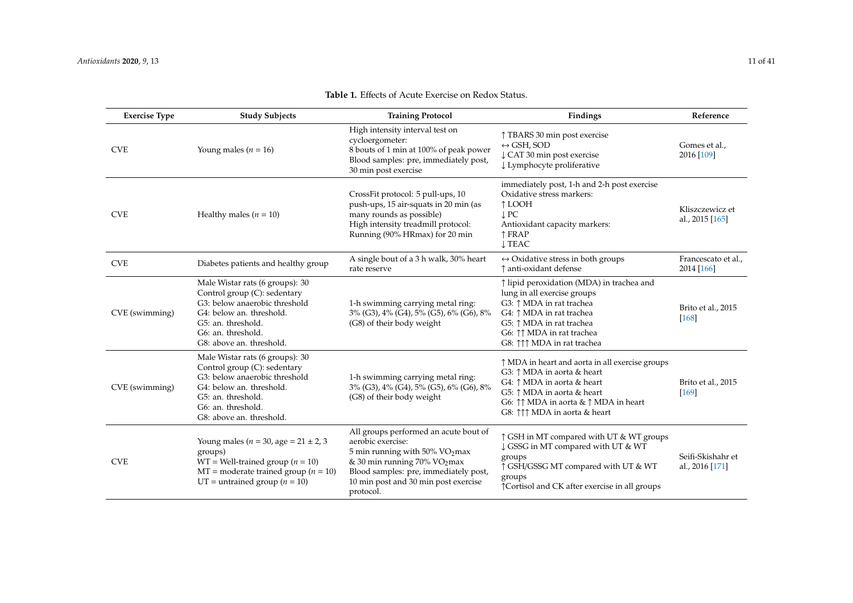| <b>Exercise Type</b> | <b>Study Subjects</b>                                                                                                                                                                                | <b>Training Protocol</b>                                                                                                                                                                                                                 | Findings                                                                                                                                                                                                                                                             | Reference                            |
|----------------------|------------------------------------------------------------------------------------------------------------------------------------------------------------------------------------------------------|------------------------------------------------------------------------------------------------------------------------------------------------------------------------------------------------------------------------------------------|----------------------------------------------------------------------------------------------------------------------------------------------------------------------------------------------------------------------------------------------------------------------|--------------------------------------|
| <b>CVE</b>           | Young males ( $n = 16$ )                                                                                                                                                                             | High intensity interval test on<br>cycloergometer:<br>8 bouts of 1 min at 100% of peak power<br>Blood samples: pre, immediately post,<br>30 min post exercise                                                                            | ↑ TBARS 30 min post exercise<br>$\leftrightarrow$ GSH, SOD<br>↓ CAT 30 min post exercise<br>↓ Lymphocyte proliferative                                                                                                                                               | Gomes et al.,<br>2016 [109]          |
| <b>CVE</b>           | Healthy males ( $n = 10$ )                                                                                                                                                                           | CrossFit protocol: 5 pull-ups, 10<br>push-ups, 15 air-squats in 20 min (as<br>many rounds as possible)<br>High intensity treadmill protocol:<br>Running (90% HRmax) for 20 min                                                           | immediately post, 1-h and 2-h post exercise<br>Oxidative stress markers:<br>↑ LOOH<br>$\downarrow$ PC<br>Antioxidant capacity markers:<br>↑ FRAP<br><b>J TEAC</b>                                                                                                    | Kliszczewicz et<br>al., 2015 [165]   |
| <b>CVE</b>           | Diabetes patients and healthy group                                                                                                                                                                  | A single bout of a 3 h walk, 30% heart<br>rate reserve                                                                                                                                                                                   | $\leftrightarrow$ Oxidative stress in both groups<br>↑ anti-oxidant defense                                                                                                                                                                                          | Francescato et al.,<br>2014 [166]    |
| CVE (swimming)       | Male Wistar rats (6 groups): 30<br>Control group (C): sedentary<br>G3: below anaerobic threshold<br>G4: below an. threshold.<br>G5: an. threshold.<br>G6: an. threshold.<br>G8: above an. threshold. | 1-h swimming carrying metal ring:<br>3% (G3), 4% (G4), 5% (G5), 6% (G6), 8%<br>(G8) of their body weight                                                                                                                                 | ↑ lipid peroxidation (MDA) in trachea and<br>lung in all exercise groups<br>G3: 1 MDA in rat trachea<br>G4: ↑ MDA in rat trachea<br>G5: ↑ MDA in rat trachea<br>G6: 11 MDA in rat trachea<br>G8: $\uparrow \uparrow \uparrow$ MDA in rat trachea                     | Brito et al., 2015<br>$[168]$        |
| CVE (swimming)       | Male Wistar rats (6 groups): 30<br>Control group (C): sedentary<br>G3: below anaerobic threshold<br>G4: below an. threshold.<br>G5: an. threshold.<br>G6: an. threshold.<br>G8: above an. threshold. | 1-h swimming carrying metal ring:<br>3% (G3), 4% (G4), 5% (G5), 6% (G6), 8%<br>(G8) of their body weight                                                                                                                                 | ↑ MDA in heart and aorta in all exercise groups<br>G3: ↑ MDA in aorta & heart<br>G4: ↑ MDA in aorta & heart<br>G5: ↑ MDA in aorta & heart<br>G6: $\uparrow \uparrow$ MDA in aorta & $\uparrow$ MDA in heart<br>G8: $\uparrow \uparrow \uparrow$ MDA in aorta & heart | Brito et al., 2015<br>[169]          |
| <b>CVE</b>           | Young males ( $n = 30$ , age = $21 \pm 2$ , 3<br>groups)<br>$WT = Well\text{-}trained group (n = 10)$<br>$MT =$ moderate trained group ( <i>n</i> = 10)<br>UT = untrained group ( $n = 10$ )         | All groups performed an acute bout of<br>aerobic exercise:<br>5 min running with 50% $VO2$ max<br>& 30 min running 70% VO <sub>2</sub> max<br>Blood samples: pre, immediately post,<br>10 min post and 30 min post exercise<br>protocol. | ↑ GSH in MT compared with UT & WT groups<br>↓ GSSG in MT compared with UT & WT<br>groups<br>↑ GSH/GSSG MT compared with UT & WT<br>groups<br>↑ Cortisol and CK after exercise in all groups                                                                          | Seifi-Skishahr et<br>al., 2016 [171] |

## **Table 1.** Effects of Acute Exercise on Redox Status.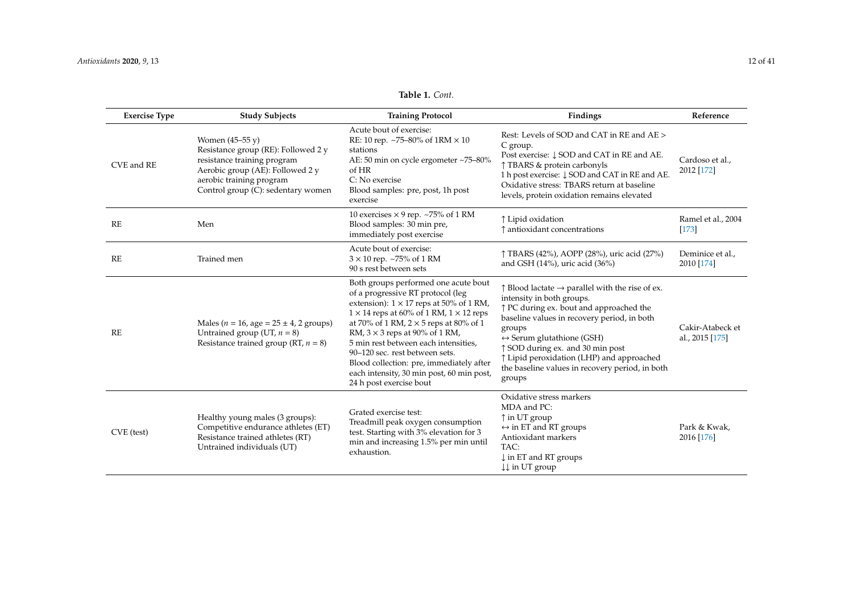| Table 1. Cont. |  |  |
|----------------|--|--|
|----------------|--|--|

| <b>Exercise Type</b> | <b>Study Subjects</b>                                                                                                                                                                                 | <b>Training Protocol</b>                                                                                                                                                                                                                                                                                                                                                                                                                                                     | Findings                                                                                                                                                                                                                                                                                                                                                                                         | Reference                           |
|----------------------|-------------------------------------------------------------------------------------------------------------------------------------------------------------------------------------------------------|------------------------------------------------------------------------------------------------------------------------------------------------------------------------------------------------------------------------------------------------------------------------------------------------------------------------------------------------------------------------------------------------------------------------------------------------------------------------------|--------------------------------------------------------------------------------------------------------------------------------------------------------------------------------------------------------------------------------------------------------------------------------------------------------------------------------------------------------------------------------------------------|-------------------------------------|
| CVE and RE           | Women $(45-55 \text{ y})$<br>Resistance group (RE): Followed 2 y<br>resistance training program<br>Aerobic group (AE): Followed 2 y<br>aerobic training program<br>Control group (C): sedentary women | Acute bout of exercise:<br>RE: 10 rep. ~75-80% of $1RM \times 10$<br>stations<br>AE: 50 min on cycle ergometer ~75-80%<br>of HR<br>C: No exercise<br>Blood samples: pre, post, 1h post<br>exercise                                                                                                                                                                                                                                                                           | Rest: Levels of SOD and CAT in RE and AE ><br>C group.<br>Post exercise: $\downarrow$ SOD and CAT in RE and AE.<br>↑ TBARS & protein carbonyls<br>1 h post exercise: $\downarrow$ SOD and CAT in RE and AE.<br>Oxidative stress: TBARS return at baseline<br>levels, protein oxidation remains elevated                                                                                          | Cardoso et al.,<br>2012 [172]       |
| RE                   | Men                                                                                                                                                                                                   | 10 exercises $\times$ 9 rep. ~75% of 1 RM<br>Blood samples: 30 min pre,<br>immediately post exercise                                                                                                                                                                                                                                                                                                                                                                         | ↑ Lipid oxidation<br>↑ antioxidant concentrations                                                                                                                                                                                                                                                                                                                                                | Ramel et al., 2004<br>$[173]$       |
| RE                   | Trained men                                                                                                                                                                                           | Acute bout of exercise:<br>$3 \times 10$ rep. ~75% of 1 RM<br>90 s rest between sets                                                                                                                                                                                                                                                                                                                                                                                         | ↑ TBARS (42%), AOPP (28%), uric acid (27%)<br>and GSH $(14%)$ , uric acid $(36%)$                                                                                                                                                                                                                                                                                                                | Deminice et al.,<br>2010 [174]      |
| RE                   | Males ( $n = 16$ , age = $25 \pm 4$ , 2 groups)<br>Untrained group (UT, $n = 8$ )<br>Resistance trained group (RT, $n = 8$ )                                                                          | Both groups performed one acute bout<br>of a progressive RT protocol (leg<br>extension): $1 \times 17$ reps at 50% of 1 RM,<br>$1 \times 14$ reps at 60% of 1 RM, $1 \times 12$ reps<br>at 70% of 1 RM, $2 \times 5$ reps at 80% of 1<br>RM, $3 \times 3$ reps at 90% of 1 RM,<br>5 min rest between each intensities,<br>90-120 sec. rest between sets.<br>Blood collection: pre, immediately after<br>each intensity, 30 min post, 60 min post,<br>24 h post exercise bout | $\uparrow$ Blood lactate $\rightarrow$ parallel with the rise of ex.<br>intensity in both groups.<br>↑ PC during ex. bout and approached the<br>baseline values in recovery period, in both<br>groups<br>$\leftrightarrow$ Serum glutathione (GSH)<br>↑ SOD during ex. and 30 min post<br>↑ Lipid peroxidation (LHP) and approached<br>the baseline values in recovery period, in both<br>groups | Cakir-Atabeck et<br>al., 2015 [175] |
| CVE (test)           | Healthy young males (3 groups):<br>Competitive endurance athletes (ET)<br>Resistance trained athletes (RT)<br>Untrained individuals (UT)                                                              | Grated exercise test:<br>Treadmill peak oxygen consumption<br>test. Starting with 3% elevation for 3<br>min and increasing 1.5% per min until<br>exhaustion.                                                                                                                                                                                                                                                                                                                 | Oxidative stress markers<br>MDA and PC:<br>$\uparrow$ in UT group<br>$\leftrightarrow$ in ET and RT groups<br>Antioxidant markers<br>TAC:<br>$\downarrow$ in ET and RT groups<br>$\downarrow \downarrow$ in UT group                                                                                                                                                                             | Park & Kwak.<br>2016 [176]          |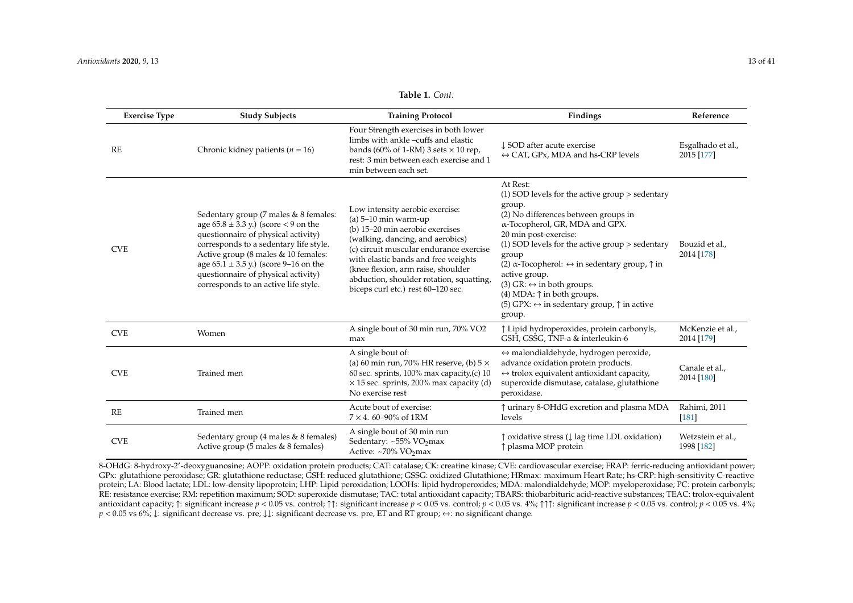<span id="page-12-0"></span>CVE Sedentary group (4 males & 8 females)

Active group (5 males & 8 females)

| <b>Exercise Type</b> | <b>Study Subjects</b>                                                                                                                                                                                                                                                                                                                 | <b>Training Protocol</b>                                                                                                                                                                                                                                                                                                                   | Findings                                                                                                                                                                                                                                                                                                                                                                                                                                                                                                              | Reference                       |
|----------------------|---------------------------------------------------------------------------------------------------------------------------------------------------------------------------------------------------------------------------------------------------------------------------------------------------------------------------------------|--------------------------------------------------------------------------------------------------------------------------------------------------------------------------------------------------------------------------------------------------------------------------------------------------------------------------------------------|-----------------------------------------------------------------------------------------------------------------------------------------------------------------------------------------------------------------------------------------------------------------------------------------------------------------------------------------------------------------------------------------------------------------------------------------------------------------------------------------------------------------------|---------------------------------|
| RE                   | Chronic kidney patients ( $n = 16$ )                                                                                                                                                                                                                                                                                                  | Four Strength exercises in both lower<br>limbs with ankle -cuffs and elastic<br>bands (60% of 1-RM) 3 sets $\times$ 10 rep,<br>rest: 3 min between each exercise and 1<br>min between each set.                                                                                                                                            | ↓ SOD after acute exercise<br>$\leftrightarrow$ CAT, GPx, MDA and hs-CRP levels                                                                                                                                                                                                                                                                                                                                                                                                                                       | Esgalhado et al.,<br>2015 [177] |
| <b>CVE</b>           | Sedentary group (7 males & 8 females:<br>age $65.8 \pm 3.3$ y.) (score < 9 on the<br>questionnaire of physical activity)<br>corresponds to a sedentary life style.<br>Active group (8 males & 10 females:<br>age $65.1 \pm 3.5$ y.) (score 9-16 on the<br>questionnaire of physical activity)<br>corresponds to an active life style. | Low intensity aerobic exercise:<br>(a) $5-10$ min warm-up<br>(b) 15-20 min aerobic exercises<br>(walking, dancing, and aerobics)<br>(c) circuit muscular endurance exercise<br>with elastic bands and free weights<br>(knee flexion, arm raise, shoulder<br>abduction, shoulder rotation, squatting,<br>biceps curl etc.) rest 60-120 sec. | At Rest:<br>$(1)$ SOD levels for the active group $>$ sedentary<br>group.<br>(2) No differences between groups in<br>α-Tocopherol, GR, MDA and GPX.<br>20 min post-exercise:<br>$(1)$ SOD levels for the active group $>$ sedentary<br>group<br>(2) $\alpha$ -Tocopherol: $\leftrightarrow$ in sedentary group, $\uparrow$ in<br>active group.<br>(3) GR: $\leftrightarrow$ in both groups.<br>$(4)$ MDA: $\uparrow$ in both groups.<br>(5) GPX: $\leftrightarrow$ in sedentary group, $\uparrow$ in active<br>group. | Bouzid et al.,<br>2014 [178]    |
| <b>CVE</b>           | Women                                                                                                                                                                                                                                                                                                                                 | A single bout of 30 min run, 70% VO2<br>max                                                                                                                                                                                                                                                                                                | ↑ Lipid hydroperoxides, protein carbonyls,<br>GSH, GSSG, TNF-a & interleukin-6                                                                                                                                                                                                                                                                                                                                                                                                                                        | McKenzie et al.,<br>2014 [179]  |
| <b>CVE</b>           | Trained men                                                                                                                                                                                                                                                                                                                           | A single bout of:<br>(a) 60 min run, 70% HR reserve, (b) $5 \times$<br>60 sec. sprints, $100\%$ max capacity, (c) 10<br>$\times$ 15 sec. sprints, 200% max capacity (d)<br>No exercise rest                                                                                                                                                | $\leftrightarrow$ malondialdehyde, hydrogen peroxide,<br>advance oxidation protein products.<br>$\leftrightarrow$ trolox equivalent antioxidant capacity,<br>superoxide dismutase, catalase, glutathione<br>peroxidase.                                                                                                                                                                                                                                                                                               | Canale et al.,<br>2014 [180]    |
| RE                   | Trained men                                                                                                                                                                                                                                                                                                                           | Acute bout of exercise:<br>$7 \times 4.60 - 90\%$ of 1RM                                                                                                                                                                                                                                                                                   | ↑ urinary 8-OHdG excretion and plasma MDA<br>levels                                                                                                                                                                                                                                                                                                                                                                                                                                                                   | Rahimi, 2011<br>$[181]$         |
|                      | $(1 \quad 1 \quad 0 \quad 0 \quad 1)$<br>$\sim$ 1 $\sim$                                                                                                                                                                                                                                                                              | A single bout of 30 min run                                                                                                                                                                                                                                                                                                                |                                                                                                                                                                                                                                                                                                                                                                                                                                                                                                                       | $TAT = T + T$                   |

**Table 1.** *Cont.*

8-OHdG: 8-hydroxy-2'-deoxyguanosine; AOPP: oxidation protein products; CAT: catalase; CK: creatine kinase; CVE: cardiovascular exercise; FRAP: ferric-reducing antioxidant power; GPx: glutathione peroxidase; GR: glutathione reductase; GSH: reduced glutathione; GSSG: oxidized Glutathione; HRmax: maximum Heart Rate; hs-CRP: high-sensitivity C-reactive protein; LA: Blood lactate; LDL: low-density lipoprotein; LHP: Lipid peroxidation; LOOHs: lipid hydroperoxides; MDA: malondialdehyde; MOP: myeloperoxidase; PC: protein carbonyls; RE: resistance exercise; RM: repetition maximum; SOD: superoxide dismutase; TAC: total antioxidant capacity; TBARS: thiobarbituric acid-reactive substances; TEAC: trolox-equivalent antioxidant capacity;  $\uparrow$ : significant increase  $p < 0.05$  vs. control;  $\uparrow$ ?: significant increase  $p < 0.05$  vs. control;  $p < 0.05$  vs. 4%;  $\uparrow$ ? significant increase  $p < 0.05$  vs. 4%;  $\uparrow$ ? *p* < 0.05 vs 6%; ↓: significant decrease vs. pre; ↓↓: significant decrease vs. pre, ET and RT group;  $\leftrightarrow$ : no significant change.

↑ oxidative stress (↓ lag time LDL oxidation)

Wetzstein et al., 1998 [\[182\]](#page-35-0)

↑ plasma MOP protein

Sedentary: ~55% VO<sub>2</sub>max Active: ~70% VO<sub>2</sub>max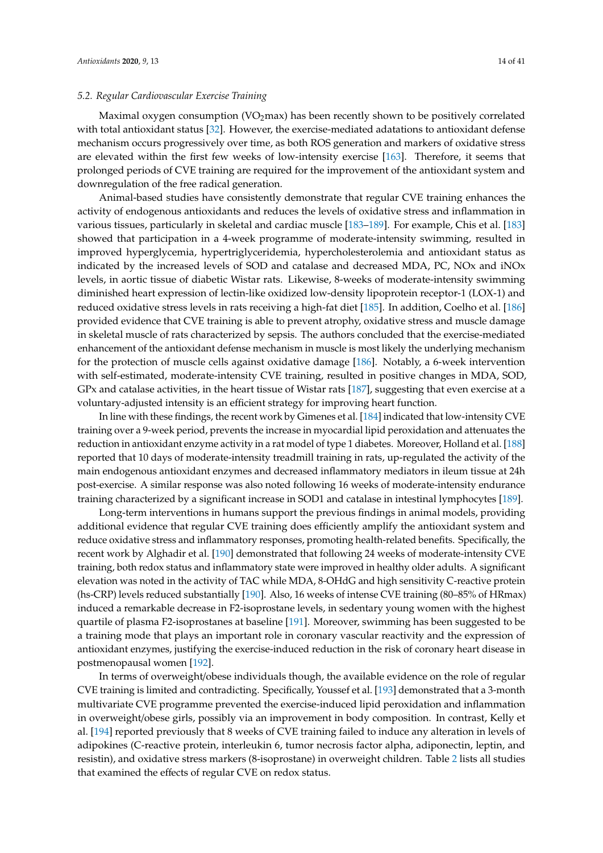## *5.2. Regular Cardiovascular Exercise Training*

Maximal oxygen consumption ( $VO<sub>2</sub>$ max) has been recently shown to be positively correlated with total antioxidant status [\[32\]](#page-27-13). However, the exercise-mediated adatations to antioxidant defense mechanism occurs progressively over time, as both ROS generation and markers of oxidative stress are elevated within the first few weeks of low-intensity exercise [\[163\]](#page-34-3). Therefore, it seems that prolonged periods of CVE training are required for the improvement of the antioxidant system and downregulation of the free radical generation.

Animal-based studies have consistently demonstrate that regular CVE training enhances the activity of endogenous antioxidants and reduces the levels of oxidative stress and inflammation in various tissues, particularly in skeletal and cardiac muscle [\[183](#page-35-1)[–189\]](#page-35-2). For example, Chis et al. [\[183\]](#page-35-1) showed that participation in a 4-week programme of moderate-intensity swimming, resulted in improved hyperglycemia, hypertriglyceridemia, hypercholesterolemia and antioxidant status as indicated by the increased levels of SOD and catalase and decreased MDA, PC, NOx and iNOx levels, in aortic tissue of diabetic Wistar rats. Likewise, 8-weeks of moderate-intensity swimming diminished heart expression of lectin-like oxidized low-density lipoprotein receptor-1 (LOX-1) and reduced oxidative stress levels in rats receiving a high-fat diet [\[185\]](#page-35-3). In addition, Coelho et al. [\[186\]](#page-35-4) provided evidence that CVE training is able to prevent atrophy, oxidative stress and muscle damage in skeletal muscle of rats characterized by sepsis. The authors concluded that the exercise-mediated enhancement of the antioxidant defense mechanism in muscle is most likely the underlying mechanism for the protection of muscle cells against oxidative damage [\[186\]](#page-35-4). Notably, a 6-week intervention with self-estimated, moderate-intensity CVE training, resulted in positive changes in MDA, SOD, GPx and catalase activities, in the heart tissue of Wistar rats [\[187\]](#page-35-5), suggesting that even exercise at a voluntary-adjusted intensity is an efficient strategy for improving heart function.

In line with these findings, the recent work by Gimenes et al. [\[184\]](#page-35-6) indicated that low-intensity CVE training over a 9-week period, prevents the increase in myocardial lipid peroxidation and attenuates the reduction in antioxidant enzyme activity in a rat model of type 1 diabetes. Moreover, Holland et al. [\[188\]](#page-35-7) reported that 10 days of moderate-intensity treadmill training in rats, up-regulated the activity of the main endogenous antioxidant enzymes and decreased inflammatory mediators in ileum tissue at 24h post-exercise. A similar response was also noted following 16 weeks of moderate-intensity endurance training characterized by a significant increase in SOD1 and catalase in intestinal lymphocytes [\[189\]](#page-35-2).

Long-term interventions in humans support the previous findings in animal models, providing additional evidence that regular CVE training does efficiently amplify the antioxidant system and reduce oxidative stress and inflammatory responses, promoting health-related benefits. Specifically, the recent work by Alghadir et al. [\[190\]](#page-35-8) demonstrated that following 24 weeks of moderate-intensity CVE training, both redox status and inflammatory state were improved in healthy older adults. A significant elevation was noted in the activity of TAC while MDA, 8-OHdG and high sensitivity C-reactive protein (hs-CRP) levels reduced substantially [\[190\]](#page-35-8). Also, 16 weeks of intense CVE training (80–85% of HRmax) induced a remarkable decrease in F2-isoprostane levels, in sedentary young women with the highest quartile of plasma F2-isoprostanes at baseline [\[191\]](#page-35-9). Moreover, swimming has been suggested to be a training mode that plays an important role in coronary vascular reactivity and the expression of antioxidant enzymes, justifying the exercise-induced reduction in the risk of coronary heart disease in postmenopausal women [\[192\]](#page-35-10).

In terms of overweight/obese individuals though, the available evidence on the role of regular CVE training is limited and contradicting. Specifically, Youssef et al. [\[193\]](#page-35-11) demonstrated that a 3-month multivariate CVE programme prevented the exercise-induced lipid peroxidation and inflammation in overweight/obese girls, possibly via an improvement in body composition. In contrast, Kelly et al. [\[194\]](#page-35-12) reported previously that 8 weeks of CVE training failed to induce any alteration in levels of adipokines (C-reactive protein, interleukin 6, tumor necrosis factor alpha, adiponectin, leptin, and resistin), and oxidative stress markers (8-isoprostane) in overweight children. Table [2](#page-18-0) lists all studies that examined the effects of regular CVE on redox status.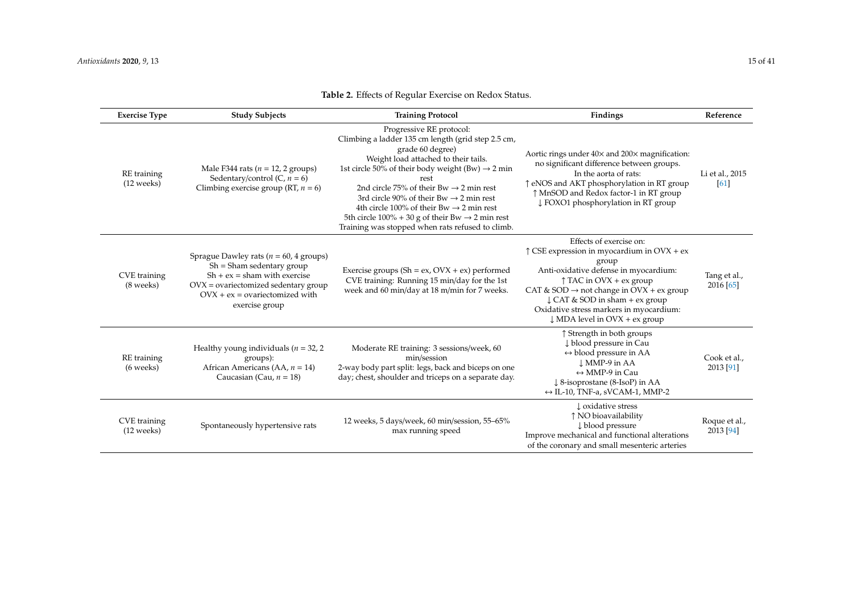| <b>Exercise Type</b>                 | <b>Study Subjects</b>                                                                                                                                                                                       | <b>Training Protocol</b>                                                                                                                                                                                                                                                                                                                                                                                                                                                                                       | Findings                                                                                                                                                                                                                                                                                                                                                         | Reference                  |
|--------------------------------------|-------------------------------------------------------------------------------------------------------------------------------------------------------------------------------------------------------------|----------------------------------------------------------------------------------------------------------------------------------------------------------------------------------------------------------------------------------------------------------------------------------------------------------------------------------------------------------------------------------------------------------------------------------------------------------------------------------------------------------------|------------------------------------------------------------------------------------------------------------------------------------------------------------------------------------------------------------------------------------------------------------------------------------------------------------------------------------------------------------------|----------------------------|
| RE training<br>(12 weeks)            | Male F344 rats ( $n = 12$ , 2 groups)<br>Sedentary/control $(C, n = 6)$<br>Climbing exercise group (RT, $n = 6$ )                                                                                           | Progressive RE protocol:<br>Climbing a ladder 135 cm length (grid step 2.5 cm,<br>grade 60 degree)<br>Weight load attached to their tails.<br>1st circle 50% of their body weight (Bw) $\rightarrow$ 2 min<br>rest<br>2nd circle 75% of their Bw $\rightarrow$ 2 min rest<br>3rd circle 90% of their Bw $\rightarrow$ 2 min rest<br>4th circle 100% of their Bw $\rightarrow$ 2 min rest<br>5th circle $100\% + 30$ g of their Bw $\rightarrow$ 2 min rest<br>Training was stopped when rats refused to climb. | Aortic rings under 40x and 200x magnification:<br>no significant difference between groups.<br>In the aorta of rats:<br>↑ eNOS and AKT phosphorylation in RT group<br>↑ MnSOD and Redox factor-1 in RT group<br>↓ FOXO1 phosphorylation in RT group                                                                                                              | Li et al., 2015<br>[61]    |
| CVE training<br>(8 weeks)            | Sprague Dawley rats ( $n = 60$ , 4 groups)<br>$Sh =$ Sham sedentary group<br>$Sh + ex = sham$ with exercise<br>$OVX =$ ovariectomized sedentary group<br>$OVX + ex = ovariectomized with$<br>exercise group | Exercise groups (Sh = ex, $Ovx + ex$ ) performed<br>CVE training: Running 15 min/day for the 1st<br>week and 60 min/day at 18 m/min for 7 weeks.                                                                                                                                                                                                                                                                                                                                                               | Effects of exercise on:<br>$\uparrow$ CSE expression in myocardium in OVX + ex<br>group<br>Anti-oxidative defense in myocardium:<br>$\uparrow$ TAC in OVX + ex group<br>CAT & SOD $\rightarrow$ not change in OVX + ex group<br>$\downarrow$ CAT & SOD in sham + ex group<br>Oxidative stress markers in myocardium:<br>$\downarrow$ MDA level in OVX + ex group | Tang et al.,<br>2016 [65]  |
| RE training<br>(6 weeks)             | Healthy young individuals ( $n = 32, 2$ )<br>groups):<br>African Americans (AA, $n = 14$ )<br>Caucasian (Cau, $n = 18$ )                                                                                    | Moderate RE training: 3 sessions/week, 60<br>min/session<br>2-way body part split: legs, back and biceps on one<br>day; chest, shoulder and triceps on a separate day.                                                                                                                                                                                                                                                                                                                                         | ↑ Strength in both groups<br>↓ blood pressure in Cau<br>$\leftrightarrow$ blood pressure in AA<br>L MMP-9 in AA<br>$\leftrightarrow$ MMP-9 in Cau<br>$\downarrow$ 8-isoprostane (8-IsoP) in AA<br>$\leftrightarrow$ IL-10, TNF-a, sVCAM-1, MMP-2                                                                                                                 | Cook et al<br>2013 [91]    |
| CVE training<br>$(12 \text{ weeks})$ | Spontaneously hypertensive rats                                                                                                                                                                             | 12 weeks, 5 days/week, 60 min/session, 55-65%<br>max running speed                                                                                                                                                                                                                                                                                                                                                                                                                                             | L oxidative stress<br>↑ NO bioavailability<br>↓ blood pressure<br>Improve mechanical and functional alterations<br>of the coronary and small mesenteric arteries                                                                                                                                                                                                 | Roque et al.,<br>2013 [94] |

# **Table 2.** Effects of Regular Exercise on Redox Status.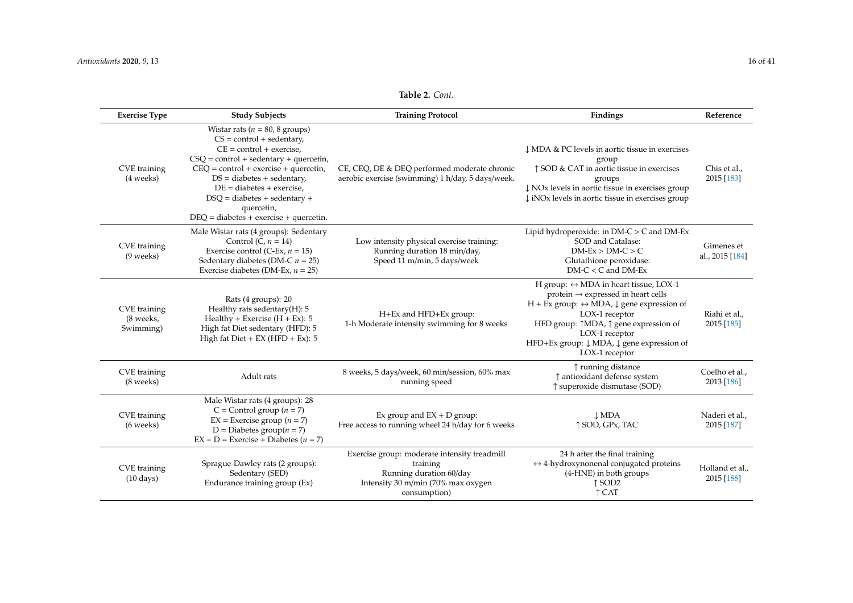## **Table 2.** *Cont.*

| <b>Exercise Type</b>                   | <b>Study Subjects</b>                                                                                                                                                                                                                                                                                                                        | <b>Training Protocol</b>                                                                                                                  | Findings                                                                                                                                                                                                                                                                                                                                  | Reference                     |
|----------------------------------------|----------------------------------------------------------------------------------------------------------------------------------------------------------------------------------------------------------------------------------------------------------------------------------------------------------------------------------------------|-------------------------------------------------------------------------------------------------------------------------------------------|-------------------------------------------------------------------------------------------------------------------------------------------------------------------------------------------------------------------------------------------------------------------------------------------------------------------------------------------|-------------------------------|
| CVE training<br>(4 weeks)              | Wistar rats ( $n = 80, 8$ groups)<br>$CS = control + sedentary$ ,<br>$CE = control + exercise.$<br>$CSQ = control + sedentary + quercetin,$<br>$CEQ = control + exercise + queue;$<br>$DS = diabetes + sedentary,$<br>$DE = diabetes + exercise$<br>$DSQ = diabetes + sedentary +$<br>quercetin,<br>$DEQ = diabetes + exercise + queueatin.$ | CE, CEQ, DE & DEQ performed moderate chronic<br>aerobic exercise (swimming) 1 h/day, 5 days/week.                                         | ↓ MDA & PC levels in aortic tissue in exercises<br>group<br>↑ SOD & CAT in aortic tissue in exercises<br>groups<br>$\downarrow$ NO <sub>x</sub> levels in aortic tissue in exercises group<br>$\downarrow$ iNOx levels in aortic tissue in exercises group                                                                                | Chis et al.,<br>2015 [183]    |
| CVE training<br>(9 weeks)              | Male Wistar rats (4 groups): Sedentary<br>Control (C, $n = 14$ )<br>Exercise control (C-Ex, $n = 15$ )<br>Sedentary diabetes (DM-C $n = 25$ )<br>Exercise diabetes (DM-Ex, $n = 25$ )                                                                                                                                                        | Low intensity physical exercise training:<br>Running duration 18 min/day,<br>Speed 11 m/min, 5 days/week                                  | Lipid hydroperoxide: in DM-C > C and DM-Ex<br>SOD and Catalase:<br>$DM$ -Ex > $DM$ -C > C<br>Glutathione peroxidase:<br>$DM-C < C$ and $DM-Ex$                                                                                                                                                                                            | Gimenes et<br>al., 2015 [184] |
| CVE training<br>(8 weeks,<br>Swimming) | Rats (4 groups): 20<br>Healthy rats sedentary(H): 5<br>Healthy + Exercise $(H + Ex): 5$<br>High fat Diet sedentary (HFD): 5<br>High fat $Diet + EX$ (HFD + Ex): 5                                                                                                                                                                            | H+Ex and HFD+Ex group:<br>1-h Moderate intensity swimming for 8 weeks                                                                     | H group: $\leftrightarrow$ MDA in heart tissue, LOX-1<br>$protein \rightarrow expressed$ in heart cells<br>$H + Ex$ group: $\leftrightarrow \overline{MDA}$ , $\downarrow$ gene expression of<br>LOX-1 receptor<br>HFD group: ↑MDA, ↑ gene expression of<br>LOX-1 receptor<br>HFD+Ex group: ↓ MDA, ↓ gene expression of<br>LOX-1 receptor | Riahi et al.,<br>2015 [185]   |
| CVE training<br>(8 weeks)              | Adult rats                                                                                                                                                                                                                                                                                                                                   | 8 weeks, 5 days/week, 60 min/session, 60% max<br>running speed                                                                            | ↑ running distance<br>↑ antioxidant defense system<br>↑ superoxide dismutase (SOD)                                                                                                                                                                                                                                                        | Coelho et al.,<br>2013 [186]  |
| CVE training<br>(6 weeks)              | Male Wistar rats (4 groups): 28<br>C = Control group ( $n = 7$ )<br>$EX = Exercise group (n = 7)$<br>D = Diabetes group $(n = 7)$<br>$EX + D = Exercise + Diabetes (n = 7)$                                                                                                                                                                  | Ex group and $EX + D$ group:<br>Free access to running wheel 24 h/day for 6 weeks                                                         | $\perp$ MDA<br>↑ SOD, GPx, TAC                                                                                                                                                                                                                                                                                                            | Naderi et al.,<br>2015 [187]  |
| CVE training<br>$(10 \text{ days})$    | Sprague-Dawley rats (2 groups):<br>Sedentary (SED)<br>Endurance training group (Ex)                                                                                                                                                                                                                                                          | Exercise group: moderate intensity treadmill<br>training<br>Running duration 60/day<br>Intensity 30 m/min (70% max oxygen<br>consumption) | 24 h after the final training<br>$\leftrightarrow$ 4-hydroxynonenal conjugated proteins<br>(4-HNE) in both groups<br>$\uparrow$ SOD <sub>2</sub><br>$\uparrow$ CAT                                                                                                                                                                        | Holland et al.,<br>2015 [188] |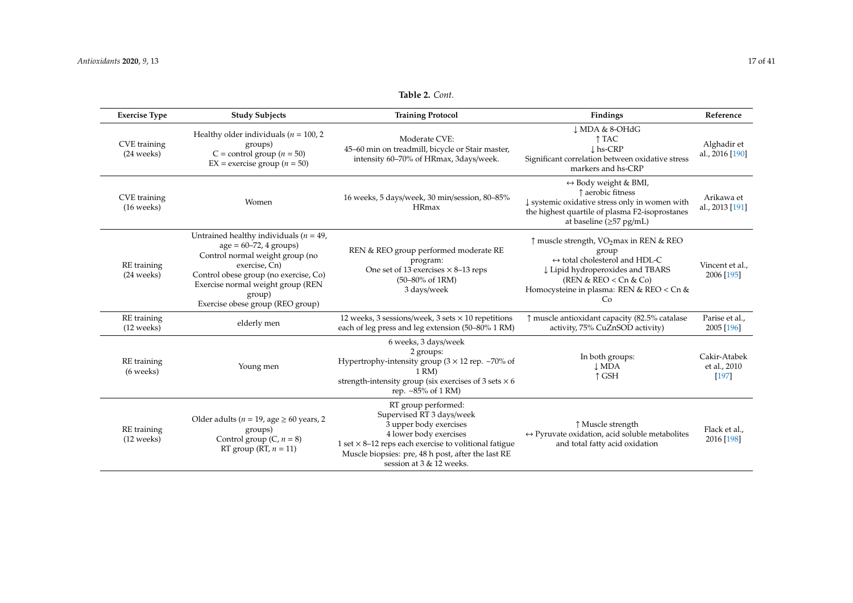| <b>Exercise Type</b>                | <b>Study Subjects</b>                                                                                                                                                                                                                                  | <b>Training Protocol</b>                                                                                                                                                                                                                               | Findings                                                                                                                                                                                                        | Reference                             |
|-------------------------------------|--------------------------------------------------------------------------------------------------------------------------------------------------------------------------------------------------------------------------------------------------------|--------------------------------------------------------------------------------------------------------------------------------------------------------------------------------------------------------------------------------------------------------|-----------------------------------------------------------------------------------------------------------------------------------------------------------------------------------------------------------------|---------------------------------------|
| CVE training<br>(24 weeks)          | Healthy older individuals ( $n = 100, 2$ )<br>groups)<br>C = control group ( $n = 50$ )<br>$EX =$ exercise group $(n = 50)$                                                                                                                            | Moderate CVE:<br>45-60 min on treadmill, bicycle or Stair master,<br>intensity 60-70% of HRmax, 3days/week.                                                                                                                                            | ↓ MDA & 8-OHdG<br>↑ TAC<br>$\mathsf{L}$ hs-CRP<br>Significant correlation between oxidative stress<br>markers and hs-CRP                                                                                        | Alghadir et<br>al., 2016 [190]        |
| CVE training<br>$(16$ weeks)        | Women                                                                                                                                                                                                                                                  | 16 weeks, 5 days/week, 30 min/session, 80-85%<br><b>HRmax</b>                                                                                                                                                                                          | $\leftrightarrow$ Body weight & BMI,<br>↑ aerobic fitness<br>↓ systemic oxidative stress only in women with<br>the highest quartile of plasma F2-isoprostanes<br>at baseline ( $\geq$ 57 pg/mL)                 | Arikawa et<br>al., 2013 [191]         |
| RE training<br>(24 weeks)           | Untrained healthy individuals ( $n = 49$ ,<br>$age = 60-72, 4 groups)$<br>Control normal weight group (no<br>exercise, Cn)<br>Control obese group (no exercise, Co)<br>Exercise normal weight group (REN<br>group)<br>Exercise obese group (REO group) | REN & REO group performed moderate RE<br>program:<br>One set of 13 exercises $\times$ 8–13 reps<br>$(50-80\% \text{ of } 1 \text{RM})$<br>3 days/week                                                                                                  | ↑ muscle strength, VO2max in REN & REO<br>group<br>$\leftrightarrow$ total cholesterol and HDL-C<br>↓ Lipid hydroperoxides and TBARS<br>(REN & REO < Cn & Co)<br>Homocysteine in plasma: REN & REO < Cn &<br>Co | Vincent et al.,<br>2006 [195]         |
| RE training<br>$(12 \text{ weeks})$ | elderly men                                                                                                                                                                                                                                            | 12 weeks, 3 sessions/week, 3 sets $\times$ 10 repetitions<br>each of leg press and leg extension (50–80% 1 RM)                                                                                                                                         | ↑ muscle antioxidant capacity (82.5% catalase<br>activity, 75% CuZnSOD activity)                                                                                                                                | Parise et al.,<br>2005 [196]          |
| RE training<br>(6 weeks)            | Young men                                                                                                                                                                                                                                              | 6 weeks, 3 days/week<br>2 groups:<br>Hypertrophy-intensity group ( $3 \times 12$ rep. ~70% of<br>$1 \text{ RM}$<br>strength-intensity group (six exercises of 3 sets $\times$ 6<br>rep. ~85% of 1 RM)                                                  | In both groups:<br><b>LMDA</b><br>↑ GSH                                                                                                                                                                         | Cakir-Atabek<br>et al., 2010<br>[197] |
| RE training<br>$(12 \text{ weeks})$ | Older adults ( $n = 19$ , age $\geq 60$ years, 2<br>groups)<br>Control group $(C, n = 8)$<br>RT group (RT, $n = 11$ )                                                                                                                                  | RT group performed:<br>Supervised RT 3 days/week<br>3 upper body exercises<br>4 lower body exercises<br>1 set $\times$ 8-12 reps each exercise to volitional fatigue<br>Muscle biopsies: pre, 48 h post, after the last RE<br>session at 3 & 12 weeks. | ↑ Muscle strength<br>$\leftrightarrow$ Pyruvate oxidation, acid soluble metabolites<br>and total fatty acid oxidation                                                                                           | Flack et al.,<br>2016 [198]           |

## **Table 2.** *Cont.*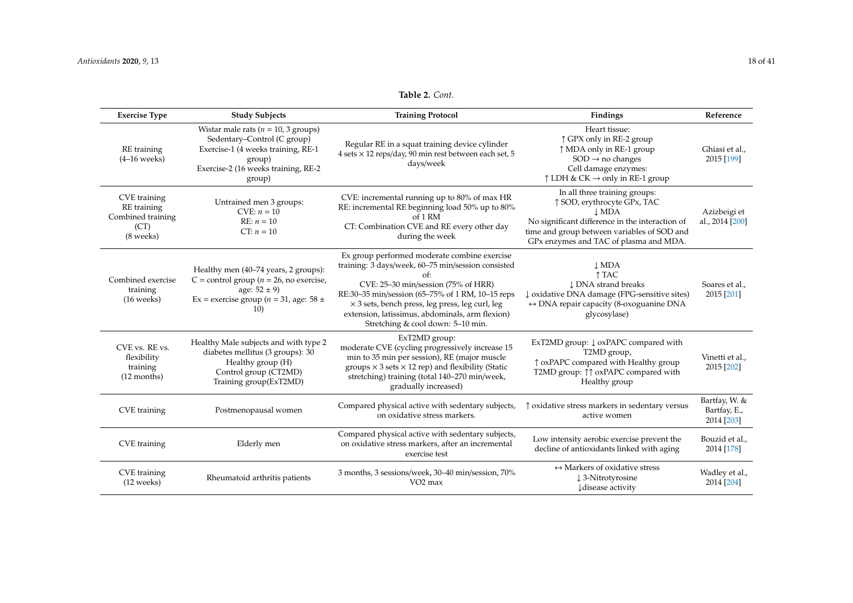| <b>Exercise Type</b>                                                  | <b>Study Subjects</b>                                                                                                                                                   | <b>Training Protocol</b>                                                                                                                                                                                                                                                                                                                                 | Findings                                                                                                                                                                                                                | Reference                                   |
|-----------------------------------------------------------------------|-------------------------------------------------------------------------------------------------------------------------------------------------------------------------|----------------------------------------------------------------------------------------------------------------------------------------------------------------------------------------------------------------------------------------------------------------------------------------------------------------------------------------------------------|-------------------------------------------------------------------------------------------------------------------------------------------------------------------------------------------------------------------------|---------------------------------------------|
| RE training<br>$(4-16$ weeks)                                         | Wistar male rats ( $n = 10$ , 3 groups)<br>Sedentary-Control (C group)<br>Exercise-1 (4 weeks training, RE-1<br>group)<br>Exercise-2 (16 weeks training, RE-2<br>group) | Regular RE in a squat training device cylinder<br>4 sets × 12 reps/day, 90 min rest between each set, 5<br>days/week                                                                                                                                                                                                                                     | Heart tissue:<br>↑ GPX only in RE-2 group<br>↑ MDA only in RE-1 group<br>$SOD \rightarrow no$ changes<br>Cell damage enzymes:<br>$\uparrow$ LDH & CK $\rightarrow$ only in RE-1 group                                   | Ghiasi et al.,<br>2015 [199]                |
| CVE training<br>RE training<br>Combined training<br>(CT)<br>(8 weeks) | Untrained men 3 groups:<br>$CVE: n = 10$<br>$RE: n = 10$<br>CT: $n = 10$                                                                                                | CVE: incremental running up to 80% of max HR<br>RE: incremental RE beginning load 50% up to 80%<br>of 1 RM<br>CT: Combination CVE and RE every other day<br>during the week                                                                                                                                                                              | In all three training groups:<br>↑ SOD, erythrocyte GPx, TAC<br>$\perp$ MDA<br>No significant difference in the interaction of<br>time and group between variables of SOD and<br>GPx enzymes and TAC of plasma and MDA. | Azizbeigi et<br>al., 2014 [200]             |
| Combined exercise<br>training<br>$(16$ weeks)                         | Healthy men (40-74 years, 2 groups):<br>C = control group ( $n = 26$ , no exercise,<br>age: $52 \pm 9$ )<br>Ex = exercise group ( $n = 31$ , age: 58 ±<br><b>10)</b>    | Ex group performed moderate combine exercise<br>training: 3 days/week, 60-75 min/session consisted<br>$\alpha f$ :<br>CVE: 25-30 min/session (75% of HRR)<br>RE:30-35 min/session (65-75% of 1 RM, 10-15 reps<br>× 3 sets, bench press, leg press, leg curl, leg<br>extension, latissimus, abdominals, arm flexion)<br>Stretching & cool down: 5-10 min. | $\downarrow$ MDA<br>↑ TAC<br><b>LDNA</b> strand breaks<br>↓ oxidative DNA damage (FPG-sensitive sites)<br>$\leftrightarrow$ DNA repair capacity (8-oxoguanine DNA<br>glycosylase)                                       | Soares et al.,<br>2015 [201]                |
| CVE vs. RE vs.<br>flexibility<br>training<br>(12 months)              | Healthy Male subjects and with type 2<br>diabetes mellitus (3 groups): 30<br>Healthy group (H)<br>Control group (CT2MD)<br>Training group(ExT2MD)                       | ExT2MD group:<br>moderate CVE (cycling progressively increase 15<br>min to 35 min per session), RE (major muscle<br>groups $\times$ 3 sets $\times$ 12 rep) and flexibility (Static<br>stretching) training (total 140-270 min/week,<br>gradually increased)                                                                                             | ExT2MD group: ↓ oxPAPC compared with<br>T2MD group,<br>↑ oxPAPC compared with Healthy group<br>T2MD group: ↑↑ oxPAPC compared with<br>Healthy group                                                                     | Vinetti et al.,<br>2015 [202]               |
| CVE training                                                          | Postmenopausal women                                                                                                                                                    | Compared physical active with sedentary subjects,<br>on oxidative stress markers.                                                                                                                                                                                                                                                                        | ↑ oxidative stress markers in sedentary versus<br>active women                                                                                                                                                          | Bartfay, W. &<br>Bartfay, E.,<br>2014 [203] |
| CVE training                                                          | Elderly men                                                                                                                                                             | Compared physical active with sedentary subjects,<br>on oxidative stress markers, after an incremental<br>exercise test                                                                                                                                                                                                                                  | Low intensity aerobic exercise prevent the<br>decline of antioxidants linked with aging                                                                                                                                 | Bouzid et al.,<br>2014 [178]                |
| CVE training<br>$(12 \text{ weeks})$                                  | Rheumatoid arthritis patients                                                                                                                                           | 3 months, 3 sessions/week, 30–40 min/session, 70%<br>VO <sub>2</sub> max                                                                                                                                                                                                                                                                                 | $\leftrightarrow$ Markers of oxidative stress<br>↓3-Nitrotyrosine<br><b>J</b> disease activity                                                                                                                          | Wadley et al.,<br>2014 [204]                |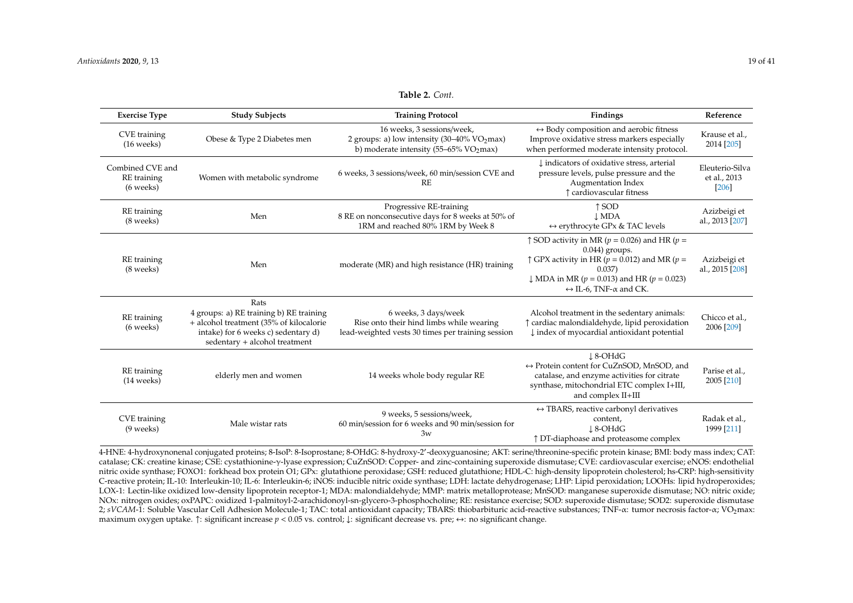| <b>Exercise Type</b>                         | <b>Study Subjects</b>                                                                                                                                              | <b>Training Protocol</b>                                                                                                          | Findings                                                                                                                                                                                                                                                                     | Reference                                |
|----------------------------------------------|--------------------------------------------------------------------------------------------------------------------------------------------------------------------|-----------------------------------------------------------------------------------------------------------------------------------|------------------------------------------------------------------------------------------------------------------------------------------------------------------------------------------------------------------------------------------------------------------------------|------------------------------------------|
| CVE training<br>$(16$ weeks)                 | Obese & Type 2 Diabetes men                                                                                                                                        | 16 weeks, 3 sessions/week,<br>2 groups: a) low intensity (30–40% VO <sub>2</sub> max)<br>b) moderate intensity (55–65% $VO2$ max) | $\leftrightarrow$ Body composition and aerobic fitness<br>Improve oxidative stress markers especially<br>when performed moderate intensity protocol.                                                                                                                         | Krause et al.,<br>2014 [205]             |
| Combined CVE and<br>RE training<br>(6 weeks) | Women with metabolic syndrome                                                                                                                                      | 6 weeks, 3 sessions/week, 60 min/session CVE and<br><b>RF</b>                                                                     | I indicators of oxidative stress, arterial<br>pressure levels, pulse pressure and the<br>Augmentation Index<br>↑ cardiovascular fitness                                                                                                                                      | Eleuterio-Silva<br>et al., 2013<br>[206] |
| RE training<br>(8 weeks)                     | Men                                                                                                                                                                | Progressive RE-training<br>8 RE on nonconsecutive days for 8 weeks at 50% of<br>1RM and reached 80% 1RM by Week 8                 | $\uparrow$ SOD<br><b>J</b> MDA<br>$\leftrightarrow$ erythrocyte GPx & TAC levels                                                                                                                                                                                             | Azizbeigi et<br>al., 2013 [207]          |
| RE training<br>(8 weeks)                     | Men                                                                                                                                                                | moderate (MR) and high resistance (HR) training                                                                                   | $\uparrow$ SOD activity in MR ( $p = 0.026$ ) and HR ( $p =$<br>$0.044$ ) groups.<br>$\uparrow$ GPX activity in HR ( $p = 0.012$ ) and MR ( $p =$<br>0.037<br>$\downarrow$ MDA in MR ( $p = 0.013$ ) and HR ( $p = 0.023$ )<br>$\leftrightarrow$ IL-6. TNF- $\alpha$ and CK. | Azizbeigi et<br>al., 2015 [208]          |
| RE training<br>(6 weeks)                     | Rats<br>4 groups: a) RE training b) RE training<br>+ alcohol treatment (35% of kilocalorie<br>intake) for 6 weeks c) sedentary d)<br>sedentary + alcohol treatment | 6 weeks, 3 days/week<br>Rise onto their hind limbs while wearing<br>lead-weighted vests 30 times per training session             | Alcohol treatment in the sedentary animals:<br>↑ cardiac malondialdehyde, lipid peroxidation<br>↓ index of myocardial antioxidant potential                                                                                                                                  | Chicco et al.,<br>2006 [209]             |
| RE training<br>$(14 \text{ weeks})$          | elderly men and women                                                                                                                                              | 14 weeks whole body regular RE                                                                                                    | $\downarrow$ 8-OHdG<br>$\leftrightarrow$ Protein content for CuZnSOD, MnSOD, and<br>catalase, and enzyme activities for citrate<br>synthase, mitochondrial ETC complex I+III,<br>and complex II+III                                                                          | Parise et al.,<br>2005 [210]             |
| CVE training<br>$(9$ weeks)                  | Male wistar rats                                                                                                                                                   | 9 weeks, 5 sessions/week,<br>60 min/session for 6 weeks and 90 min/session for<br>3w                                              | $\leftrightarrow$ TBARS, reactive carbonyl derivatives<br>content,<br>$\perp$ 8-OHdG<br>↑ DT-diaphoase and proteasome complex                                                                                                                                                | Radak et al.,<br>1999 [211]              |

**Table 2.** *Cont.*

<span id="page-18-0"></span>4-HNE: 4-hydroxynonenal conjugated proteins; 8-IsoP: 8-Isoprostane; 8-OHdG: 8-hydroxy-2'-deoxyguanosine; AKT: serine/threonine-specific protein kinase; BMI: body mass index; CAT: catalase; CK: creatine kinase; CSE: cystathionine-γ-lyase expression; CuZnSOD: Copper- and zinc-containing superoxide dismutase; CVE: cardiovascular exercise; eNOS: endothelial nitric oxide synthase; FOXO1: forkhead box protein O1; GPx: glutathione peroxidase; GSH: reduced glutathione; HDL-C: high-density lipoprotein cholesterol; hs-CRP: high-sensitivity C-reactive protein; IL-10: Interleukin-10; IL-6: Interleukin-6; iNOS: inducible nitric oxide synthase; LDH: lactate dehydrogenase; LHP: Lipid peroxidation; LOOHs: lipid hydroperoxides; LOX-1: Lectin-like oxidized low-density lipoprotein receptor-1; MDA: malondialdehyde; MMP: matrix metalloprotease; MnSOD: manganese superoxide dismutase; NO: nitric oxide; NOx: nitrogen oxides; oxPAPC: oxidized 1-palmitoyl-2-arachidonoyl-sn-glycero-3-phosphocholine; RE: resistance exercise; SOD: superoxide dismutase; SOD2: superoxide dismutase 2; *sVCAM-*1: Soluble Vascular Cell Adhesion Molecule-1; TAC: total antioxidant capacity; TBARS: thiobarbituric acid-reactive substances; TNF-α: tumor necrosis factor-α; VO2max: maximum oxygen uptake. ↑: significant increase *p* < 0.05 vs. control; ↓: significant decrease vs. pre; ↔: no significant change.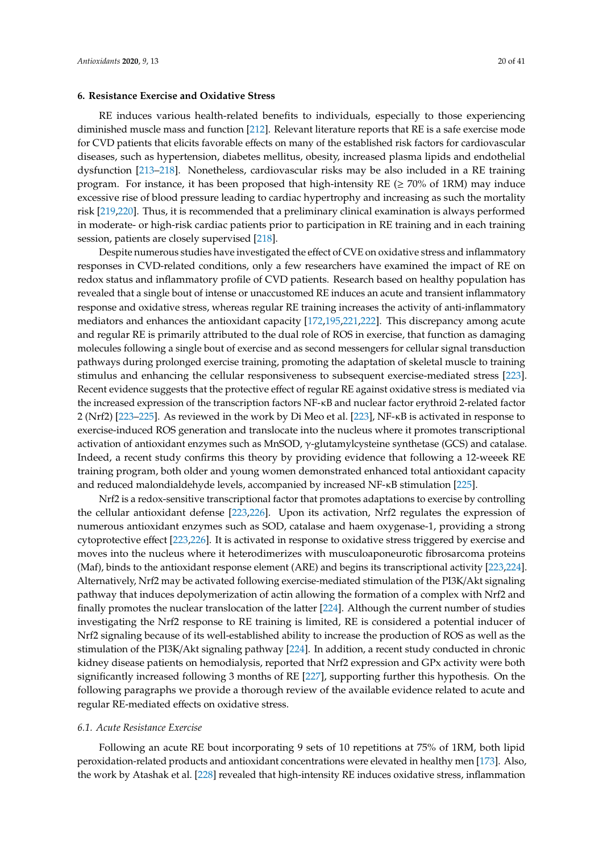## **6. Resistance Exercise and Oxidative Stress**

RE induces various health-related benefits to individuals, especially to those experiencing diminished muscle mass and function [\[212\]](#page-36-11). Relevant literature reports that RE is a safe exercise mode for CVD patients that elicits favorable effects on many of the established risk factors for cardiovascular diseases, such as hypertension, diabetes mellitus, obesity, increased plasma lipids and endothelial dysfunction [\[213–](#page-36-12)[218\]](#page-36-13). Nonetheless, cardiovascular risks may be also included in a RE training program. For instance, it has been proposed that high-intensity RE ( $\geq$  70% of 1RM) may induce excessive rise of blood pressure leading to cardiac hypertrophy and increasing as such the mortality risk [\[219,](#page-36-14)[220\]](#page-37-0). Thus, it is recommended that a preliminary clinical examination is always performed in moderate- or high-risk cardiac patients prior to participation in RE training and in each training session, patients are closely supervised [\[218\]](#page-36-13).

Despite numerous studies have investigated the effect of CVE on oxidative stress and inflammatory responses in CVD-related conditions, only a few researchers have examined the impact of RE on redox status and inflammatory profile of CVD patients. Research based on healthy population has revealed that a single bout of intense or unaccustomed RE induces an acute and transient inflammatory response and oxidative stress, whereas regular RE training increases the activity of anti-inflammatory mediators and enhances the antioxidant capacity [\[172](#page-34-23)[,195,](#page-35-27)[221,](#page-37-1)[222\]](#page-37-2). This discrepancy among acute and regular RE is primarily attributed to the dual role of ROS in exercise, that function as damaging molecules following a single bout of exercise and as second messengers for cellular signal transduction pathways during prolonged exercise training, promoting the adaptation of skeletal muscle to training stimulus and enhancing the cellular responsiveness to subsequent exercise-mediated stress [\[223\]](#page-37-3). Recent evidence suggests that the protective effect of regular RE against oxidative stress is mediated via the increased expression of the transcription factors NF-κB and nuclear factor erythroid 2-related factor 2 (Nrf2) [\[223](#page-37-3)[–225\]](#page-37-4). As reviewed in the work by Di Meo et al. [\[223\]](#page-37-3), NF-κB is activated in response to exercise-induced ROS generation and translocate into the nucleus where it promotes transcriptional activation of antioxidant enzymes such as MnSOD, γ-glutamylcysteine synthetase (GCS) and catalase. Indeed, a recent study confirms this theory by providing evidence that following a 12-weeek RE training program, both older and young women demonstrated enhanced total antioxidant capacity and reduced malondialdehyde levels, accompanied by increased NF-κB stimulation [\[225\]](#page-37-4).

Nrf2 is a redox-sensitive transcriptional factor that promotes adaptations to exercise by controlling the cellular antioxidant defense [\[223,](#page-37-3)[226\]](#page-37-5). Upon its activation, Nrf2 regulates the expression of numerous antioxidant enzymes such as SOD, catalase and haem oxygenase-1, providing a strong cytoprotective effect [\[223](#page-37-3)[,226\]](#page-37-5). It is activated in response to oxidative stress triggered by exercise and moves into the nucleus where it heterodimerizes with musculoaponeurotic fibrosarcoma proteins (Maf), binds to the antioxidant response element (ARE) and begins its transcriptional activity [\[223](#page-37-3)[,224\]](#page-37-6). Alternatively, Nrf2 may be activated following exercise-mediated stimulation of the PI3K/Akt signaling pathway that induces depolymerization of actin allowing the formation of a complex with Nrf2 and finally promotes the nuclear translocation of the latter [\[224\]](#page-37-6). Although the current number of studies investigating the Nrf2 response to RE training is limited, RE is considered a potential inducer of Nrf2 signaling because of its well-established ability to increase the production of ROS as well as the stimulation of the PI3K/Akt signaling pathway [\[224\]](#page-37-6). In addition, a recent study conducted in chronic kidney disease patients on hemodialysis, reported that Nrf2 expression and GPx activity were both significantly increased following 3 months of RE [\[227\]](#page-37-7), supporting further this hypothesis. On the following paragraphs we provide a thorough review of the available evidence related to acute and regular RE-mediated effects on oxidative stress.

## *6.1. Acute Resistance Exercise*

Following an acute RE bout incorporating 9 sets of 10 repetitions at 75% of 1RM, both lipid peroxidation-related products and antioxidant concentrations were elevated in healthy men [\[173\]](#page-34-25). Also, the work by Atashak et al. [\[228\]](#page-37-8) revealed that high-intensity RE induces oxidative stress, inflammation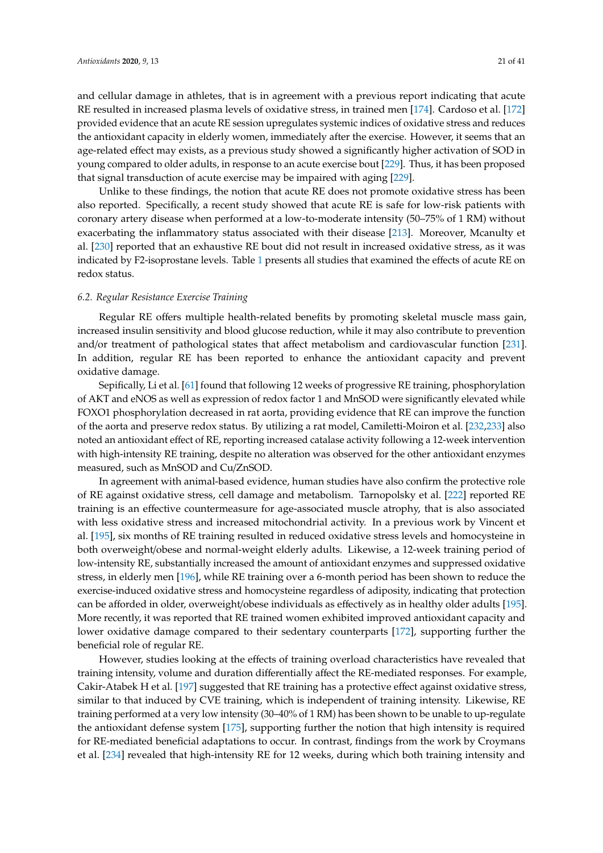and cellular damage in athletes, that is in agreement with a previous report indicating that acute RE resulted in increased plasma levels of oxidative stress, in trained men [\[174\]](#page-34-26). Cardoso et al. [\[172\]](#page-34-23) provided evidence that an acute RE session upregulates systemic indices of oxidative stress and reduces the antioxidant capacity in elderly women, immediately after the exercise. However, it seems that an age-related effect may exists, as a previous study showed a significantly higher activation of SOD in young compared to older adults, in response to an acute exercise bout [\[229\]](#page-37-9). Thus, it has been proposed that signal transduction of acute exercise may be impaired with aging [\[229\]](#page-37-9).

Unlike to these findings, the notion that acute RE does not promote oxidative stress has been also reported. Specifically, a recent study showed that acute RE is safe for low-risk patients with coronary artery disease when performed at a low-to-moderate intensity (50–75% of 1 RM) without exacerbating the inflammatory status associated with their disease [\[213\]](#page-36-12). Moreover, Mcanulty et al. [\[230\]](#page-37-10) reported that an exhaustive RE bout did not result in increased oxidative stress, as it was indicated by F2-isoprostane levels. Table [1](#page-12-0) presents all studies that examined the effects of acute RE on redox status.

### *6.2. Regular Resistance Exercise Training*

Regular RE offers multiple health-related benefits by promoting skeletal muscle mass gain, increased insulin sensitivity and blood glucose reduction, while it may also contribute to prevention and/or treatment of pathological states that affect metabolism and cardiovascular function [\[231\]](#page-37-11). In addition, regular RE has been reported to enhance the antioxidant capacity and prevent oxidative damage.

Sepifically, Li et al. [\[61\]](#page-28-18) found that following 12 weeks of progressive RE training, phosphorylation of AKT and eNOS as well as expression of redox factor 1 and MnSOD were significantly elevated while FOXO1 phosphorylation decreased in rat aorta, providing evidence that RE can improve the function of the aorta and preserve redox status. By utilizing a rat model, Camiletti-Moiron et al. [\[232](#page-37-12)[,233\]](#page-37-13) also noted an antioxidant effect of RE, reporting increased catalase activity following a 12-week intervention with high-intensity RE training, despite no alteration was observed for the other antioxidant enzymes measured, such as MnSOD and Cu/ZnSOD.

In agreement with animal-based evidence, human studies have also confirm the protective role of RE against oxidative stress, cell damage and metabolism. Tarnopolsky et al. [\[222\]](#page-37-2) reported RE training is an effective countermeasure for age-associated muscle atrophy, that is also associated with less oxidative stress and increased mitochondrial activity. In a previous work by Vincent et al. [\[195\]](#page-35-27), six months of RE training resulted in reduced oxidative stress levels and homocysteine in both overweight/obese and normal-weight elderly adults. Likewise, a 12-week training period of low-intensity RE, substantially increased the amount of antioxidant enzymes and suppressed oxidative stress, in elderly men [\[196\]](#page-35-28), while RE training over a 6-month period has been shown to reduce the exercise-induced oxidative stress and homocysteine regardless of adiposity, indicating that protection can be afforded in older, overweight/obese individuals as effectively as in healthy older adults [\[195\]](#page-35-27). More recently, it was reported that RE trained women exhibited improved antioxidant capacity and lower oxidative damage compared to their sedentary counterparts [\[172\]](#page-34-23), supporting further the beneficial role of regular RE.

However, studies looking at the effects of training overload characteristics have revealed that training intensity, volume and duration differentially affect the RE-mediated responses. For example, Cakir-Atabek H et al. [\[197\]](#page-35-29) suggested that RE training has a protective effect against oxidative stress, similar to that induced by CVE training, which is independent of training intensity. Likewise, RE training performed at a very low intensity (30–40% of 1 RM) has been shown to be unable to up-regulate the antioxidant defense system [\[175\]](#page-34-27), supporting further the notion that high intensity is required for RE-mediated beneficial adaptations to occur. In contrast, findings from the work by Croymans et al. [\[234\]](#page-37-14) revealed that high-intensity RE for 12 weeks, during which both training intensity and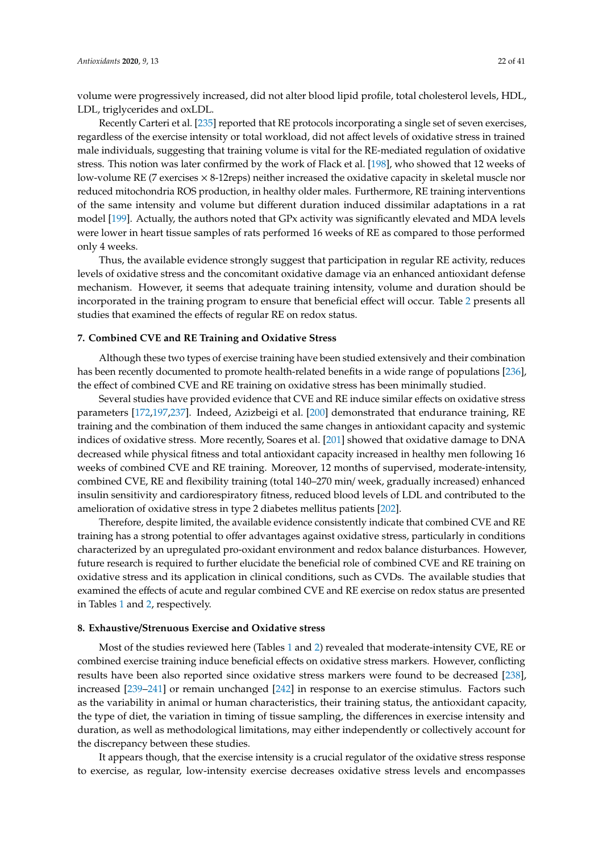volume were progressively increased, did not alter blood lipid profile, total cholesterol levels, HDL, LDL, triglycerides and oxLDL.

Recently Carteri et al. [\[235\]](#page-37-15) reported that RE protocols incorporating a single set of seven exercises, regardless of the exercise intensity or total workload, did not affect levels of oxidative stress in trained male individuals, suggesting that training volume is vital for the RE-mediated regulation of oxidative stress. This notion was later confirmed by the work of Flack et al. [\[198\]](#page-35-30), who showed that 12 weeks of low-volume RE (7 exercises  $\times$  8-12reps) neither increased the oxidative capacity in skeletal muscle nor reduced mitochondria ROS production, in healthy older males. Furthermore, RE training interventions of the same intensity and volume but different duration induced dissimilar adaptations in a rat model [\[199\]](#page-35-31). Actually, the authors noted that GPx activity was significantly elevated and MDA levels were lower in heart tissue samples of rats performed 16 weeks of RE as compared to those performed only 4 weeks.

Thus, the available evidence strongly suggest that participation in regular RE activity, reduces levels of oxidative stress and the concomitant oxidative damage via an enhanced antioxidant defense mechanism. However, it seems that adequate training intensity, volume and duration should be incorporated in the training program to ensure that beneficial effect will occur. Table [2](#page-18-0) presents all studies that examined the effects of regular RE on redox status.

## **7. Combined CVE and RE Training and Oxidative Stress**

Although these two types of exercise training have been studied extensively and their combination has been recently documented to promote health-related benefits in a wide range of populations [\[236\]](#page-37-16), the effect of combined CVE and RE training on oxidative stress has been minimally studied.

Several studies have provided evidence that CVE and RE induce similar effects on oxidative stress parameters [\[172](#page-34-23)[,197,](#page-35-29)[237\]](#page-37-17). Indeed, Azizbeigi et al. [\[200\]](#page-35-32) demonstrated that endurance training, RE training and the combination of them induced the same changes in antioxidant capacity and systemic indices of oxidative stress. More recently, Soares et al. [\[201\]](#page-36-15) showed that oxidative damage to DNA decreased while physical fitness and total antioxidant capacity increased in healthy men following 16 weeks of combined CVE and RE training. Moreover, 12 months of supervised, moderate-intensity, combined CVE, RE and flexibility training (total 140–270 min/ week, gradually increased) enhanced insulin sensitivity and cardiorespiratory fitness, reduced blood levels of LDL and contributed to the amelioration of oxidative stress in type 2 diabetes mellitus patients [\[202\]](#page-36-16).

Therefore, despite limited, the available evidence consistently indicate that combined CVE and RE training has a strong potential to offer advantages against oxidative stress, particularly in conditions characterized by an upregulated pro-oxidant environment and redox balance disturbances. However, future research is required to further elucidate the beneficial role of combined CVE and RE training on oxidative stress and its application in clinical conditions, such as CVDs. The available studies that examined the effects of acute and regular combined CVE and RE exercise on redox status are presented in Tables [1](#page-12-0) and [2,](#page-18-0) respectively.

## **8. Exhaustive**/**Strenuous Exercise and Oxidative stress**

Most of the studies reviewed here (Tables [1](#page-12-0) and [2\)](#page-18-0) revealed that moderate-intensity CVE, RE or combined exercise training induce beneficial effects on oxidative stress markers. However, conflicting results have been also reported since oxidative stress markers were found to be decreased [\[238\]](#page-37-18), increased [\[239–](#page-37-19)[241\]](#page-38-0) or remain unchanged [\[242\]](#page-38-1) in response to an exercise stimulus. Factors such as the variability in animal or human characteristics, their training status, the antioxidant capacity, the type of diet, the variation in timing of tissue sampling, the differences in exercise intensity and duration, as well as methodological limitations, may either independently or collectively account for the discrepancy between these studies.

It appears though, that the exercise intensity is a crucial regulator of the oxidative stress response to exercise, as regular, low-intensity exercise decreases oxidative stress levels and encompasses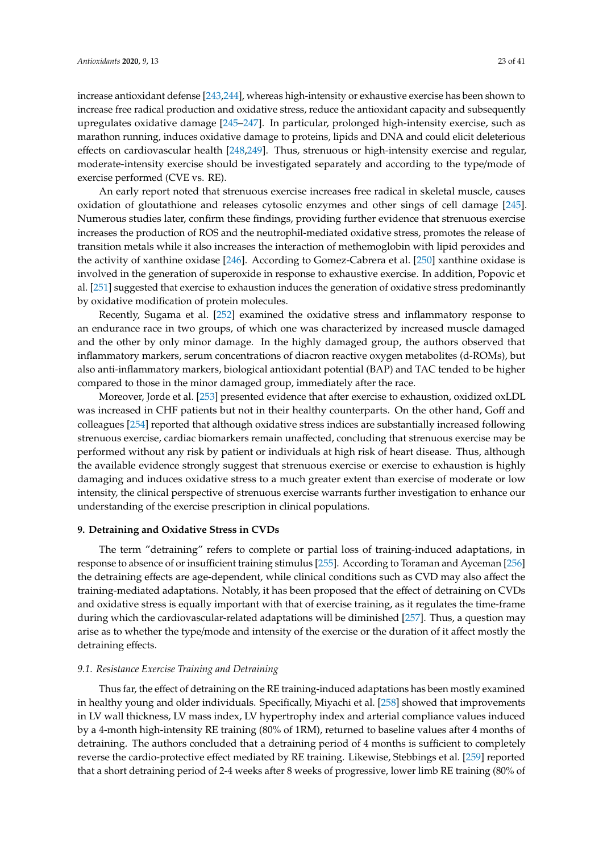increase antioxidant defense [\[243](#page-38-2)[,244\]](#page-38-3), whereas high-intensity or exhaustive exercise has been shown to increase free radical production and oxidative stress, reduce the antioxidant capacity and subsequently upregulates oxidative damage [\[245](#page-38-4)[–247\]](#page-38-5). In particular, prolonged high-intensity exercise, such as marathon running, induces oxidative damage to proteins, lipids and DNA and could elicit deleterious effects on cardiovascular health [\[248,](#page-38-6)[249\]](#page-38-7). Thus, strenuous or high-intensity exercise and regular, moderate-intensity exercise should be investigated separately and according to the type/mode of exercise performed (CVE vs. RE).

An early report noted that strenuous exercise increases free radical in skeletal muscle, causes oxidation of gloutathione and releases cytosolic enzymes and other sings of cell damage [\[245\]](#page-38-4). Numerous studies later, confirm these findings, providing further evidence that strenuous exercise increases the production of ROS and the neutrophil-mediated oxidative stress, promotes the release of transition metals while it also increases the interaction of methemoglobin with lipid peroxides and the activity of xanthine oxidase [\[246\]](#page-38-8). According to Gomez-Cabrera et al. [\[250\]](#page-38-9) xanthine oxidase is involved in the generation of superoxide in response to exhaustive exercise. In addition, Popovic et al. [\[251\]](#page-38-10) suggested that exercise to exhaustion induces the generation of oxidative stress predominantly by oxidative modification of protein molecules.

Recently, Sugama et al. [\[252\]](#page-38-11) examined the oxidative stress and inflammatory response to an endurance race in two groups, of which one was characterized by increased muscle damaged and the other by only minor damage. In the highly damaged group, the authors observed that inflammatory markers, serum concentrations of diacron reactive oxygen metabolites (d-ROMs), but also anti-inflammatory markers, biological antioxidant potential (BAP) and TAC tended to be higher compared to those in the minor damaged group, immediately after the race.

Moreover, Jorde et al. [\[253\]](#page-38-12) presented evidence that after exercise to exhaustion, oxidized oxLDL was increased in CHF patients but not in their healthy counterparts. On the other hand, Goff and colleagues [\[254\]](#page-38-13) reported that although oxidative stress indices are substantially increased following strenuous exercise, cardiac biomarkers remain unaffected, concluding that strenuous exercise may be performed without any risk by patient or individuals at high risk of heart disease. Thus, although the available evidence strongly suggest that strenuous exercise or exercise to exhaustion is highly damaging and induces oxidative stress to a much greater extent than exercise of moderate or low intensity, the clinical perspective of strenuous exercise warrants further investigation to enhance our understanding of the exercise prescription in clinical populations.

### **9. Detraining and Oxidative Stress in CVDs**

The term "detraining" refers to complete or partial loss of training-induced adaptations, in response to absence of or insufficient training stimulus [\[255\]](#page-38-14). According to Toraman and Ayceman [\[256\]](#page-38-15) the detraining effects are age-dependent, while clinical conditions such as CVD may also affect the training-mediated adaptations. Notably, it has been proposed that the effect of detraining on CVDs and oxidative stress is equally important with that of exercise training, as it regulates the time-frame during which the cardiovascular-related adaptations will be diminished [\[257\]](#page-38-16). Thus, a question may arise as to whether the type/mode and intensity of the exercise or the duration of it affect mostly the detraining effects.

## *9.1. Resistance Exercise Training and Detraining*

Thus far, the effect of detraining on the RE training-induced adaptations has been mostly examined in healthy young and older individuals. Specifically, Miyachi et al. [\[258\]](#page-38-17) showed that improvements in LV wall thickness, LV mass index, LV hypertrophy index and arterial compliance values induced by a 4-month high-intensity RE training (80% of 1RM), returned to baseline values after 4 months of detraining. The authors concluded that a detraining period of 4 months is sufficient to completely reverse the cardio-protective effect mediated by RE training. Likewise, Stebbings et al. [\[259\]](#page-38-18) reported that a short detraining period of 2-4 weeks after 8 weeks of progressive, lower limb RE training (80% of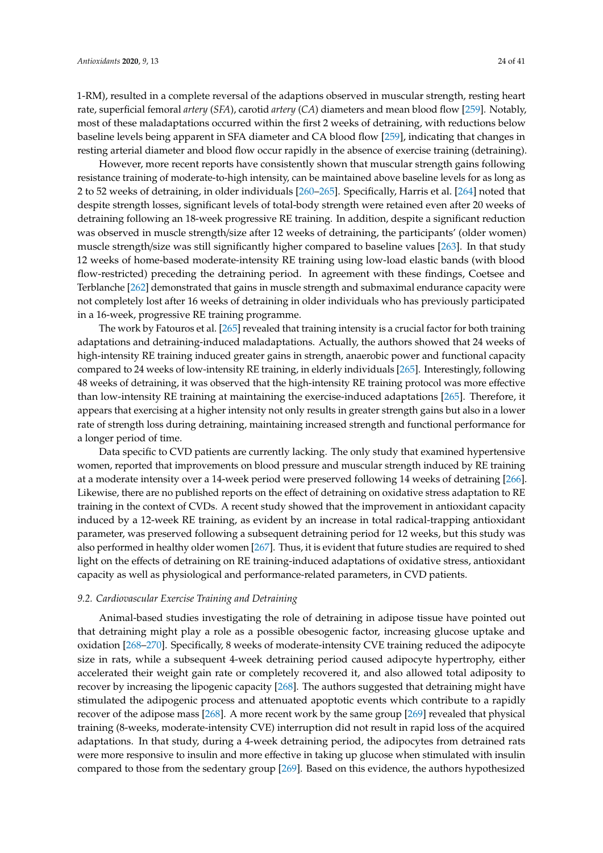1-RM), resulted in a complete reversal of the adaptions observed in muscular strength, resting heart rate, superficial femoral *artery* (*SFA*), carotid *artery* (*CA*) diameters and mean blood flow [\[259\]](#page-38-18). Notably, most of these maladaptations occurred within the first 2 weeks of detraining, with reductions below baseline levels being apparent in SFA diameter and CA blood flow [\[259\]](#page-38-18), indicating that changes in resting arterial diameter and blood flow occur rapidly in the absence of exercise training (detraining).

However, more recent reports have consistently shown that muscular strength gains following resistance training of moderate-to-high intensity, can be maintained above baseline levels for as long as 2 to 52 weeks of detraining, in older individuals [\[260](#page-39-0)[–265\]](#page-39-1). Specifically, Harris et al. [\[264\]](#page-39-2) noted that despite strength losses, significant levels of total-body strength were retained even after 20 weeks of detraining following an 18-week progressive RE training. In addition, despite a significant reduction was observed in muscle strength/size after 12 weeks of detraining, the participants' (older women) muscle strength/size was still significantly higher compared to baseline values [\[263\]](#page-39-3). In that study 12 weeks of home-based moderate-intensity RE training using low-load elastic bands (with blood flow-restricted) preceding the detraining period. In agreement with these findings, Coetsee and Terblanche [\[262\]](#page-39-4) demonstrated that gains in muscle strength and submaximal endurance capacity were not completely lost after 16 weeks of detraining in older individuals who has previously participated in a 16-week, progressive RE training programme.

The work by Fatouros et al. [\[265\]](#page-39-1) revealed that training intensity is a crucial factor for both training adaptations and detraining-induced maladaptations. Actually, the authors showed that 24 weeks of high-intensity RE training induced greater gains in strength, anaerobic power and functional capacity compared to 24 weeks of low-intensity RE training, in elderly individuals [\[265\]](#page-39-1). Interestingly, following 48 weeks of detraining, it was observed that the high-intensity RE training protocol was more effective than low-intensity RE training at maintaining the exercise-induced adaptations [\[265\]](#page-39-1). Therefore, it appears that exercising at a higher intensity not only results in greater strength gains but also in a lower rate of strength loss during detraining, maintaining increased strength and functional performance for a longer period of time.

Data specific to CVD patients are currently lacking. The only study that examined hypertensive women, reported that improvements on blood pressure and muscular strength induced by RE training at a moderate intensity over a 14-week period were preserved following 14 weeks of detraining [\[266\]](#page-39-5). Likewise, there are no published reports on the effect of detraining on oxidative stress adaptation to RE training in the context of CVDs. A recent study showed that the improvement in antioxidant capacity induced by a 12-week RE training, as evident by an increase in total radical-trapping antioxidant parameter, was preserved following a subsequent detraining period for 12 weeks, but this study was also performed in healthy older women [\[267\]](#page-39-6). Thus, it is evident that future studies are required to shed light on the effects of detraining on RE training-induced adaptations of oxidative stress, antioxidant capacity as well as physiological and performance-related parameters, in CVD patients.

#### *9.2. Cardiovascular Exercise Training and Detraining*

Animal-based studies investigating the role of detraining in adipose tissue have pointed out that detraining might play a role as a possible obesogenic factor, increasing glucose uptake and oxidation [\[268–](#page-39-7)[270\]](#page-39-8). Specifically, 8 weeks of moderate-intensity CVE training reduced the adipocyte size in rats, while a subsequent 4-week detraining period caused adipocyte hypertrophy, either accelerated their weight gain rate or completely recovered it, and also allowed total adiposity to recover by increasing the lipogenic capacity [\[268\]](#page-39-7). The authors suggested that detraining might have stimulated the adipogenic process and attenuated apoptotic events which contribute to a rapidly recover of the adipose mass [\[268\]](#page-39-7). A more recent work by the same group [\[269\]](#page-39-9) revealed that physical training (8-weeks, moderate-intensity CVE) interruption did not result in rapid loss of the acquired adaptations. In that study, during a 4-week detraining period, the adipocytes from detrained rats were more responsive to insulin and more effective in taking up glucose when stimulated with insulin compared to those from the sedentary group [\[269\]](#page-39-9). Based on this evidence, the authors hypothesized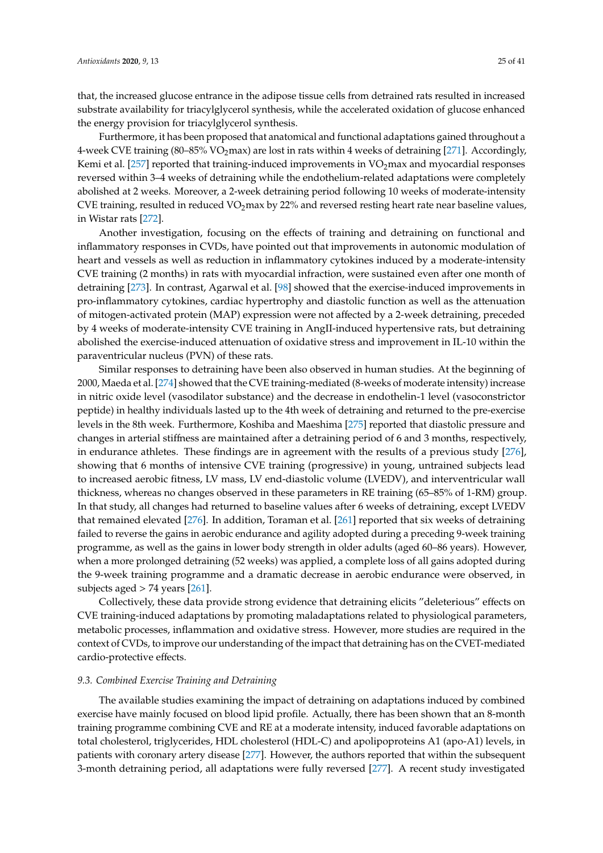that, the increased glucose entrance in the adipose tissue cells from detrained rats resulted in increased substrate availability for triacylglycerol synthesis, while the accelerated oxidation of glucose enhanced the energy provision for triacylglycerol synthesis.

Furthermore, it has been proposed that anatomical and functional adaptations gained throughout a 4-week CVE training (80–85% VO<sub>2</sub>max) are lost in rats within 4 weeks of detraining [\[271\]](#page-39-10). Accordingly, Kemi et al.  $[257]$  reported that training-induced improvements in  $VO<sub>2</sub>$  max and myocardial responses reversed within 3–4 weeks of detraining while the endothelium-related adaptations were completely abolished at 2 weeks. Moreover, a 2-week detraining period following 10 weeks of moderate-intensity CVE training, resulted in reduced  $VO<sub>2</sub>$ max by 22% and reversed resting heart rate near baseline values, in Wistar rats [\[272\]](#page-39-11).

Another investigation, focusing on the effects of training and detraining on functional and inflammatory responses in CVDs, have pointed out that improvements in autonomic modulation of heart and vessels as well as reduction in inflammatory cytokines induced by a moderate-intensity CVE training (2 months) in rats with myocardial infraction, were sustained even after one month of detraining [\[273\]](#page-39-12). In contrast, Agarwal et al. [\[98\]](#page-30-14) showed that the exercise-induced improvements in pro-inflammatory cytokines, cardiac hypertrophy and diastolic function as well as the attenuation of mitogen-activated protein (MAP) expression were not affected by a 2-week detraining, preceded by 4 weeks of moderate-intensity CVE training in AngII-induced hypertensive rats, but detraining abolished the exercise-induced attenuation of oxidative stress and improvement in IL-10 within the paraventricular nucleus (PVN) of these rats.

Similar responses to detraining have been also observed in human studies. At the beginning of 2000, Maeda et al. [\[274\]](#page-39-13) showed that the CVE training-mediated (8-weeks of moderate intensity) increase in nitric oxide level (vasodilator substance) and the decrease in endothelin-1 level (vasoconstrictor peptide) in healthy individuals lasted up to the 4th week of detraining and returned to the pre-exercise levels in the 8th week. Furthermore, Koshiba and Maeshima [\[275\]](#page-39-14) reported that diastolic pressure and changes in arterial stiffness are maintained after a detraining period of 6 and 3 months, respectively, in endurance athletes. These findings are in agreement with the results of a previous study [\[276\]](#page-39-15), showing that 6 months of intensive CVE training (progressive) in young, untrained subjects lead to increased aerobic fitness, LV mass, LV end-diastolic volume (LVEDV), and interventricular wall thickness, whereas no changes observed in these parameters in RE training (65–85% of 1-RM) group. In that study, all changes had returned to baseline values after 6 weeks of detraining, except LVEDV that remained elevated [\[276\]](#page-39-15). In addition, Toraman et al. [\[261\]](#page-39-16) reported that six weeks of detraining failed to reverse the gains in aerobic endurance and agility adopted during a preceding 9-week training programme, as well as the gains in lower body strength in older adults (aged 60–86 years). However, when a more prolonged detraining (52 weeks) was applied, a complete loss of all gains adopted during the 9-week training programme and a dramatic decrease in aerobic endurance were observed, in subjects aged  $> 74$  years [\[261\]](#page-39-16).

Collectively, these data provide strong evidence that detraining elicits "deleterious" effects on CVE training-induced adaptations by promoting maladaptations related to physiological parameters, metabolic processes, inflammation and oxidative stress. However, more studies are required in the context of CVDs, to improve our understanding of the impact that detraining has on the CVET-mediated cardio-protective effects.

## *9.3. Combined Exercise Training and Detraining*

The available studies examining the impact of detraining on adaptations induced by combined exercise have mainly focused on blood lipid profile. Actually, there has been shown that an 8-month training programme combining CVE and RE at a moderate intensity, induced favorable adaptations on total cholesterol, triglycerides, HDL cholesterol (HDL-C) and apolipoproteins A1 (apo-A1) levels, in patients with coronary artery disease [\[277\]](#page-39-17). However, the authors reported that within the subsequent 3-month detraining period, all adaptations were fully reversed [\[277\]](#page-39-17). A recent study investigated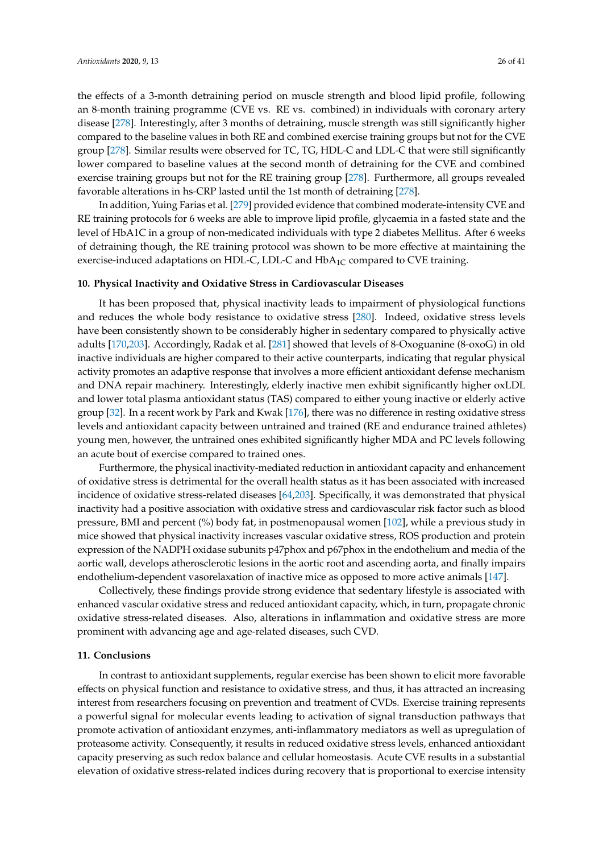the effects of a 3-month detraining period on muscle strength and blood lipid profile, following an 8-month training programme (CVE vs. RE vs. combined) in individuals with coronary artery disease [\[278\]](#page-40-0). Interestingly, after 3 months of detraining, muscle strength was still significantly higher compared to the baseline values in both RE and combined exercise training groups but not for the CVE group [\[278\]](#page-40-0). Similar results were observed for TC, TG, HDL-C and LDL-C that were still significantly lower compared to baseline values at the second month of detraining for the CVE and combined exercise training groups but not for the RE training group [\[278\]](#page-40-0). Furthermore, all groups revealed favorable alterations in hs-CRP lasted until the 1st month of detraining [\[278\]](#page-40-0).

In addition, Yuing Farias et al. [\[279\]](#page-40-1) provided evidence that combined moderate-intensity CVE and RE training protocols for 6 weeks are able to improve lipid profile, glycaemia in a fasted state and the level of HbA1C in a group of non-medicated individuals with type 2 diabetes Mellitus. After 6 weeks of detraining though, the RE training protocol was shown to be more effective at maintaining the exercise-induced adaptations on HDL-C, LDL-C and  $HbA<sub>1C</sub>$  compared to CVE training.

## **10. Physical Inactivity and Oxidative Stress in Cardiovascular Diseases**

It has been proposed that, physical inactivity leads to impairment of physiological functions and reduces the whole body resistance to oxidative stress [\[280\]](#page-40-2). Indeed, oxidative stress levels have been consistently shown to be considerably higher in sedentary compared to physically active adults [\[170,](#page-34-10)[203\]](#page-36-17). Accordingly, Radak et al. [\[281\]](#page-40-3) showed that levels of 8-Oxoguanine (8-oxoG) in old inactive individuals are higher compared to their active counterparts, indicating that regular physical activity promotes an adaptive response that involves a more efficient antioxidant defense mechanism and DNA repair machinery. Interestingly, elderly inactive men exhibit significantly higher oxLDL and lower total plasma antioxidant status (TAS) compared to either young inactive or elderly active group [\[32\]](#page-27-13). In a recent work by Park and Kwak [\[176\]](#page-34-28), there was no difference in resting oxidative stress levels and antioxidant capacity between untrained and trained (RE and endurance trained athletes) young men, however, the untrained ones exhibited significantly higher MDA and PC levels following an acute bout of exercise compared to trained ones.

Furthermore, the physical inactivity-mediated reduction in antioxidant capacity and enhancement of oxidative stress is detrimental for the overall health status as it has been associated with increased incidence of oxidative stress-related diseases [\[64,](#page-29-2)[203\]](#page-36-17). Specifically, it was demonstrated that physical inactivity had a positive association with oxidative stress and cardiovascular risk factor such as blood pressure, BMI and percent (%) body fat, in postmenopausal women [\[102\]](#page-31-1), while a previous study in mice showed that physical inactivity increases vascular oxidative stress, ROS production and protein expression of the NADPH oxidase subunits p47phox and p67phox in the endothelium and media of the aortic wall, develops atherosclerotic lesions in the aortic root and ascending aorta, and finally impairs endothelium-dependent vasorelaxation of inactive mice as opposed to more active animals [\[147\]](#page-33-3).

Collectively, these findings provide strong evidence that sedentary lifestyle is associated with enhanced vascular oxidative stress and reduced antioxidant capacity, which, in turn, propagate chronic oxidative stress-related diseases. Also, alterations in inflammation and oxidative stress are more prominent with advancing age and age-related diseases, such CVD.

#### **11. Conclusions**

In contrast to antioxidant supplements, regular exercise has been shown to elicit more favorable effects on physical function and resistance to oxidative stress, and thus, it has attracted an increasing interest from researchers focusing on prevention and treatment of CVDs. Exercise training represents a powerful signal for molecular events leading to activation of signal transduction pathways that promote activation of antioxidant enzymes, anti-inflammatory mediators as well as upregulation of proteasome activity. Consequently, it results in reduced oxidative stress levels, enhanced antioxidant capacity preserving as such redox balance and cellular homeostasis. Acute CVE results in a substantial elevation of oxidative stress-related indices during recovery that is proportional to exercise intensity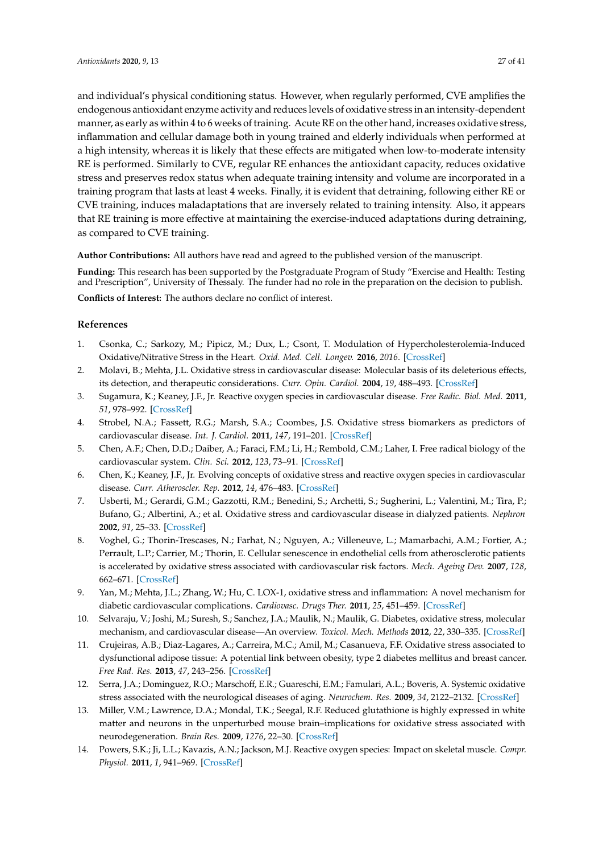and individual's physical conditioning status. However, when regularly performed, CVE amplifies the endogenous antioxidant enzyme activity and reduces levels of oxidative stress in an intensity-dependent manner, as early as within 4 to 6 weeks of training. Acute RE on the other hand, increases oxidative stress, inflammation and cellular damage both in young trained and elderly individuals when performed at a high intensity, whereas it is likely that these effects are mitigated when low-to-moderate intensity RE is performed. Similarly to CVE, regular RE enhances the antioxidant capacity, reduces oxidative stress and preserves redox status when adequate training intensity and volume are incorporated in a training program that lasts at least 4 weeks. Finally, it is evident that detraining, following either RE or CVE training, induces maladaptations that are inversely related to training intensity. Also, it appears that RE training is more effective at maintaining the exercise-induced adaptations during detraining, as compared to CVE training.

**Author Contributions:** All authors have read and agreed to the published version of the manuscript.

**Funding:** This research has been supported by the Postgraduate Program of Study "Exercise and Health: Testing and Prescription", University of Thessaly. The funder had no role in the preparation on the decision to publish.

**Conflicts of Interest:** The authors declare no conflict of interest.

# **References**

- <span id="page-26-0"></span>1. Csonka, C.; Sarkozy, M.; Pipicz, M.; Dux, L.; Csont, T. Modulation of Hypercholesterolemia-Induced Oxidative/Nitrative Stress in the Heart. *Oxid. Med. Cell. Longev.* **2016**, *2016*. [\[CrossRef\]](http://dx.doi.org/10.1155/2016/3863726)
- 2. Molavi, B.; Mehta, J.L. Oxidative stress in cardiovascular disease: Molecular basis of its deleterious effects, its detection, and therapeutic considerations. *Curr. Opin. Cardiol.* **2004**, *19*, 488–493. [\[CrossRef\]](http://dx.doi.org/10.1097/01.hco.0000133657.77024.bd)
- <span id="page-26-10"></span>3. Sugamura, K.; Keaney, J.F., Jr. Reactive oxygen species in cardiovascular disease. *Free Radic. Biol. Med.* **2011**, *51*, 978–992. [\[CrossRef\]](http://dx.doi.org/10.1016/j.freeradbiomed.2011.05.004)
- 4. Strobel, N.A.; Fassett, R.G.; Marsh, S.A.; Coombes, J.S. Oxidative stress biomarkers as predictors of cardiovascular disease. *Int. J. Cardiol.* **2011**, *147*, 191–201. [\[CrossRef\]](http://dx.doi.org/10.1016/j.ijcard.2010.08.008)
- 5. Chen, A.F.; Chen, D.D.; Daiber, A.; Faraci, F.M.; Li, H.; Rembold, C.M.; Laher, I. Free radical biology of the cardiovascular system. *Clin. Sci.* **2012**, *123*, 73–91. [\[CrossRef\]](http://dx.doi.org/10.1042/CS20110562)
- <span id="page-26-1"></span>6. Chen, K.; Keaney, J.F., Jr. Evolving concepts of oxidative stress and reactive oxygen species in cardiovascular disease. *Curr. Atheroscler. Rep.* **2012**, *14*, 476–483. [\[CrossRef\]](http://dx.doi.org/10.1007/s11883-012-0266-8)
- <span id="page-26-2"></span>7. Usberti, M.; Gerardi, G.M.; Gazzotti, R.M.; Benedini, S.; Archetti, S.; Sugherini, L.; Valentini, M.; Tira, P.; Bufano, G.; Albertini, A.; et al. Oxidative stress and cardiovascular disease in dialyzed patients. *Nephron* **2002**, *91*, 25–33. [\[CrossRef\]](http://dx.doi.org/10.1159/000057601)
- <span id="page-26-3"></span>8. Voghel, G.; Thorin-Trescases, N.; Farhat, N.; Nguyen, A.; Villeneuve, L.; Mamarbachi, A.M.; Fortier, A.; Perrault, L.P.; Carrier, M.; Thorin, E. Cellular senescence in endothelial cells from atherosclerotic patients is accelerated by oxidative stress associated with cardiovascular risk factors. *Mech. Ageing Dev.* **2007**, *128*, 662–671. [\[CrossRef\]](http://dx.doi.org/10.1016/j.mad.2007.09.006)
- <span id="page-26-4"></span>9. Yan, M.; Mehta, J.L.; Zhang, W.; Hu, C. LOX-1, oxidative stress and inflammation: A novel mechanism for diabetic cardiovascular complications. *Cardiovasc. Drugs Ther.* **2011**, *25*, 451–459. [\[CrossRef\]](http://dx.doi.org/10.1007/s10557-011-6342-4)
- <span id="page-26-5"></span>10. Selvaraju, V.; Joshi, M.; Suresh, S.; Sanchez, J.A.; Maulik, N.; Maulik, G. Diabetes, oxidative stress, molecular mechanism, and cardiovascular disease—An overview. *Toxicol. Mech. Methods* **2012**, *22*, 330–335. [\[CrossRef\]](http://dx.doi.org/10.3109/15376516.2012.666648)
- <span id="page-26-6"></span>11. Crujeiras, A.B.; Diaz-Lagares, A.; Carreira, M.C.; Amil, M.; Casanueva, F.F. Oxidative stress associated to dysfunctional adipose tissue: A potential link between obesity, type 2 diabetes mellitus and breast cancer. *Free Rad. Res.* **2013**, *47*, 243–256. [\[CrossRef\]](http://dx.doi.org/10.3109/10715762.2013.772604)
- <span id="page-26-7"></span>12. Serra, J.A.; Dominguez, R.O.; Marschoff, E.R.; Guareschi, E.M.; Famulari, A.L.; Boveris, A. Systemic oxidative stress associated with the neurological diseases of aging. *Neurochem. Res.* **2009**, *34*, 2122–2132. [\[CrossRef\]](http://dx.doi.org/10.1007/s11064-009-9997-5)
- <span id="page-26-8"></span>13. Miller, V.M.; Lawrence, D.A.; Mondal, T.K.; Seegal, R.F. Reduced glutathione is highly expressed in white matter and neurons in the unperturbed mouse brain–implications for oxidative stress associated with neurodegeneration. *Brain Res.* **2009**, *1276*, 22–30. [\[CrossRef\]](http://dx.doi.org/10.1016/j.brainres.2009.04.029)
- <span id="page-26-9"></span>14. Powers, S.K.; Ji, L.L.; Kavazis, A.N.; Jackson, M.J. Reactive oxygen species: Impact on skeletal muscle. *Compr. Physiol.* **2011**, *1*, 941–969. [\[CrossRef\]](http://dx.doi.org/10.1002/cphy.c100054)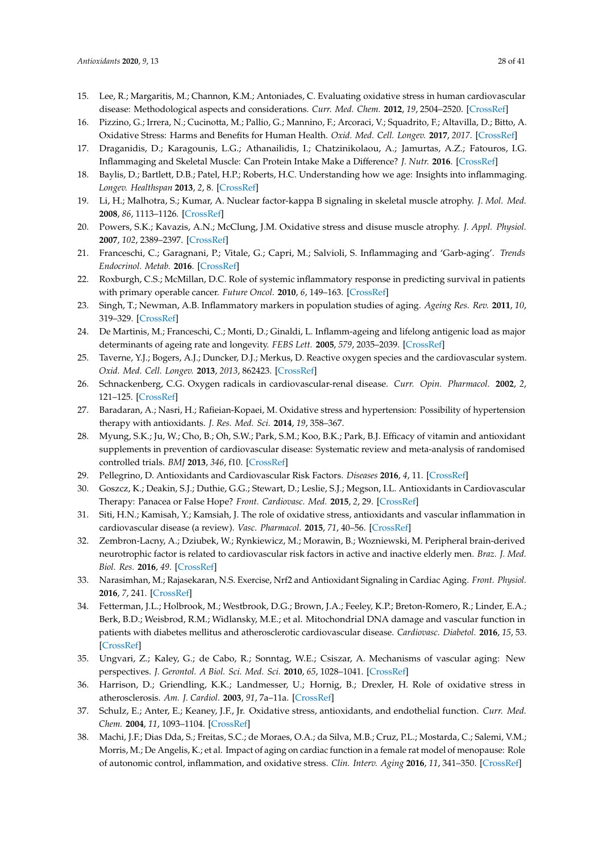- <span id="page-27-0"></span>15. Lee, R.; Margaritis, M.; Channon, K.M.; Antoniades, C. Evaluating oxidative stress in human cardiovascular disease: Methodological aspects and considerations. *Curr. Med. Chem.* **2012**, *19*, 2504–2520. [\[CrossRef\]](http://dx.doi.org/10.2174/092986712800493057)
- <span id="page-27-1"></span>16. Pizzino, G.; Irrera, N.; Cucinotta, M.; Pallio, G.; Mannino, F.; Arcoraci, V.; Squadrito, F.; Altavilla, D.; Bitto, A. Oxidative Stress: Harms and Benefits for Human Health. *Oxid. Med. Cell. Longev.* **2017**, *2017*. [\[CrossRef\]](http://dx.doi.org/10.1155/2017/8416763)
- <span id="page-27-2"></span>17. Draganidis, D.; Karagounis, L.G.; Athanailidis, I.; Chatzinikolaou, A.; Jamurtas, A.Z.; Fatouros, I.G. Inflammaging and Skeletal Muscle: Can Protein Intake Make a Difference? *J. Nutr.* **2016**. [\[CrossRef\]](http://dx.doi.org/10.3945/jn.116.230912)
- <span id="page-27-4"></span>18. Baylis, D.; Bartlett, D.B.; Patel, H.P.; Roberts, H.C. Understanding how we age: Insights into inflammaging. *Longev. Healthspan* **2013**, *2*, 8. [\[CrossRef\]](http://dx.doi.org/10.1186/2046-2395-2-8)
- 19. Li, H.; Malhotra, S.; Kumar, A. Nuclear factor-kappa B signaling in skeletal muscle atrophy. *J. Mol. Med.* **2008**, *86*, 1113–1126. [\[CrossRef\]](http://dx.doi.org/10.1007/s00109-008-0373-8)
- <span id="page-27-3"></span>20. Powers, S.K.; Kavazis, A.N.; McClung, J.M. Oxidative stress and disuse muscle atrophy. *J. Appl. Physiol.* **2007**, *102*, 2389–2397. [\[CrossRef\]](http://dx.doi.org/10.1152/japplphysiol.01202.2006)
- <span id="page-27-5"></span>21. Franceschi, C.; Garagnani, P.; Vitale, G.; Capri, M.; Salvioli, S. Inflammaging and 'Garb-aging'. *Trends Endocrinol. Metab.* **2016**. [\[CrossRef\]](http://dx.doi.org/10.1016/j.tem.2016.09.005)
- 22. Roxburgh, C.S.; McMillan, D.C. Role of systemic inflammatory response in predicting survival in patients with primary operable cancer. *Future Oncol.* **2010**, *6*, 149–163. [\[CrossRef\]](http://dx.doi.org/10.2217/fon.09.136)
- 23. Singh, T.; Newman, A.B. Inflammatory markers in population studies of aging. *Ageing Res. Rev.* **2011**, *10*, 319–329. [\[CrossRef\]](http://dx.doi.org/10.1016/j.arr.2010.11.002)
- <span id="page-27-6"></span>24. De Martinis, M.; Franceschi, C.; Monti, D.; Ginaldi, L. Inflamm-ageing and lifelong antigenic load as major determinants of ageing rate and longevity. *FEBS Lett.* **2005**, *579*, 2035–2039. [\[CrossRef\]](http://dx.doi.org/10.1016/j.febslet.2005.02.055)
- <span id="page-27-7"></span>25. Taverne, Y.J.; Bogers, A.J.; Duncker, D.J.; Merkus, D. Reactive oxygen species and the cardiovascular system. *Oxid. Med. Cell. Longev.* **2013**, *2013*, 862423. [\[CrossRef\]](http://dx.doi.org/10.1155/2013/862423)
- <span id="page-27-8"></span>26. Schnackenberg, C.G. Oxygen radicals in cardiovascular-renal disease. *Curr. Opin. Pharmacol.* **2002**, *2*, 121–125. [\[CrossRef\]](http://dx.doi.org/10.1016/S1471-4892(02)00133-9)
- <span id="page-27-9"></span>27. Baradaran, A.; Nasri, H.; Rafieian-Kopaei, M. Oxidative stress and hypertension: Possibility of hypertension therapy with antioxidants. *J. Res. Med. Sci.* **2014**, *19*, 358–367.
- 28. Myung, S.K.; Ju, W.; Cho, B.; Oh, S.W.; Park, S.M.; Koo, B.K.; Park, B.J. Efficacy of vitamin and antioxidant supplements in prevention of cardiovascular disease: Systematic review and meta-analysis of randomised controlled trials. *BMJ* **2013**, *346*, f10. [\[CrossRef\]](http://dx.doi.org/10.1136/bmj.f10)
- <span id="page-27-10"></span>29. Pellegrino, D. Antioxidants and Cardiovascular Risk Factors. *Diseases* **2016**, *4*, 11. [\[CrossRef\]](http://dx.doi.org/10.3390/diseases4010011)
- <span id="page-27-11"></span>30. Goszcz, K.; Deakin, S.J.; Duthie, G.G.; Stewart, D.; Leslie, S.J.; Megson, I.L. Antioxidants in Cardiovascular Therapy: Panacea or False Hope? *Front. Cardiovasc. Med.* **2015**, *2*, 29. [\[CrossRef\]](http://dx.doi.org/10.3389/fcvm.2015.00029)
- <span id="page-27-12"></span>31. Siti, H.N.; Kamisah, Y.; Kamsiah, J. The role of oxidative stress, antioxidants and vascular inflammation in cardiovascular disease (a review). *Vasc. Pharmacol.* **2015**, *71*, 40–56. [\[CrossRef\]](http://dx.doi.org/10.1016/j.vph.2015.03.005)
- <span id="page-27-13"></span>32. Zembron-Lacny, A.; Dziubek, W.; Rynkiewicz, M.; Morawin, B.; Wozniewski, M. Peripheral brain-derived neurotrophic factor is related to cardiovascular risk factors in active and inactive elderly men. *Braz. J. Med. Biol. Res.* **2016**, *49*. [\[CrossRef\]](http://dx.doi.org/10.1590/1414-431x20165253)
- <span id="page-27-14"></span>33. Narasimhan, M.; Rajasekaran, N.S. Exercise, Nrf2 and Antioxidant Signaling in Cardiac Aging. *Front. Physiol.* **2016**, *7*, 241. [\[CrossRef\]](http://dx.doi.org/10.3389/fphys.2016.00241)
- <span id="page-27-15"></span>34. Fetterman, J.L.; Holbrook, M.; Westbrook, D.G.; Brown, J.A.; Feeley, K.P.; Breton-Romero, R.; Linder, E.A.; Berk, B.D.; Weisbrod, R.M.; Widlansky, M.E.; et al. Mitochondrial DNA damage and vascular function in patients with diabetes mellitus and atherosclerotic cardiovascular disease. *Cardiovasc. Diabetol.* **2016**, *15*, 53. [\[CrossRef\]](http://dx.doi.org/10.1186/s12933-016-0372-y)
- <span id="page-27-17"></span>35. Ungvari, Z.; Kaley, G.; de Cabo, R.; Sonntag, W.E.; Csiszar, A. Mechanisms of vascular aging: New perspectives. *J. Gerontol. A Biol. Sci. Med. Sci.* **2010**, *65*, 1028–1041. [\[CrossRef\]](http://dx.doi.org/10.1093/gerona/glq113)
- 36. Harrison, D.; Griendling, K.K.; Landmesser, U.; Hornig, B.; Drexler, H. Role of oxidative stress in atherosclerosis. *Am. J. Cardiol.* **2003**, *91*, 7a–11a. [\[CrossRef\]](http://dx.doi.org/10.1016/S0002-9149(02)03144-2)
- <span id="page-27-16"></span>37. Schulz, E.; Anter, E.; Keaney, J.F., Jr. Oxidative stress, antioxidants, and endothelial function. *Curr. Med. Chem.* **2004**, *11*, 1093–1104. [\[CrossRef\]](http://dx.doi.org/10.2174/0929867043365369)
- <span id="page-27-18"></span>38. Machi, J.F.; Dias Dda, S.; Freitas, S.C.; de Moraes, O.A.; da Silva, M.B.; Cruz, P.L.; Mostarda, C.; Salemi, V.M.; Morris, M.; De Angelis, K.; et al. Impact of aging on cardiac function in a female rat model of menopause: Role of autonomic control, inflammation, and oxidative stress. *Clin. Interv. Aging* **2016**, *11*, 341–350. [\[CrossRef\]](http://dx.doi.org/10.2147/CIA.S88441)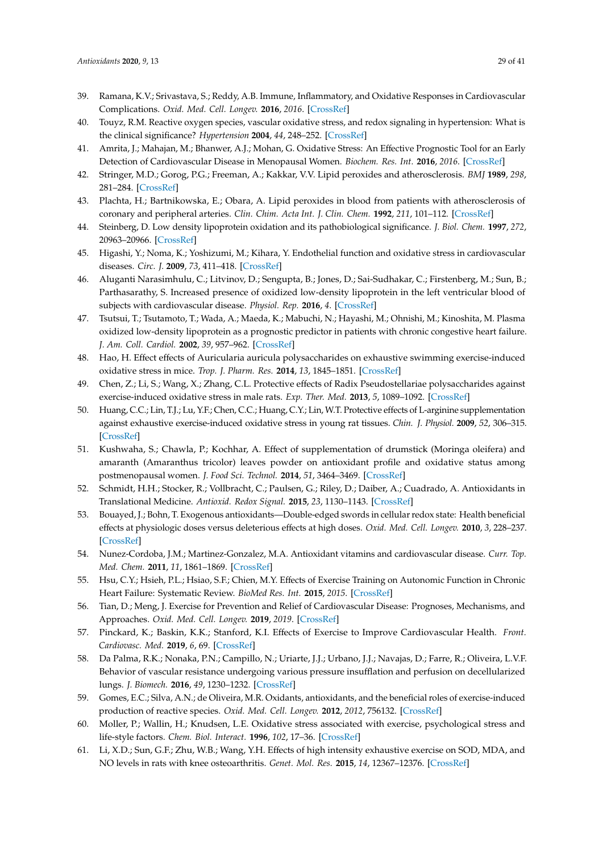- <span id="page-28-0"></span>39. Ramana, K.V.; Srivastava, S.; Reddy, A.B. Immune, Inflammatory, and Oxidative Responses in Cardiovascular Complications. *Oxid. Med. Cell. Longev.* **2016**, *2016*. [\[CrossRef\]](http://dx.doi.org/10.1155/2016/6858402)
- <span id="page-28-1"></span>40. Touyz, R.M. Reactive oxygen species, vascular oxidative stress, and redox signaling in hypertension: What is the clinical significance? *Hypertension* **2004**, *44*, 248–252. [\[CrossRef\]](http://dx.doi.org/10.1161/01.HYP.0000138070.47616.9d)
- <span id="page-28-2"></span>41. Amrita, J.; Mahajan, M.; Bhanwer, A.J.; Mohan, G. Oxidative Stress: An Effective Prognostic Tool for an Early Detection of Cardiovascular Disease in Menopausal Women. *Biochem. Res. Int.* **2016**, *2016*. [\[CrossRef\]](http://dx.doi.org/10.1155/2016/6157605)
- 42. Stringer, M.D.; Gorog, P.G.; Freeman, A.; Kakkar, V.V. Lipid peroxides and atherosclerosis. *BMJ* **1989**, *298*, 281–284. [\[CrossRef\]](http://dx.doi.org/10.1136/bmj.298.6669.281)
- <span id="page-28-3"></span>43. Plachta, H.; Bartnikowska, E.; Obara, A. Lipid peroxides in blood from patients with atherosclerosis of coronary and peripheral arteries. *Clin. Chim. Acta Int. J. Clin. Chem.* **1992**, *211*, 101–112. [\[CrossRef\]](http://dx.doi.org/10.1016/0009-8981(92)90109-4)
- <span id="page-28-4"></span>44. Steinberg, D. Low density lipoprotein oxidation and its pathobiological significance. *J. Biol. Chem.* **1997**, *272*, 20963–20966. [\[CrossRef\]](http://dx.doi.org/10.1074/jbc.272.34.20963)
- <span id="page-28-5"></span>45. Higashi, Y.; Noma, K.; Yoshizumi, M.; Kihara, Y. Endothelial function and oxidative stress in cardiovascular diseases. *Circ. J.* **2009**, *73*, 411–418. [\[CrossRef\]](http://dx.doi.org/10.1253/circj.CJ-08-1102)
- <span id="page-28-6"></span>46. Aluganti Narasimhulu, C.; Litvinov, D.; Sengupta, B.; Jones, D.; Sai-Sudhakar, C.; Firstenberg, M.; Sun, B.; Parthasarathy, S. Increased presence of oxidized low-density lipoprotein in the left ventricular blood of subjects with cardiovascular disease. *Physiol. Rep.* **2016**, *4*. [\[CrossRef\]](http://dx.doi.org/10.14814/phy2.12726)
- <span id="page-28-7"></span>47. Tsutsui, T.; Tsutamoto, T.; Wada, A.; Maeda, K.; Mabuchi, N.; Hayashi, M.; Ohnishi, M.; Kinoshita, M. Plasma oxidized low-density lipoprotein as a prognostic predictor in patients with chronic congestive heart failure. *J. Am. Coll. Cardiol.* **2002**, *39*, 957–962. [\[CrossRef\]](http://dx.doi.org/10.1016/S0735-1097(02)01721-7)
- <span id="page-28-8"></span>48. Hao, H. Effect effects of Auricularia auricula polysaccharides on exhaustive swimming exercise-induced oxidative stress in mice. *Trop. J. Pharm. Res.* **2014**, *13*, 1845–1851. [\[CrossRef\]](http://dx.doi.org/10.4314/tjpr.v13i11.11)
- 49. Chen, Z.; Li, S.; Wang, X.; Zhang, C.L. Protective effects of Radix Pseudostellariae polysaccharides against exercise-induced oxidative stress in male rats. *Exp. Ther. Med.* **2013**, *5*, 1089–1092. [\[CrossRef\]](http://dx.doi.org/10.3892/etm.2013.942)
- <span id="page-28-9"></span>50. Huang, C.C.; Lin, T.J.; Lu, Y.F.; Chen, C.C.; Huang, C.Y.; Lin, W.T. Protective effects of L-arginine supplementation against exhaustive exercise-induced oxidative stress in young rat tissues. *Chin. J. Physiol.* **2009**, *52*, 306–315. [\[CrossRef\]](http://dx.doi.org/10.4077/CJP.2009.AMH068)
- <span id="page-28-10"></span>51. Kushwaha, S.; Chawla, P.; Kochhar, A. Effect of supplementation of drumstick (Moringa oleifera) and amaranth (Amaranthus tricolor) leaves powder on antioxidant profile and oxidative status among postmenopausal women. *J. Food Sci. Technol.* **2014**, *51*, 3464–3469. [\[CrossRef\]](http://dx.doi.org/10.1007/s13197-012-0859-9)
- <span id="page-28-19"></span>52. Schmidt, H.H.; Stocker, R.; Vollbracht, C.; Paulsen, G.; Riley, D.; Daiber, A.; Cuadrado, A. Antioxidants in Translational Medicine. *Antioxid. Redox Signal.* **2015**, *23*, 1130–1143. [\[CrossRef\]](http://dx.doi.org/10.1089/ars.2015.6393)
- <span id="page-28-11"></span>53. Bouayed, J.; Bohn, T. Exogenous antioxidants—Double-edged swords in cellular redox state: Health beneficial effects at physiologic doses versus deleterious effects at high doses. *Oxid. Med. Cell. Longev.* **2010**, *3*, 228–237. [\[CrossRef\]](http://dx.doi.org/10.4161/oxim.3.4.12858)
- <span id="page-28-12"></span>54. Nunez-Cordoba, J.M.; Martinez-Gonzalez, M.A. Antioxidant vitamins and cardiovascular disease. *Curr. Top. Med. Chem.* **2011**, *11*, 1861–1869. [\[CrossRef\]](http://dx.doi.org/10.2174/156802611796235143)
- <span id="page-28-13"></span>55. Hsu, C.Y.; Hsieh, P.L.; Hsiao, S.F.; Chien, M.Y. Effects of Exercise Training on Autonomic Function in Chronic Heart Failure: Systematic Review. *BioMed Res. Int.* **2015**, *2015*. [\[CrossRef\]](http://dx.doi.org/10.1155/2015/591708)
- <span id="page-28-14"></span>56. Tian, D.; Meng, J. Exercise for Prevention and Relief of Cardiovascular Disease: Prognoses, Mechanisms, and Approaches. *Oxid. Med. Cell. Longev.* **2019**, *2019*. [\[CrossRef\]](http://dx.doi.org/10.1155/2019/3756750)
- <span id="page-28-15"></span>57. Pinckard, K.; Baskin, K.K.; Stanford, K.I. Effects of Exercise to Improve Cardiovascular Health. *Front. Cardiovasc. Med.* **2019**, *6*, 69. [\[CrossRef\]](http://dx.doi.org/10.3389/fcvm.2019.00069)
- <span id="page-28-16"></span>58. Da Palma, R.K.; Nonaka, P.N.; Campillo, N.; Uriarte, J.J.; Urbano, J.J.; Navajas, D.; Farre, R.; Oliveira, L.V.F. Behavior of vascular resistance undergoing various pressure insufflation and perfusion on decellularized lungs. *J. Biomech.* **2016**, *49*, 1230–1232. [\[CrossRef\]](http://dx.doi.org/10.1016/j.jbiomech.2016.02.043)
- 59. Gomes, E.C.; Silva, A.N.; de Oliveira, M.R. Oxidants, antioxidants, and the beneficial roles of exercise-induced production of reactive species. *Oxid. Med. Cell. Longev.* **2012**, *2012*, 756132. [\[CrossRef\]](http://dx.doi.org/10.1155/2012/756132)
- <span id="page-28-17"></span>60. Moller, P.; Wallin, H.; Knudsen, L.E. Oxidative stress associated with exercise, psychological stress and life-style factors. *Chem. Biol. Interact.* **1996**, *102*, 17–36. [\[CrossRef\]](http://dx.doi.org/10.1016/0009-2797(96)03729-5)
- <span id="page-28-18"></span>61. Li, X.D.; Sun, G.F.; Zhu, W.B.; Wang, Y.H. Effects of high intensity exhaustive exercise on SOD, MDA, and NO levels in rats with knee osteoarthritis. *Genet. Mol. Res.* **2015**, *14*, 12367–12376. [\[CrossRef\]](http://dx.doi.org/10.4238/2015.October.16.3)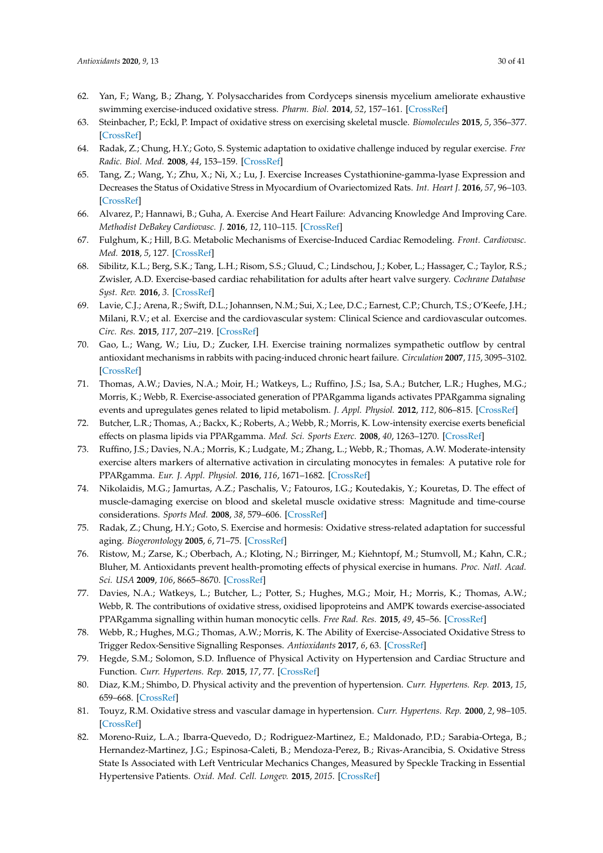- <span id="page-29-18"></span><span id="page-29-0"></span>62. Yan, F.; Wang, B.; Zhang, Y. Polysaccharides from Cordyceps sinensis mycelium ameliorate exhaustive swimming exercise-induced oxidative stress. *Pharm. Biol.* **2014**, *52*, 157–161. [\[CrossRef\]](http://dx.doi.org/10.3109/13880209.2013.820197)
- <span id="page-29-1"></span>63. Steinbacher, P.; Eckl, P. Impact of oxidative stress on exercising skeletal muscle. *Biomolecules* **2015**, *5*, 356–377. [\[CrossRef\]](http://dx.doi.org/10.3390/biom5020356)
- <span id="page-29-2"></span>64. Radak, Z.; Chung, H.Y.; Goto, S. Systemic adaptation to oxidative challenge induced by regular exercise. *Free Radic. Biol. Med.* **2008**, *44*, 153–159. [\[CrossRef\]](http://dx.doi.org/10.1016/j.freeradbiomed.2007.01.029)
- <span id="page-29-3"></span>65. Tang, Z.; Wang, Y.; Zhu, X.; Ni, X.; Lu, J. Exercise Increases Cystathionine-gamma-lyase Expression and Decreases the Status of Oxidative Stress in Myocardium of Ovariectomized Rats. *Int. Heart J.* **2016**, *57*, 96–103. [\[CrossRef\]](http://dx.doi.org/10.1536/ihj.15-099)
- <span id="page-29-4"></span>66. Alvarez, P.; Hannawi, B.; Guha, A. Exercise And Heart Failure: Advancing Knowledge And Improving Care. *Methodist DeBakey Cardiovasc. J.* **2016**, *12*, 110–115. [\[CrossRef\]](http://dx.doi.org/10.14797/mdcj-12-2-110)
- 67. Fulghum, K.; Hill, B.G. Metabolic Mechanisms of Exercise-Induced Cardiac Remodeling. *Front. Cardiovasc. Med.* **2018**, *5*, 127. [\[CrossRef\]](http://dx.doi.org/10.3389/fcvm.2018.00127)
- 68. Sibilitz, K.L.; Berg, S.K.; Tang, L.H.; Risom, S.S.; Gluud, C.; Lindschou, J.; Kober, L.; Hassager, C.; Taylor, R.S.; Zwisler, A.D. Exercise-based cardiac rehabilitation for adults after heart valve surgery. *Cochrane Database Syst. Rev.* **2016**, *3*. [\[CrossRef\]](http://dx.doi.org/10.1002/14651858.CD010876.pub2)
- <span id="page-29-5"></span>69. Lavie, C.J.; Arena, R.; Swift, D.L.; Johannsen, N.M.; Sui, X.; Lee, D.C.; Earnest, C.P.; Church, T.S.; O'Keefe, J.H.; Milani, R.V.; et al. Exercise and the cardiovascular system: Clinical Science and cardiovascular outcomes. *Circ. Res.* **2015**, *117*, 207–219. [\[CrossRef\]](http://dx.doi.org/10.1161/CIRCRESAHA.117.305205)
- <span id="page-29-6"></span>70. Gao, L.; Wang, W.; Liu, D.; Zucker, I.H. Exercise training normalizes sympathetic outflow by central antioxidant mechanisms in rabbits with pacing-induced chronic heart failure. *Circulation* **2007**, *115*, 3095–3102. [\[CrossRef\]](http://dx.doi.org/10.1161/CIRCULATIONAHA.106.677989)
- <span id="page-29-7"></span>71. Thomas, A.W.; Davies, N.A.; Moir, H.; Watkeys, L.; Ruffino, J.S.; Isa, S.A.; Butcher, L.R.; Hughes, M.G.; Morris, K.; Webb, R. Exercise-associated generation of PPARgamma ligands activates PPARgamma signaling events and upregulates genes related to lipid metabolism. *J. Appl. Physiol.* **2012**, *112*, 806–815. [\[CrossRef\]](http://dx.doi.org/10.1152/japplphysiol.00864.2011)
- <span id="page-29-9"></span>72. Butcher, L.R.; Thomas, A.; Backx, K.; Roberts, A.; Webb, R.; Morris, K. Low-intensity exercise exerts beneficial effects on plasma lipids via PPARgamma. *Med. Sci. Sports Exerc.* **2008**, *40*, 1263–1270. [\[CrossRef\]](http://dx.doi.org/10.1249/MSS.0b013e31816c091d)
- <span id="page-29-8"></span>73. Ruffino, J.S.; Davies, N.A.; Morris, K.; Ludgate, M.; Zhang, L.; Webb, R.; Thomas, A.W. Moderate-intensity exercise alters markers of alternative activation in circulating monocytes in females: A putative role for PPARgamma. *Eur. J. Appl. Physiol.* **2016**, *116*, 1671–1682. [\[CrossRef\]](http://dx.doi.org/10.1007/s00421-016-3414-y)
- <span id="page-29-10"></span>74. Nikolaidis, M.G.; Jamurtas, A.Z.; Paschalis, V.; Fatouros, I.G.; Koutedakis, Y.; Kouretas, D. The effect of muscle-damaging exercise on blood and skeletal muscle oxidative stress: Magnitude and time-course considerations. *Sports Med.* **2008**, *38*, 579–606. [\[CrossRef\]](http://dx.doi.org/10.2165/00007256-200838070-00005)
- <span id="page-29-11"></span>75. Radak, Z.; Chung, H.Y.; Goto, S. Exercise and hormesis: Oxidative stress-related adaptation for successful aging. *Biogerontology* **2005**, *6*, 71–75. [\[CrossRef\]](http://dx.doi.org/10.1007/s10522-004-7386-7)
- <span id="page-29-12"></span>76. Ristow, M.; Zarse, K.; Oberbach, A.; Kloting, N.; Birringer, M.; Kiehntopf, M.; Stumvoll, M.; Kahn, C.R.; Bluher, M. Antioxidants prevent health-promoting effects of physical exercise in humans. *Proc. Natl. Acad. Sci. USA* **2009**, *106*, 8665–8670. [\[CrossRef\]](http://dx.doi.org/10.1073/pnas.0903485106)
- 77. Davies, N.A.; Watkeys, L.; Butcher, L.; Potter, S.; Hughes, M.G.; Moir, H.; Morris, K.; Thomas, A.W.; Webb, R. The contributions of oxidative stress, oxidised lipoproteins and AMPK towards exercise-associated PPARgamma signalling within human monocytic cells. *Free Rad. Res.* **2015**, *49*, 45–56. [\[CrossRef\]](http://dx.doi.org/10.3109/10715762.2014.978311)
- <span id="page-29-13"></span>78. Webb, R.; Hughes, M.G.; Thomas, A.W.; Morris, K. The Ability of Exercise-Associated Oxidative Stress to Trigger Redox-Sensitive Signalling Responses. *Antioxidants* **2017**, *6*, 63. [\[CrossRef\]](http://dx.doi.org/10.3390/antiox6030063)
- <span id="page-29-14"></span>79. Hegde, S.M.; Solomon, S.D. Influence of Physical Activity on Hypertension and Cardiac Structure and Function. *Curr. Hypertens. Rep.* **2015**, *17*, 77. [\[CrossRef\]](http://dx.doi.org/10.1007/s11906-015-0588-3)
- <span id="page-29-15"></span>80. Diaz, K.M.; Shimbo, D. Physical activity and the prevention of hypertension. *Curr. Hypertens. Rep.* **2013**, *15*, 659–668. [\[CrossRef\]](http://dx.doi.org/10.1007/s11906-013-0386-8)
- <span id="page-29-16"></span>81. Touyz, R.M. Oxidative stress and vascular damage in hypertension. *Curr. Hypertens. Rep.* **2000**, *2*, 98–105. [\[CrossRef\]](http://dx.doi.org/10.1007/s11906-000-0066-3)
- <span id="page-29-17"></span>82. Moreno-Ruiz, L.A.; Ibarra-Quevedo, D.; Rodriguez-Martinez, E.; Maldonado, P.D.; Sarabia-Ortega, B.; Hernandez-Martinez, J.G.; Espinosa-Caleti, B.; Mendoza-Perez, B.; Rivas-Arancibia, S. Oxidative Stress State Is Associated with Left Ventricular Mechanics Changes, Measured by Speckle Tracking in Essential Hypertensive Patients. *Oxid. Med. Cell. Longev.* **2015**, *2015*. [\[CrossRef\]](http://dx.doi.org/10.1155/2015/502107)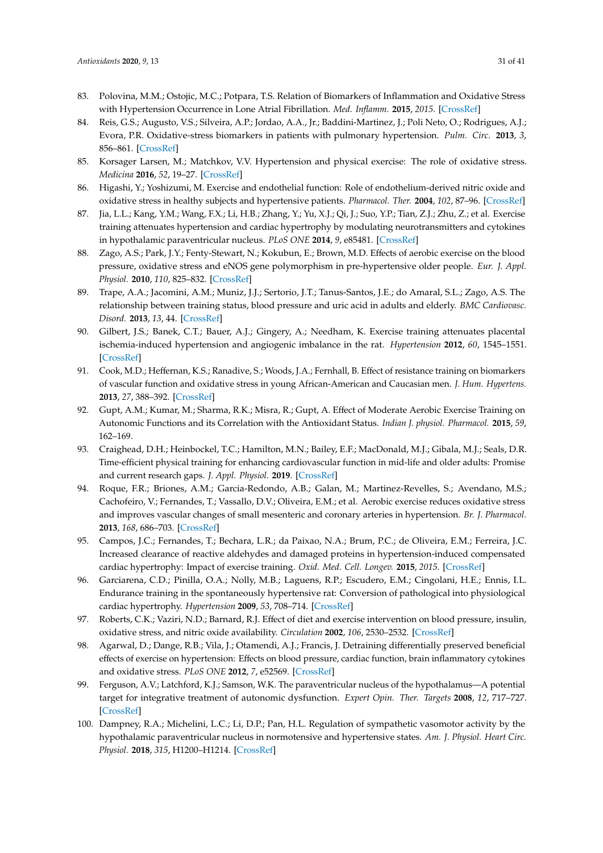- 83. Polovina, M.M.; Ostojic, M.C.; Potpara, T.S. Relation of Biomarkers of Inflammation and Oxidative Stress with Hypertension Occurrence in Lone Atrial Fibrillation. *Med. Inflamm.* **2015**, *2015*. [\[CrossRef\]](http://dx.doi.org/10.1155/2015/653026)
- <span id="page-30-17"></span><span id="page-30-0"></span>84. Reis, G.S.; Augusto, V.S.; Silveira, A.P.; Jordao, A.A., Jr.; Baddini-Martinez, J.; Poli Neto, O.; Rodrigues, A.J.; Evora, P.R. Oxidative-stress biomarkers in patients with pulmonary hypertension. *Pulm. Circ.* **2013**, *3*, 856–861. [\[CrossRef\]](http://dx.doi.org/10.1086/674764)
- <span id="page-30-1"></span>85. Korsager Larsen, M.; Matchkov, V.V. Hypertension and physical exercise: The role of oxidative stress. *Medicina* **2016**, *52*, 19–27. [\[CrossRef\]](http://dx.doi.org/10.1016/j.medici.2016.01.005)
- <span id="page-30-2"></span>86. Higashi, Y.; Yoshizumi, M. Exercise and endothelial function: Role of endothelium-derived nitric oxide and oxidative stress in healthy subjects and hypertensive patients. *Pharmacol. Ther.* **2004**, *102*, 87–96. [\[CrossRef\]](http://dx.doi.org/10.1016/j.pharmthera.2004.02.003)
- <span id="page-30-18"></span><span id="page-30-4"></span>87. Jia, L.L.; Kang, Y.M.; Wang, F.X.; Li, H.B.; Zhang, Y.; Yu, X.J.; Qi, J.; Suo, Y.P.; Tian, Z.J.; Zhu, Z.; et al. Exercise training attenuates hypertension and cardiac hypertrophy by modulating neurotransmitters and cytokines in hypothalamic paraventricular nucleus. *PLoS ONE* **2014**, *9*, e85481. [\[CrossRef\]](http://dx.doi.org/10.1371/journal.pone.0085481)
- <span id="page-30-3"></span>88. Zago, A.S.; Park, J.Y.; Fenty-Stewart, N.; Kokubun, E.; Brown, M.D. Effects of aerobic exercise on the blood pressure, oxidative stress and eNOS gene polymorphism in pre-hypertensive older people. *Eur. J. Appl. Physiol.* **2010**, *110*, 825–832. [\[CrossRef\]](http://dx.doi.org/10.1007/s00421-010-1568-6)
- <span id="page-30-5"></span>89. Trape, A.A.; Jacomini, A.M.; Muniz, J.J.; Sertorio, J.T.; Tanus-Santos, J.E.; do Amaral, S.L.; Zago, A.S. The relationship between training status, blood pressure and uric acid in adults and elderly. *BMC Cardiovasc. Disord.* **2013**, *13*, 44. [\[CrossRef\]](http://dx.doi.org/10.1186/1471-2261-13-44)
- <span id="page-30-6"></span>90. Gilbert, J.S.; Banek, C.T.; Bauer, A.J.; Gingery, A.; Needham, K. Exercise training attenuates placental ischemia-induced hypertension and angiogenic imbalance in the rat. *Hypertension* **2012**, *60*, 1545–1551. [\[CrossRef\]](http://dx.doi.org/10.1161/HYPERTENSIONAHA.112.202275)
- <span id="page-30-7"></span>91. Cook, M.D.; Heffernan, K.S.; Ranadive, S.; Woods, J.A.; Fernhall, B. Effect of resistance training on biomarkers of vascular function and oxidative stress in young African-American and Caucasian men. *J. Hum. Hypertens.* **2013**, *27*, 388–392. [\[CrossRef\]](http://dx.doi.org/10.1038/jhh.2012.48)
- <span id="page-30-8"></span>92. Gupt, A.M.; Kumar, M.; Sharma, R.K.; Misra, R.; Gupt, A. Effect of Moderate Aerobic Exercise Training on Autonomic Functions and its Correlation with the Antioxidant Status. *Indian J. physiol. Pharmacol.* **2015**, *59*, 162–169.
- <span id="page-30-9"></span>93. Craighead, D.H.; Heinbockel, T.C.; Hamilton, M.N.; Bailey, E.F.; MacDonald, M.J.; Gibala, M.J.; Seals, D.R. Time-efficient physical training for enhancing cardiovascular function in mid-life and older adults: Promise and current research gaps. *J. Appl. Physiol.* **2019**. [\[CrossRef\]](http://dx.doi.org/10.1152/japplphysiol.00381.2019)
- <span id="page-30-10"></span>94. Roque, F.R.; Briones, A.M.; Garcia-Redondo, A.B.; Galan, M.; Martinez-Revelles, S.; Avendano, M.S.; Cachofeiro, V.; Fernandes, T.; Vassallo, D.V.; Oliveira, E.M.; et al. Aerobic exercise reduces oxidative stress and improves vascular changes of small mesenteric and coronary arteries in hypertension. *Br. J. Pharmacol.* **2013**, *168*, 686–703. [\[CrossRef\]](http://dx.doi.org/10.1111/j.1476-5381.2012.02224.x)
- <span id="page-30-11"></span>95. Campos, J.C.; Fernandes, T.; Bechara, L.R.; da Paixao, N.A.; Brum, P.C.; de Oliveira, E.M.; Ferreira, J.C. Increased clearance of reactive aldehydes and damaged proteins in hypertension-induced compensated cardiac hypertrophy: Impact of exercise training. *Oxid. Med. Cell. Longev.* **2015**, *2015*. [\[CrossRef\]](http://dx.doi.org/10.1155/2015/464195)
- <span id="page-30-12"></span>96. Garciarena, C.D.; Pinilla, O.A.; Nolly, M.B.; Laguens, R.P.; Escudero, E.M.; Cingolani, H.E.; Ennis, I.L. Endurance training in the spontaneously hypertensive rat: Conversion of pathological into physiological cardiac hypertrophy. *Hypertension* **2009**, *53*, 708–714. [\[CrossRef\]](http://dx.doi.org/10.1161/HYPERTENSIONAHA.108.126805)
- <span id="page-30-13"></span>97. Roberts, C.K.; Vaziri, N.D.; Barnard, R.J. Effect of diet and exercise intervention on blood pressure, insulin, oxidative stress, and nitric oxide availability. *Circulation* **2002**, *106*, 2530–2532. [\[CrossRef\]](http://dx.doi.org/10.1161/01.CIR.0000040584.91836.0D)
- <span id="page-30-14"></span>98. Agarwal, D.; Dange, R.B.; Vila, J.; Otamendi, A.J.; Francis, J. Detraining differentially preserved beneficial effects of exercise on hypertension: Effects on blood pressure, cardiac function, brain inflammatory cytokines and oxidative stress. *PLoS ONE* **2012**, *7*, e52569. [\[CrossRef\]](http://dx.doi.org/10.1371/journal.pone.0052569)
- <span id="page-30-15"></span>99. Ferguson, A.V.; Latchford, K.J.; Samson, W.K. The paraventricular nucleus of the hypothalamus—A potential target for integrative treatment of autonomic dysfunction. *Expert Opin. Ther. Targets* **2008**, *12*, 717–727. [\[CrossRef\]](http://dx.doi.org/10.1517/14728222.12.6.717)
- <span id="page-30-16"></span>100. Dampney, R.A.; Michelini, L.C.; Li, D.P.; Pan, H.L. Regulation of sympathetic vasomotor activity by the hypothalamic paraventricular nucleus in normotensive and hypertensive states. *Am. J. Physiol. Heart Circ. Physiol.* **2018**, *315*, H1200–H1214. [\[CrossRef\]](http://dx.doi.org/10.1152/ajpheart.00216.2018)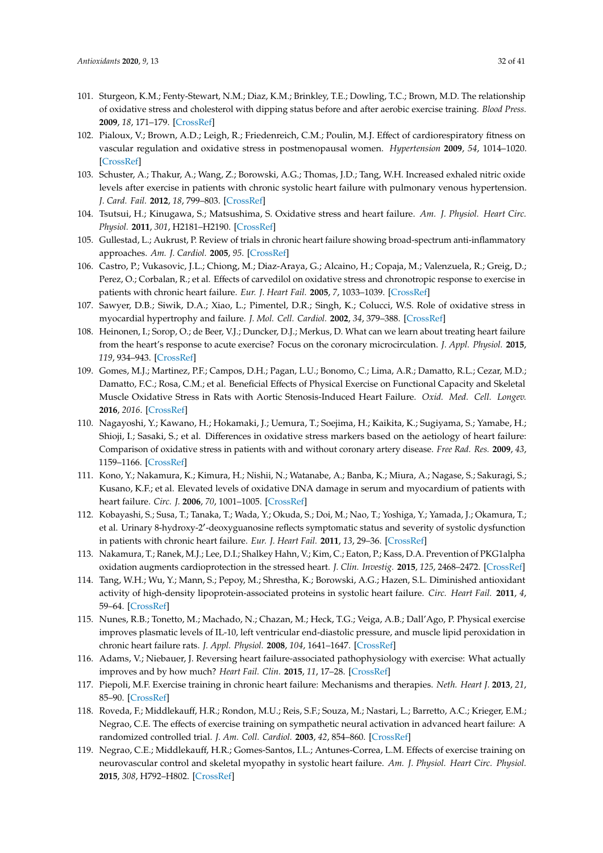- <span id="page-31-16"></span><span id="page-31-0"></span>101. Sturgeon, K.M.; Fenty-Stewart, N.M.; Diaz, K.M.; Brinkley, T.E.; Dowling, T.C.; Brown, M.D. The relationship of oxidative stress and cholesterol with dipping status before and after aerobic exercise training. *Blood Press.* **2009**, *18*, 171–179. [\[CrossRef\]](http://dx.doi.org/10.1080/08037050903047160)
- <span id="page-31-1"></span>102. Pialoux, V.; Brown, A.D.; Leigh, R.; Friedenreich, C.M.; Poulin, M.J. Effect of cardiorespiratory fitness on vascular regulation and oxidative stress in postmenopausal women. *Hypertension* **2009**, *54*, 1014–1020. [\[CrossRef\]](http://dx.doi.org/10.1161/HYPERTENSIONAHA.109.138917)
- <span id="page-31-2"></span>103. Schuster, A.; Thakur, A.; Wang, Z.; Borowski, A.G.; Thomas, J.D.; Tang, W.H. Increased exhaled nitric oxide levels after exercise in patients with chronic systolic heart failure with pulmonary venous hypertension. *J. Card. Fail.* **2012**, *18*, 799–803. [\[CrossRef\]](http://dx.doi.org/10.1016/j.cardfail.2012.08.356)
- 104. Tsutsui, H.; Kinugawa, S.; Matsushima, S. Oxidative stress and heart failure. *Am. J. Physiol. Heart Circ. Physiol.* **2011**, *301*, H2181–H2190. [\[CrossRef\]](http://dx.doi.org/10.1152/ajpheart.00554.2011)
- <span id="page-31-3"></span>105. Gullestad, L.; Aukrust, P. Review of trials in chronic heart failure showing broad-spectrum anti-inflammatory approaches. *Am. J. Cardiol.* **2005**, *95*. [\[CrossRef\]](http://dx.doi.org/10.1016/j.amjcard.2005.03.008)
- <span id="page-31-4"></span>106. Castro, P.; Vukasovic, J.L.; Chiong, M.; Diaz-Araya, G.; Alcaino, H.; Copaja, M.; Valenzuela, R.; Greig, D.; Perez, O.; Corbalan, R.; et al. Effects of carvedilol on oxidative stress and chronotropic response to exercise in patients with chronic heart failure. *Eur. J. Heart Fail.* **2005**, *7*, 1033–1039. [\[CrossRef\]](http://dx.doi.org/10.1016/j.ejheart.2004.11.009)
- <span id="page-31-5"></span>107. Sawyer, D.B.; Siwik, D.A.; Xiao, L.; Pimentel, D.R.; Singh, K.; Colucci, W.S. Role of oxidative stress in myocardial hypertrophy and failure. *J. Mol. Cell. Cardiol.* **2002**, *34*, 379–388. [\[CrossRef\]](http://dx.doi.org/10.1006/jmcc.2002.1526)
- <span id="page-31-6"></span>108. Heinonen, I.; Sorop, O.; de Beer, V.J.; Duncker, D.J.; Merkus, D. What can we learn about treating heart failure from the heart's response to acute exercise? Focus on the coronary microcirculation. *J. Appl. Physiol.* **2015**, *119*, 934–943. [\[CrossRef\]](http://dx.doi.org/10.1152/japplphysiol.00053.2015)
- <span id="page-31-7"></span>109. Gomes, M.J.; Martinez, P.F.; Campos, D.H.; Pagan, L.U.; Bonomo, C.; Lima, A.R.; Damatto, R.L.; Cezar, M.D.; Damatto, F.C.; Rosa, C.M.; et al. Beneficial Effects of Physical Exercise on Functional Capacity and Skeletal Muscle Oxidative Stress in Rats with Aortic Stenosis-Induced Heart Failure. *Oxid. Med. Cell. Longev.* **2016**, *2016*. [\[CrossRef\]](http://dx.doi.org/10.1155/2016/8695716)
- <span id="page-31-8"></span>110. Nagayoshi, Y.; Kawano, H.; Hokamaki, J.; Uemura, T.; Soejima, H.; Kaikita, K.; Sugiyama, S.; Yamabe, H.; Shioji, I.; Sasaki, S.; et al. Differences in oxidative stress markers based on the aetiology of heart failure: Comparison of oxidative stress in patients with and without coronary artery disease. *Free Rad. Res.* **2009**, *43*, 1159–1166. [\[CrossRef\]](http://dx.doi.org/10.3109/10715760903214470)
- 111. Kono, Y.; Nakamura, K.; Kimura, H.; Nishii, N.; Watanabe, A.; Banba, K.; Miura, A.; Nagase, S.; Sakuragi, S.; Kusano, K.F.; et al. Elevated levels of oxidative DNA damage in serum and myocardium of patients with heart failure. *Circ. J.* **2006**, *70*, 1001–1005. [\[CrossRef\]](http://dx.doi.org/10.1253/circj.70.1001)
- 112. Kobayashi, S.; Susa, T.; Tanaka, T.; Wada, Y.; Okuda, S.; Doi, M.; Nao, T.; Yoshiga, Y.; Yamada, J.; Okamura, T.; et al. Urinary 8-hydroxy-2'-deoxyguanosine reflects symptomatic status and severity of systolic dysfunction in patients with chronic heart failure. *Eur. J. Heart Fail.* **2011**, *13*, 29–36. [\[CrossRef\]](http://dx.doi.org/10.1093/eurjhf/hfq178)
- <span id="page-31-9"></span>113. Nakamura, T.; Ranek, M.J.; Lee, D.I.; Shalkey Hahn, V.; Kim, C.; Eaton, P.; Kass, D.A. Prevention of PKG1alpha oxidation augments cardioprotection in the stressed heart. *J. Clin. Investig.* **2015**, *125*, 2468–2472. [\[CrossRef\]](http://dx.doi.org/10.1172/JCI80275)
- <span id="page-31-10"></span>114. Tang, W.H.; Wu, Y.; Mann, S.; Pepoy, M.; Shrestha, K.; Borowski, A.G.; Hazen, S.L. Diminished antioxidant activity of high-density lipoprotein-associated proteins in systolic heart failure. *Circ. Heart Fail.* **2011**, *4*, 59–64. [\[CrossRef\]](http://dx.doi.org/10.1161/CIRCHEARTFAILURE.110.958348)
- <span id="page-31-11"></span>115. Nunes, R.B.; Tonetto, M.; Machado, N.; Chazan, M.; Heck, T.G.; Veiga, A.B.; Dall'Ago, P. Physical exercise improves plasmatic levels of IL-10, left ventricular end-diastolic pressure, and muscle lipid peroxidation in chronic heart failure rats. *J. Appl. Physiol.* **2008**, *104*, 1641–1647. [\[CrossRef\]](http://dx.doi.org/10.1152/japplphysiol.00062.2008)
- <span id="page-31-12"></span>116. Adams, V.; Niebauer, J. Reversing heart failure-associated pathophysiology with exercise: What actually improves and by how much? *Heart Fail. Clin.* **2015**, *11*, 17–28. [\[CrossRef\]](http://dx.doi.org/10.1016/j.hfc.2014.08.001)
- <span id="page-31-13"></span>117. Piepoli, M.F. Exercise training in chronic heart failure: Mechanisms and therapies. *Neth. Heart J.* **2013**, *21*, 85–90. [\[CrossRef\]](http://dx.doi.org/10.1007/s12471-012-0367-6)
- <span id="page-31-14"></span>118. Roveda, F.; Middlekauff, H.R.; Rondon, M.U.; Reis, S.F.; Souza, M.; Nastari, L.; Barretto, A.C.; Krieger, E.M.; Negrao, C.E. The effects of exercise training on sympathetic neural activation in advanced heart failure: A randomized controlled trial. *J. Am. Coll. Cardiol.* **2003**, *42*, 854–860. [\[CrossRef\]](http://dx.doi.org/10.1016/S0735-1097(03)00831-3)
- <span id="page-31-15"></span>119. Negrao, C.E.; Middlekauff, H.R.; Gomes-Santos, I.L.; Antunes-Correa, L.M. Effects of exercise training on neurovascular control and skeletal myopathy in systolic heart failure. *Am. J. Physiol. Heart Circ. Physiol.* **2015**, *308*, H792–H802. [\[CrossRef\]](http://dx.doi.org/10.1152/ajpheart.00830.2014)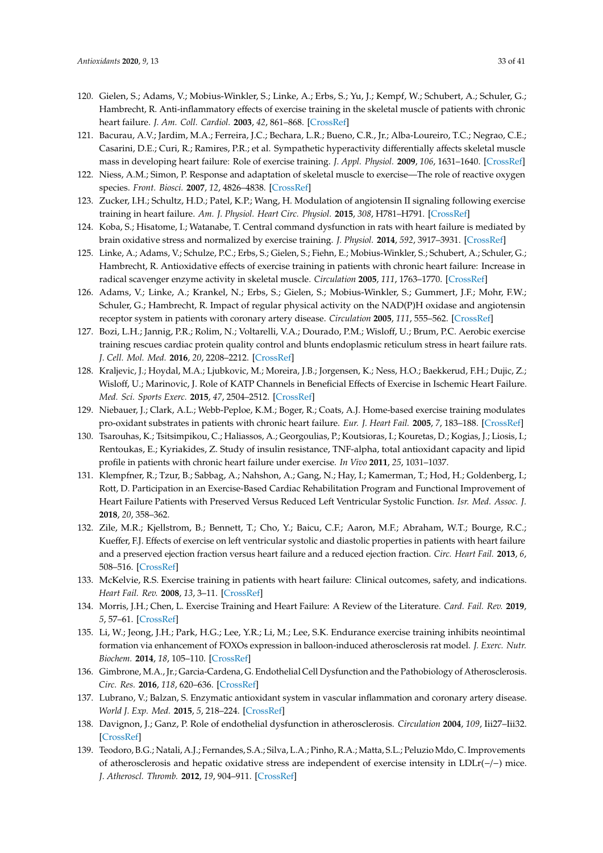- <span id="page-32-0"></span>120. Gielen, S.; Adams, V.; Mobius-Winkler, S.; Linke, A.; Erbs, S.; Yu, J.; Kempf, W.; Schubert, A.; Schuler, G.; Hambrecht, R. Anti-inflammatory effects of exercise training in the skeletal muscle of patients with chronic heart failure. *J. Am. Coll. Cardiol.* **2003**, *42*, 861–868. [\[CrossRef\]](http://dx.doi.org/10.1016/S0735-1097(03)00848-9)
- <span id="page-32-1"></span>121. Bacurau, A.V.; Jardim, M.A.; Ferreira, J.C.; Bechara, L.R.; Bueno, C.R., Jr.; Alba-Loureiro, T.C.; Negrao, C.E.; Casarini, D.E.; Curi, R.; Ramires, P.R.; et al. Sympathetic hyperactivity differentially affects skeletal muscle mass in developing heart failure: Role of exercise training. *J. Appl. Physiol.* **2009**, *106*, 1631–1640. [\[CrossRef\]](http://dx.doi.org/10.1152/japplphysiol.91067.2008)
- <span id="page-32-2"></span>122. Niess, A.M.; Simon, P. Response and adaptation of skeletal muscle to exercise—The role of reactive oxygen species. *Front. Biosci.* **2007**, *12*, 4826–4838. [\[CrossRef\]](http://dx.doi.org/10.2741/2431)
- <span id="page-32-3"></span>123. Zucker, I.H.; Schultz, H.D.; Patel, K.P.; Wang, H. Modulation of angiotensin II signaling following exercise training in heart failure. *Am. J. Physiol. Heart Circ. Physiol.* **2015**, *308*, H781–H791. [\[CrossRef\]](http://dx.doi.org/10.1152/ajpheart.00026.2015)
- <span id="page-32-4"></span>124. Koba, S.; Hisatome, I.; Watanabe, T. Central command dysfunction in rats with heart failure is mediated by brain oxidative stress and normalized by exercise training. *J. Physiol.* **2014**, *592*, 3917–3931. [\[CrossRef\]](http://dx.doi.org/10.1113/jphysiol.2014.272377)
- <span id="page-32-5"></span>125. Linke, A.; Adams, V.; Schulze, P.C.; Erbs, S.; Gielen, S.; Fiehn, E.; Mobius-Winkler, S.; Schubert, A.; Schuler, G.; Hambrecht, R. Antioxidative effects of exercise training in patients with chronic heart failure: Increase in radical scavenger enzyme activity in skeletal muscle. *Circulation* **2005**, *111*, 1763–1770. [\[CrossRef\]](http://dx.doi.org/10.1161/01.CIR.0000165503.08661.E5)
- <span id="page-32-6"></span>126. Adams, V.; Linke, A.; Krankel, N.; Erbs, S.; Gielen, S.; Mobius-Winkler, S.; Gummert, J.F.; Mohr, F.W.; Schuler, G.; Hambrecht, R. Impact of regular physical activity on the NAD(P)H oxidase and angiotensin receptor system in patients with coronary artery disease. *Circulation* **2005**, *111*, 555–562. [\[CrossRef\]](http://dx.doi.org/10.1161/01.CIR.0000154560.88933.7E)
- <span id="page-32-7"></span>127. Bozi, L.H.; Jannig, P.R.; Rolim, N.; Voltarelli, V.A.; Dourado, P.M.; Wisloff, U.; Brum, P.C. Aerobic exercise training rescues cardiac protein quality control and blunts endoplasmic reticulum stress in heart failure rats. *J. Cell. Mol. Med.* **2016**, *20*, 2208–2212. [\[CrossRef\]](http://dx.doi.org/10.1111/jcmm.12894)
- <span id="page-32-8"></span>128. Kraljevic, J.; Hoydal, M.A.; Ljubkovic, M.; Moreira, J.B.; Jorgensen, K.; Ness, H.O.; Baekkerud, F.H.; Dujic, Z.; Wisloff, U.; Marinovic, J. Role of KATP Channels in Beneficial Effects of Exercise in Ischemic Heart Failure. *Med. Sci. Sports Exerc.* **2015**, *47*, 2504–2512. [\[CrossRef\]](http://dx.doi.org/10.1249/MSS.0000000000000714)
- <span id="page-32-9"></span>129. Niebauer, J.; Clark, A.L.; Webb-Peploe, K.M.; Boger, R.; Coats, A.J. Home-based exercise training modulates pro-oxidant substrates in patients with chronic heart failure. *Eur. J. Heart Fail.* **2005**, *7*, 183–188. [\[CrossRef\]](http://dx.doi.org/10.1016/j.ejheart.2004.06.001)
- <span id="page-32-10"></span>130. Tsarouhas, K.; Tsitsimpikou, C.; Haliassos, A.; Georgoulias, P.; Koutsioras, I.; Kouretas, D.; Kogias, J.; Liosis, I.; Rentoukas, E.; Kyriakides, Z. Study of insulin resistance, TNF-alpha, total antioxidant capacity and lipid profile in patients with chronic heart failure under exercise. *In Vivo* **2011**, *25*, 1031–1037.
- <span id="page-32-11"></span>131. Klempfner, R.; Tzur, B.; Sabbag, A.; Nahshon, A.; Gang, N.; Hay, I.; Kamerman, T.; Hod, H.; Goldenberg, I.; Rott, D. Participation in an Exercise-Based Cardiac Rehabilitation Program and Functional Improvement of Heart Failure Patients with Preserved Versus Reduced Left Ventricular Systolic Function. *Isr. Med. Assoc. J.* **2018**, *20*, 358–362.
- <span id="page-32-12"></span>132. Zile, M.R.; Kjellstrom, B.; Bennett, T.; Cho, Y.; Baicu, C.F.; Aaron, M.F.; Abraham, W.T.; Bourge, R.C.; Kueffer, F.J. Effects of exercise on left ventricular systolic and diastolic properties in patients with heart failure and a preserved ejection fraction versus heart failure and a reduced ejection fraction. *Circ. Heart Fail.* **2013**, *6*, 508–516. [\[CrossRef\]](http://dx.doi.org/10.1161/CIRCHEARTFAILURE.112.000216)
- <span id="page-32-13"></span>133. McKelvie, R.S. Exercise training in patients with heart failure: Clinical outcomes, safety, and indications. *Heart Fail. Rev.* **2008**, *13*, 3–11. [\[CrossRef\]](http://dx.doi.org/10.1007/s10741-007-9052-z)
- <span id="page-32-14"></span>134. Morris, J.H.; Chen, L. Exercise Training and Heart Failure: A Review of the Literature. *Card. Fail. Rev.* **2019**, *5*, 57–61. [\[CrossRef\]](http://dx.doi.org/10.15420/cfr.2018.31.1)
- <span id="page-32-15"></span>135. Li, W.; Jeong, J.H.; Park, H.G.; Lee, Y.R.; Li, M.; Lee, S.K. Endurance exercise training inhibits neointimal formation via enhancement of FOXOs expression in balloon-induced atherosclerosis rat model. *J. Exerc. Nutr. Biochem.* **2014**, *18*, 105–110. [\[CrossRef\]](http://dx.doi.org/10.5717/jenb.2014.18.1.105)
- <span id="page-32-16"></span>136. Gimbrone, M.A., Jr.; Garcia-Cardena, G. Endothelial Cell Dysfunction and the Pathobiology of Atherosclerosis. *Circ. Res.* **2016**, *118*, 620–636. [\[CrossRef\]](http://dx.doi.org/10.1161/CIRCRESAHA.115.306301)
- <span id="page-32-17"></span>137. Lubrano, V.; Balzan, S. Enzymatic antioxidant system in vascular inflammation and coronary artery disease. *World J. Exp. Med.* **2015**, *5*, 218–224. [\[CrossRef\]](http://dx.doi.org/10.5493/wjem.v5.i4.218)
- <span id="page-32-18"></span>138. Davignon, J.; Ganz, P. Role of endothelial dysfunction in atherosclerosis. *Circulation* **2004**, *109*, Iii27–Iii32. [\[CrossRef\]](http://dx.doi.org/10.1161/01.CIR.0000131515.03336.f8)
- <span id="page-32-19"></span>139. Teodoro, B.G.; Natali, A.J.; Fernandes, S.A.; Silva, L.A.; Pinho, R.A.; Matta, S.L.; Peluzio Mdo, C. Improvements of atherosclerosis and hepatic oxidative stress are independent of exercise intensity in LDLr(−/−) mice. *J. Atheroscl. Thromb.* **2012**, *19*, 904–911. [\[CrossRef\]](http://dx.doi.org/10.5551/jat.11569)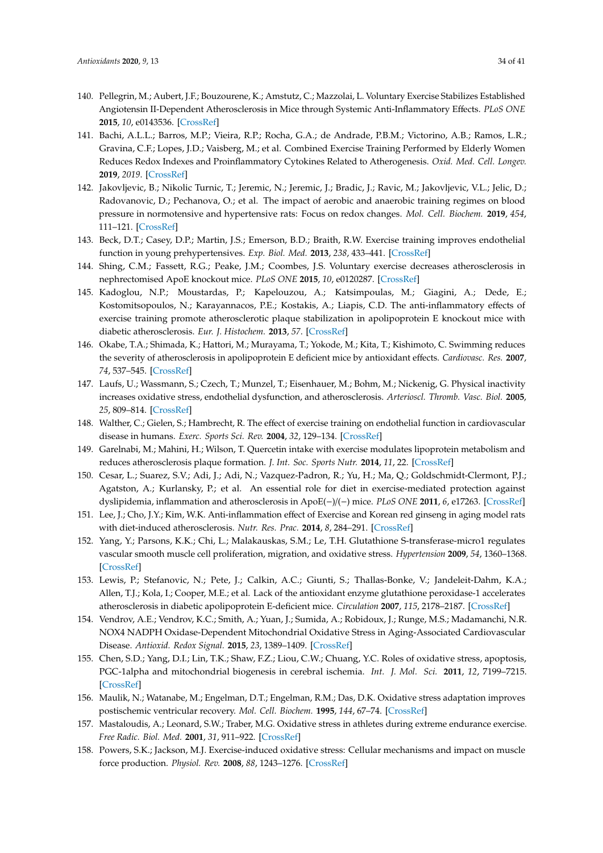- <span id="page-33-0"></span>140. Pellegrin, M.; Aubert, J.F.; Bouzourene, K.; Amstutz, C.; Mazzolai, L. Voluntary Exercise Stabilizes Established Angiotensin II-Dependent Atherosclerosis in Mice through Systemic Anti-Inflammatory Effects. *PLoS ONE* **2015**, *10*, e0143536. [\[CrossRef\]](http://dx.doi.org/10.1371/journal.pone.0143536)
- 141. Bachi, A.L.L.; Barros, M.P.; Vieira, R.P.; Rocha, G.A.; de Andrade, P.B.M.; Victorino, A.B.; Ramos, L.R.; Gravina, C.F.; Lopes, J.D.; Vaisberg, M.; et al. Combined Exercise Training Performed by Elderly Women Reduces Redox Indexes and Proinflammatory Cytokines Related to Atherogenesis. *Oxid. Med. Cell. Longev.* **2019**, *2019*. [\[CrossRef\]](http://dx.doi.org/10.1155/2019/6469213)
- 142. Jakovljevic, B.; Nikolic Turnic, T.; Jeremic, N.; Jeremic, J.; Bradic, J.; Ravic, M.; Jakovljevic, V.L.; Jelic, D.; Radovanovic, D.; Pechanova, O.; et al. The impact of aerobic and anaerobic training regimes on blood pressure in normotensive and hypertensive rats: Focus on redox changes. *Mol. Cell. Biochem.* **2019**, *454*, 111–121. [\[CrossRef\]](http://dx.doi.org/10.1007/s11010-018-3457-y)
- <span id="page-33-1"></span>143. Beck, D.T.; Casey, D.P.; Martin, J.S.; Emerson, B.D.; Braith, R.W. Exercise training improves endothelial function in young prehypertensives. *Exp. Biol. Med.* **2013**, *238*, 433–441. [\[CrossRef\]](http://dx.doi.org/10.1177/1535370213477600)
- <span id="page-33-2"></span>144. Shing, C.M.; Fassett, R.G.; Peake, J.M.; Coombes, J.S. Voluntary exercise decreases atherosclerosis in nephrectomised ApoE knockout mice. *PLoS ONE* **2015**, *10*, e0120287. [\[CrossRef\]](http://dx.doi.org/10.1371/journal.pone.0120287)
- <span id="page-33-5"></span>145. Kadoglou, N.P.; Moustardas, P.; Kapelouzou, A.; Katsimpoulas, M.; Giagini, A.; Dede, E.; Kostomitsopoulos, N.; Karayannacos, P.E.; Kostakis, A.; Liapis, C.D. The anti-inflammatory effects of exercise training promote atherosclerotic plaque stabilization in apolipoprotein E knockout mice with diabetic atherosclerosis. *Eur. J. Histochem.* **2013**, *57*. [\[CrossRef\]](http://dx.doi.org/10.4081/ejh.2013.e3)
- <span id="page-33-7"></span>146. Okabe, T.A.; Shimada, K.; Hattori, M.; Murayama, T.; Yokode, M.; Kita, T.; Kishimoto, C. Swimming reduces the severity of atherosclerosis in apolipoprotein E deficient mice by antioxidant effects. *Cardiovasc. Res.* **2007**, *74*, 537–545. [\[CrossRef\]](http://dx.doi.org/10.1016/j.cardiores.2007.02.019)
- <span id="page-33-3"></span>147. Laufs, U.; Wassmann, S.; Czech, T.; Munzel, T.; Eisenhauer, M.; Bohm, M.; Nickenig, G. Physical inactivity increases oxidative stress, endothelial dysfunction, and atherosclerosis. *Arterioscl. Thromb. Vasc. Biol.* **2005**, *25*, 809–814. [\[CrossRef\]](http://dx.doi.org/10.1161/01.ATV.0000158311.24443.af)
- <span id="page-33-4"></span>148. Walther, C.; Gielen, S.; Hambrecht, R. The effect of exercise training on endothelial function in cardiovascular disease in humans. *Exerc. Sports Sci. Rev.* **2004**, *32*, 129–134. [\[CrossRef\]](http://dx.doi.org/10.1097/00003677-200410000-00002)
- <span id="page-33-6"></span>149. Garelnabi, M.; Mahini, H.; Wilson, T. Quercetin intake with exercise modulates lipoprotein metabolism and reduces atherosclerosis plaque formation. *J. Int. Soc. Sports Nutr.* **2014**, *11*, 22. [\[CrossRef\]](http://dx.doi.org/10.1186/1550-2783-11-22)
- <span id="page-33-8"></span>150. Cesar, L.; Suarez, S.V.; Adi, J.; Adi, N.; Vazquez-Padron, R.; Yu, H.; Ma, Q.; Goldschmidt-Clermont, P.J.; Agatston, A.; Kurlansky, P.; et al. An essential role for diet in exercise-mediated protection against dyslipidemia, inflammation and atherosclerosis in ApoE(−)/(−) mice. *PLoS ONE* **2011**, *6*, e17263. [\[CrossRef\]](http://dx.doi.org/10.1371/journal.pone.0017263)
- <span id="page-33-9"></span>151. Lee, J.; Cho, J.Y.; Kim, W.K. Anti-inflammation effect of Exercise and Korean red ginseng in aging model rats with diet-induced atherosclerosis. *Nutr. Res. Prac.* **2014**, *8*, 284–291. [\[CrossRef\]](http://dx.doi.org/10.4162/nrp.2014.8.3.284)
- <span id="page-33-10"></span>152. Yang, Y.; Parsons, K.K.; Chi, L.; Malakauskas, S.M.; Le, T.H. Glutathione S-transferase-micro1 regulates vascular smooth muscle cell proliferation, migration, and oxidative stress. *Hypertension* **2009**, *54*, 1360–1368. [\[CrossRef\]](http://dx.doi.org/10.1161/HYPERTENSIONAHA.109.139428)
- <span id="page-33-11"></span>153. Lewis, P.; Stefanovic, N.; Pete, J.; Calkin, A.C.; Giunti, S.; Thallas-Bonke, V.; Jandeleit-Dahm, K.A.; Allen, T.J.; Kola, I.; Cooper, M.E.; et al. Lack of the antioxidant enzyme glutathione peroxidase-1 accelerates atherosclerosis in diabetic apolipoprotein E-deficient mice. *Circulation* **2007**, *115*, 2178–2187. [\[CrossRef\]](http://dx.doi.org/10.1161/CIRCULATIONAHA.106.664250)
- <span id="page-33-12"></span>154. Vendrov, A.E.; Vendrov, K.C.; Smith, A.; Yuan, J.; Sumida, A.; Robidoux, J.; Runge, M.S.; Madamanchi, N.R. NOX4 NADPH Oxidase-Dependent Mitochondrial Oxidative Stress in Aging-Associated Cardiovascular Disease. *Antioxid. Redox Signal.* **2015**, *23*, 1389–1409. [\[CrossRef\]](http://dx.doi.org/10.1089/ars.2014.6221)
- <span id="page-33-13"></span>155. Chen, S.D.; Yang, D.I.; Lin, T.K.; Shaw, F.Z.; Liou, C.W.; Chuang, Y.C. Roles of oxidative stress, apoptosis, PGC-1alpha and mitochondrial biogenesis in cerebral ischemia. *Int. J. Mol. Sci.* **2011**, *12*, 7199–7215. [\[CrossRef\]](http://dx.doi.org/10.3390/ijms12107199)
- <span id="page-33-14"></span>156. Maulik, N.; Watanabe, M.; Engelman, D.T.; Engelman, R.M.; Das, D.K. Oxidative stress adaptation improves postischemic ventricular recovery. *Mol. Cell. Biochem.* **1995**, *144*, 67–74. [\[CrossRef\]](http://dx.doi.org/10.1007/BF00926742)
- <span id="page-33-15"></span>157. Mastaloudis, A.; Leonard, S.W.; Traber, M.G. Oxidative stress in athletes during extreme endurance exercise. *Free Radic. Biol. Med.* **2001**, *31*, 911–922. [\[CrossRef\]](http://dx.doi.org/10.1016/S0891-5849(01)00667-0)
- <span id="page-33-16"></span>158. Powers, S.K.; Jackson, M.J. Exercise-induced oxidative stress: Cellular mechanisms and impact on muscle force production. *Physiol. Rev.* **2008**, *88*, 1243–1276. [\[CrossRef\]](http://dx.doi.org/10.1152/physrev.00031.2007)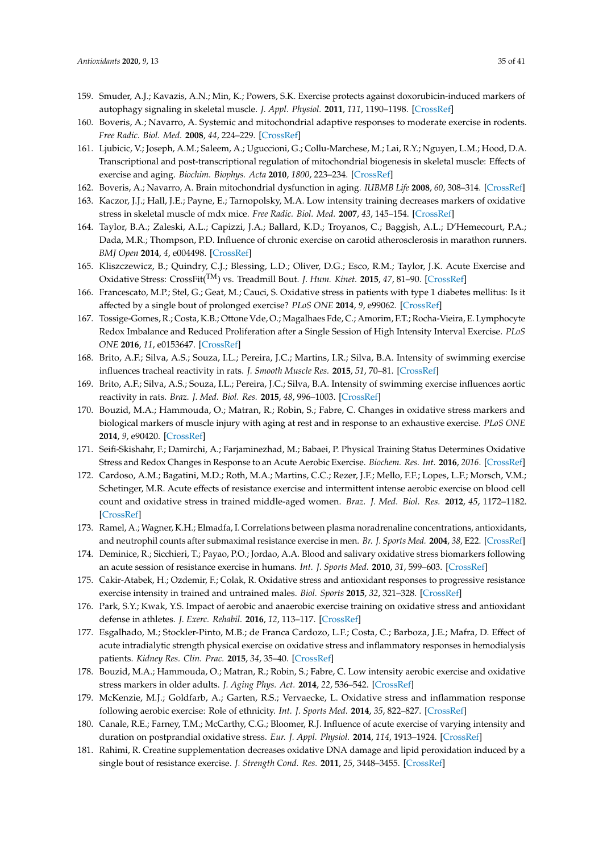- <span id="page-34-14"></span><span id="page-34-13"></span><span id="page-34-12"></span><span id="page-34-0"></span>159. Smuder, A.J.; Kavazis, A.N.; Min, K.; Powers, S.K. Exercise protects against doxorubicin-induced markers of autophagy signaling in skeletal muscle. *J. Appl. Physiol.* **2011**, *111*, 1190–1198. [\[CrossRef\]](http://dx.doi.org/10.1152/japplphysiol.00429.2011)
- <span id="page-34-15"></span><span id="page-34-1"></span>160. Boveris, A.; Navarro, A. Systemic and mitochondrial adaptive responses to moderate exercise in rodents. *Free Radic. Biol. Med.* **2008**, *44*, 224–229. [\[CrossRef\]](http://dx.doi.org/10.1016/j.freeradbiomed.2007.08.015)
- 161. Ljubicic, V.; Joseph, A.M.; Saleem, A.; Uguccioni, G.; Collu-Marchese, M.; Lai, R.Y.; Nguyen, L.M.; Hood, D.A. Transcriptional and post-transcriptional regulation of mitochondrial biogenesis in skeletal muscle: Effects of exercise and aging. *Biochim. Biophys. Acta* **2010**, *1800*, 223–234. [\[CrossRef\]](http://dx.doi.org/10.1016/j.bbagen.2009.07.031)
- <span id="page-34-3"></span><span id="page-34-2"></span>162. Boveris, A.; Navarro, A. Brain mitochondrial dysfunction in aging. *IUBMB Life* **2008**, *60*, 308–314. [\[CrossRef\]](http://dx.doi.org/10.1002/iub.46)
- 163. Kaczor, J.J.; Hall, J.E.; Payne, E.; Tarnopolsky, M.A. Low intensity training decreases markers of oxidative stress in skeletal muscle of mdx mice. *Free Radic. Biol. Med.* **2007**, *43*, 145–154. [\[CrossRef\]](http://dx.doi.org/10.1016/j.freeradbiomed.2007.04.003)
- <span id="page-34-16"></span><span id="page-34-4"></span>164. Taylor, B.A.; Zaleski, A.L.; Capizzi, J.A.; Ballard, K.D.; Troyanos, C.; Baggish, A.L.; D'Hemecourt, P.A.; Dada, M.R.; Thompson, P.D. Influence of chronic exercise on carotid atherosclerosis in marathon runners. *BMJ Open* **2014**, *4*, e004498. [\[CrossRef\]](http://dx.doi.org/10.1136/bmjopen-2013-004498)
- <span id="page-34-17"></span><span id="page-34-5"></span>165. Kliszczewicz, B.; Quindry, C.J.; Blessing, L.D.; Oliver, D.G.; Esco, R.M.; Taylor, J.K. Acute Exercise and Oxidative Stress: CrossFit(TM) vs. Treadmill Bout. *J. Hum. Kinet.* **2015**, *47*, 81–90. [\[CrossRef\]](http://dx.doi.org/10.1515/hukin-2015-0064)
- <span id="page-34-18"></span><span id="page-34-6"></span>166. Francescato, M.P.; Stel, G.; Geat, M.; Cauci, S. Oxidative stress in patients with type 1 diabetes mellitus: Is it affected by a single bout of prolonged exercise? *PLoS ONE* **2014**, *9*, e99062. [\[CrossRef\]](http://dx.doi.org/10.1371/journal.pone.0099062)
- <span id="page-34-19"></span><span id="page-34-7"></span>167. Tossige-Gomes, R.; Costa, K.B.; Ottone Vde, O.; Magalhaes Fde, C.; Amorim, F.T.; Rocha-Vieira, E. Lymphocyte Redox Imbalance and Reduced Proliferation after a Single Session of High Intensity Interval Exercise. *PLoS ONE* **2016**, *11*, e0153647. [\[CrossRef\]](http://dx.doi.org/10.1371/journal.pone.0153647)
- <span id="page-34-8"></span>168. Brito, A.F.; Silva, A.S.; Souza, I.L.; Pereira, J.C.; Martins, I.R.; Silva, B.A. Intensity of swimming exercise influences tracheal reactivity in rats. *J. Smooth Muscle Res.* **2015**, *51*, 70–81. [\[CrossRef\]](http://dx.doi.org/10.1540/jsmr.51.70)
- <span id="page-34-20"></span><span id="page-34-9"></span>169. Brito, A.F.; Silva, A.S.; Souza, I.L.; Pereira, J.C.; Silva, B.A. Intensity of swimming exercise influences aortic reactivity in rats. *Braz. J. Med. Biol. Res.* **2015**, *48*, 996–1003. [\[CrossRef\]](http://dx.doi.org/10.1590/1414-431x20154397)
- <span id="page-34-21"></span><span id="page-34-10"></span>170. Bouzid, M.A.; Hammouda, O.; Matran, R.; Robin, S.; Fabre, C. Changes in oxidative stress markers and biological markers of muscle injury with aging at rest and in response to an exhaustive exercise. *PLoS ONE* **2014**, *9*, e90420. [\[CrossRef\]](http://dx.doi.org/10.1371/journal.pone.0090420)
- <span id="page-34-22"></span><span id="page-34-11"></span>171. Seifi-Skishahr, F.; Damirchi, A.; Farjaminezhad, M.; Babaei, P. Physical Training Status Determines Oxidative Stress and Redox Changes in Response to an Acute Aerobic Exercise. *Biochem. Res. Int.* **2016**, *2016*. [\[CrossRef\]](http://dx.doi.org/10.1155/2016/3757623)
- <span id="page-34-24"></span><span id="page-34-23"></span>172. Cardoso, A.M.; Bagatini, M.D.; Roth, M.A.; Martins, C.C.; Rezer, J.F.; Mello, F.F.; Lopes, L.F.; Morsch, V.M.; Schetinger, M.R. Acute effects of resistance exercise and intermittent intense aerobic exercise on blood cell count and oxidative stress in trained middle-aged women. *Braz. J. Med. Biol. Res.* **2012**, *45*, 1172–1182. [\[CrossRef\]](http://dx.doi.org/10.1590/S0100-879X2012007500166)
- <span id="page-34-25"></span>173. Ramel, A.; Wagner, K.H.; Elmadfa, I. Correlations between plasma noradrenaline concentrations, antioxidants, and neutrophil counts after submaximal resistance exercise in men. *Br. J. Sports Med.* **2004**, *38*, E22. [\[CrossRef\]](http://dx.doi.org/10.1136/bjsm.2003.007666)
- <span id="page-34-26"></span>174. Deminice, R.; Sicchieri, T.; Payao, P.O.; Jordao, A.A. Blood and salivary oxidative stress biomarkers following an acute session of resistance exercise in humans. *Int. J. Sports Med.* **2010**, *31*, 599–603. [\[CrossRef\]](http://dx.doi.org/10.1055/s-0030-1255107)
- <span id="page-34-27"></span>175. Cakir-Atabek, H.; Ozdemir, F.; Colak, R. Oxidative stress and antioxidant responses to progressive resistance exercise intensity in trained and untrained males. *Biol. Sports* **2015**, *32*, 321–328. [\[CrossRef\]](http://dx.doi.org/10.5604/20831862.1176302)
- <span id="page-34-28"></span>176. Park, S.Y.; Kwak, Y.S. Impact of aerobic and anaerobic exercise training on oxidative stress and antioxidant defense in athletes. *J. Exerc. Rehabil.* **2016**, *12*, 113–117. [\[CrossRef\]](http://dx.doi.org/10.12965/jer.1632598.299)
- 177. Esgalhado, M.; Stockler-Pinto, M.B.; de Franca Cardozo, L.F.; Costa, C.; Barboza, J.E.; Mafra, D. Effect of acute intradialytic strength physical exercise on oxidative stress and inflammatory responses in hemodialysis patients. *Kidney Res. Clin. Prac.* **2015**, *34*, 35–40. [\[CrossRef\]](http://dx.doi.org/10.1016/j.krcp.2015.02.004)
- 178. Bouzid, M.A.; Hammouda, O.; Matran, R.; Robin, S.; Fabre, C. Low intensity aerobic exercise and oxidative stress markers in older adults. *J. Aging Phys. Act.* **2014**, *22*, 536–542. [\[CrossRef\]](http://dx.doi.org/10.1123/JAPA.2013-0037)
- 179. McKenzie, M.J.; Goldfarb, A.; Garten, R.S.; Vervaecke, L. Oxidative stress and inflammation response following aerobic exercise: Role of ethnicity. *Int. J. Sports Med.* **2014**, *35*, 822–827. [\[CrossRef\]](http://dx.doi.org/10.1055/s-0033-1363982)
- 180. Canale, R.E.; Farney, T.M.; McCarthy, C.G.; Bloomer, R.J. Influence of acute exercise of varying intensity and duration on postprandial oxidative stress. *Eur. J. Appl. Physiol.* **2014**, *114*, 1913–1924. [\[CrossRef\]](http://dx.doi.org/10.1007/s00421-014-2912-z)
- 181. Rahimi, R. Creatine supplementation decreases oxidative DNA damage and lipid peroxidation induced by a single bout of resistance exercise. *J. Strength Cond. Res.* **2011**, *25*, 3448–3455. [\[CrossRef\]](http://dx.doi.org/10.1519/JSC.0b013e3182162f2b)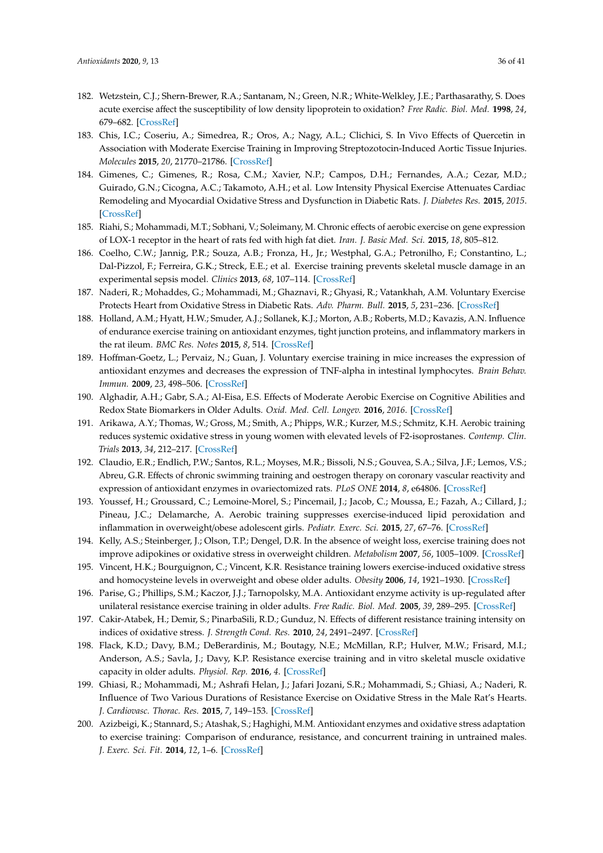- <span id="page-35-18"></span><span id="page-35-17"></span><span id="page-35-16"></span><span id="page-35-15"></span><span id="page-35-14"></span><span id="page-35-13"></span><span id="page-35-0"></span>182. Wetzstein, C.J.; Shern-Brewer, R.A.; Santanam, N.; Green, N.R.; White-Welkley, J.E.; Parthasarathy, S. Does acute exercise affect the susceptibility of low density lipoprotein to oxidation? *Free Radic. Biol. Med.* **1998**, *24*, 679–682. [\[CrossRef\]](http://dx.doi.org/10.1016/S0891-5849(97)00320-1)
- <span id="page-35-19"></span><span id="page-35-1"></span>183. Chis, I.C.; Coseriu, A.; Simedrea, R.; Oros, A.; Nagy, A.L.; Clichici, S. In Vivo Effects of Quercetin in Association with Moderate Exercise Training in Improving Streptozotocin-Induced Aortic Tissue Injuries. *Molecules* **2015**, *20*, 21770–21786. [\[CrossRef\]](http://dx.doi.org/10.3390/molecules201219802)
- <span id="page-35-20"></span><span id="page-35-6"></span>184. Gimenes, C.; Gimenes, R.; Rosa, C.M.; Xavier, N.P.; Campos, D.H.; Fernandes, A.A.; Cezar, M.D.; Guirado, G.N.; Cicogna, A.C.; Takamoto, A.H.; et al. Low Intensity Physical Exercise Attenuates Cardiac Remodeling and Myocardial Oxidative Stress and Dysfunction in Diabetic Rats. *J. Diabetes Res.* **2015**, *2015*. [\[CrossRef\]](http://dx.doi.org/10.1155/2015/457848)
- <span id="page-35-3"></span>185. Riahi, S.; Mohammadi, M.T.; Sobhani, V.; Soleimany, M. Chronic effects of aerobic exercise on gene expression of LOX-1 receptor in the heart of rats fed with high fat diet. *Iran. J. Basic Med. Sci.* **2015**, *18*, 805–812.
- <span id="page-35-4"></span>186. Coelho, C.W.; Jannig, P.R.; Souza, A.B.; Fronza, H., Jr.; Westphal, G.A.; Petronilho, F.; Constantino, L.; Dal-Pizzol, F.; Ferreira, G.K.; Streck, E.E.; et al. Exercise training prevents skeletal muscle damage in an experimental sepsis model. *Clinics* **2013**, *68*, 107–114. [\[CrossRef\]](http://dx.doi.org/10.6061/clinics/2013(01)OA17)
- <span id="page-35-5"></span>187. Naderi, R.; Mohaddes, G.; Mohammadi, M.; Ghaznavi, R.; Ghyasi, R.; Vatankhah, A.M. Voluntary Exercise Protects Heart from Oxidative Stress in Diabetic Rats. *Adv. Pharm. Bull.* **2015**, *5*, 231–236. [\[CrossRef\]](http://dx.doi.org/10.15171/apb.2015.032)
- <span id="page-35-22"></span><span id="page-35-21"></span><span id="page-35-7"></span>188. Holland, A.M.; Hyatt, H.W.; Smuder, A.J.; Sollanek, K.J.; Morton, A.B.; Roberts, M.D.; Kavazis, A.N. Influence of endurance exercise training on antioxidant enzymes, tight junction proteins, and inflammatory markers in the rat ileum. *BMC Res. Notes* **2015**, *8*, 514. [\[CrossRef\]](http://dx.doi.org/10.1186/s13104-015-1500-6)
- <span id="page-35-23"></span><span id="page-35-2"></span>189. Hoffman-Goetz, L.; Pervaiz, N.; Guan, J. Voluntary exercise training in mice increases the expression of antioxidant enzymes and decreases the expression of TNF-alpha in intestinal lymphocytes. *Brain Behav. Immun.* **2009**, *23*, 498–506. [\[CrossRef\]](http://dx.doi.org/10.1016/j.bbi.2009.01.015)
- <span id="page-35-24"></span><span id="page-35-8"></span>190. Alghadir, A.H.; Gabr, S.A.; Al-Eisa, E.S. Effects of Moderate Aerobic Exercise on Cognitive Abilities and Redox State Biomarkers in Older Adults. *Oxid. Med. Cell. Longev.* **2016**, *2016*. [\[CrossRef\]](http://dx.doi.org/10.1155/2016/2545168)
- <span id="page-35-25"></span><span id="page-35-9"></span>191. Arikawa, A.Y.; Thomas, W.; Gross, M.; Smith, A.; Phipps, W.R.; Kurzer, M.S.; Schmitz, K.H. Aerobic training reduces systemic oxidative stress in young women with elevated levels of F2-isoprostanes. *Contemp. Clin. Trials* **2013**, *34*, 212–217. [\[CrossRef\]](http://dx.doi.org/10.1016/j.cct.2012.11.003)
- <span id="page-35-26"></span><span id="page-35-10"></span>192. Claudio, E.R.; Endlich, P.W.; Santos, R.L.; Moyses, M.R.; Bissoli, N.S.; Gouvea, S.A.; Silva, J.F.; Lemos, V.S.; Abreu, G.R. Effects of chronic swimming training and oestrogen therapy on coronary vascular reactivity and expression of antioxidant enzymes in ovariectomized rats. *PLoS ONE* **2014**, *8*, e64806. [\[CrossRef\]](http://dx.doi.org/10.1371/journal.pone.0064806)
- <span id="page-35-11"></span>193. Youssef, H.; Groussard, C.; Lemoine-Morel, S.; Pincemail, J.; Jacob, C.; Moussa, E.; Fazah, A.; Cillard, J.; Pineau, J.C.; Delamarche, A. Aerobic training suppresses exercise-induced lipid peroxidation and inflammation in overweight/obese adolescent girls. *Pediatr. Exerc. Sci.* **2015**, *27*, 67–76. [\[CrossRef\]](http://dx.doi.org/10.1123/pes.2014-0008)
- <span id="page-35-12"></span>194. Kelly, A.S.; Steinberger, J.; Olson, T.P.; Dengel, D.R. In the absence of weight loss, exercise training does not improve adipokines or oxidative stress in overweight children. *Metabolism* **2007**, *56*, 1005–1009. [\[CrossRef\]](http://dx.doi.org/10.1016/j.metabol.2007.03.009)
- <span id="page-35-27"></span>195. Vincent, H.K.; Bourguignon, C.; Vincent, K.R. Resistance training lowers exercise-induced oxidative stress and homocysteine levels in overweight and obese older adults. *Obesity* **2006**, *14*, 1921–1930. [\[CrossRef\]](http://dx.doi.org/10.1038/oby.2006.224)
- <span id="page-35-28"></span>196. Parise, G.; Phillips, S.M.; Kaczor, J.J.; Tarnopolsky, M.A. Antioxidant enzyme activity is up-regulated after unilateral resistance exercise training in older adults. *Free Radic. Biol. Med.* **2005**, *39*, 289–295. [\[CrossRef\]](http://dx.doi.org/10.1016/j.freeradbiomed.2005.03.024)
- <span id="page-35-29"></span>197. Cakir-Atabek, H.; Demir, S.; PinarbaSili, R.D.; Gunduz, N. Effects of different resistance training intensity on indices of oxidative stress. *J. Strength Cond. Res.* **2010**, *24*, 2491–2497. [\[CrossRef\]](http://dx.doi.org/10.1519/JSC.0b013e3181ddb111)
- <span id="page-35-30"></span>198. Flack, K.D.; Davy, B.M.; DeBerardinis, M.; Boutagy, N.E.; McMillan, R.P.; Hulver, M.W.; Frisard, M.I.; Anderson, A.S.; Savla, J.; Davy, K.P. Resistance exercise training and in vitro skeletal muscle oxidative capacity in older adults. *Physiol. Rep.* **2016**, *4*. [\[CrossRef\]](http://dx.doi.org/10.14814/phy2.12849)
- <span id="page-35-31"></span>199. Ghiasi, R.; Mohammadi, M.; Ashrafi Helan, J.; Jafari Jozani, S.R.; Mohammadi, S.; Ghiasi, A.; Naderi, R. Influence of Two Various Durations of Resistance Exercise on Oxidative Stress in the Male Rat's Hearts. *J. Cardiovasc. Thorac. Res.* **2015**, *7*, 149–153. [\[CrossRef\]](http://dx.doi.org/10.15171/jcvtr.2015.32)
- <span id="page-35-32"></span>200. Azizbeigi, K.; Stannard, S.; Atashak, S.; Haghighi, M.M. Antioxidant enzymes and oxidative stress adaptation to exercise training: Comparison of endurance, resistance, and concurrent training in untrained males. *J. Exerc. Sci. Fit.* **2014**, *12*, 1–6. [\[CrossRef\]](http://dx.doi.org/10.1016/j.jesf.2013.12.001)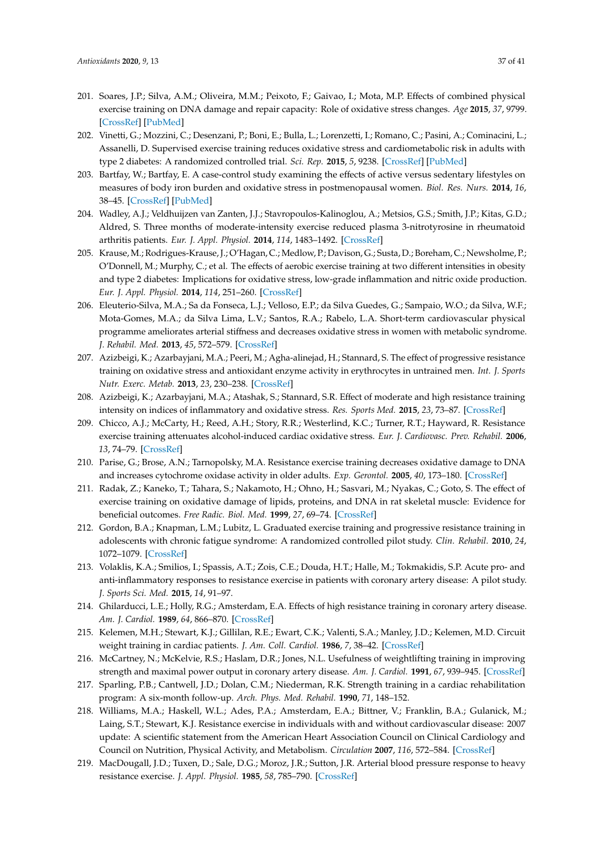- <span id="page-36-15"></span><span id="page-36-6"></span><span id="page-36-5"></span><span id="page-36-4"></span><span id="page-36-3"></span><span id="page-36-2"></span><span id="page-36-1"></span><span id="page-36-0"></span>201. Soares, J.P.; Silva, A.M.; Oliveira, M.M.; Peixoto, F.; Gaivao, I.; Mota, M.P. Effects of combined physical exercise training on DNA damage and repair capacity: Role of oxidative stress changes. *Age* **2015**, *37*, 9799. [\[CrossRef\]](http://dx.doi.org/10.1007/s11357-015-9799-4) [\[PubMed\]](http://www.ncbi.nlm.nih.gov/pubmed/26044257)
- <span id="page-36-16"></span><span id="page-36-7"></span>202. Vinetti, G.; Mozzini, C.; Desenzani, P.; Boni, E.; Bulla, L.; Lorenzetti, I.; Romano, C.; Pasini, A.; Cominacini, L.; Assanelli, D. Supervised exercise training reduces oxidative stress and cardiometabolic risk in adults with type 2 diabetes: A randomized controlled trial. *Sci. Rep.* **2015**, *5*, 9238. [\[CrossRef\]](http://dx.doi.org/10.1038/srep09238) [\[PubMed\]](http://www.ncbi.nlm.nih.gov/pubmed/25783765)
- <span id="page-36-17"></span><span id="page-36-8"></span>203. Bartfay, W.; Bartfay, E. A case-control study examining the effects of active versus sedentary lifestyles on measures of body iron burden and oxidative stress in postmenopausal women. *Biol. Res. Nurs.* **2014**, *16*, 38–45. [\[CrossRef\]](http://dx.doi.org/10.1177/1099800413501717) [\[PubMed\]](http://www.ncbi.nlm.nih.gov/pubmed/24057220)
- <span id="page-36-10"></span><span id="page-36-9"></span>204. Wadley, A.J.; Veldhuijzen van Zanten, J.J.; Stavropoulos-Kalinoglou, A.; Metsios, G.S.; Smith, J.P.; Kitas, G.D.; Aldred, S. Three months of moderate-intensity exercise reduced plasma 3-nitrotyrosine in rheumatoid arthritis patients. *Eur. J. Appl. Physiol.* **2014**, *114*, 1483–1492. [\[CrossRef\]](http://dx.doi.org/10.1007/s00421-014-2877-y)
- 205. Krause, M.; Rodrigues-Krause, J.; O'Hagan, C.; Medlow, P.; Davison, G.; Susta, D.; Boreham, C.; Newsholme, P.; O'Donnell, M.; Murphy, C.; et al. The effects of aerobic exercise training at two different intensities in obesity and type 2 diabetes: Implications for oxidative stress, low-grade inflammation and nitric oxide production. *Eur. J. Appl. Physiol.* **2014**, *114*, 251–260. [\[CrossRef\]](http://dx.doi.org/10.1007/s00421-013-2769-6)
- 206. Eleuterio-Silva, M.A.; Sa da Fonseca, L.J.; Velloso, E.P.; da Silva Guedes, G.; Sampaio, W.O.; da Silva, W.F.; Mota-Gomes, M.A.; da Silva Lima, L.V.; Santos, R.A.; Rabelo, L.A. Short-term cardiovascular physical programme ameliorates arterial stiffness and decreases oxidative stress in women with metabolic syndrome. *J. Rehabil. Med.* **2013**, *45*, 572–579. [\[CrossRef\]](http://dx.doi.org/10.2340/16501977-1148)
- 207. Azizbeigi, K.; Azarbayjani, M.A.; Peeri, M.; Agha-alinejad, H.; Stannard, S. The effect of progressive resistance training on oxidative stress and antioxidant enzyme activity in erythrocytes in untrained men. *Int. J. Sports Nutr. Exerc. Metab.* **2013**, *23*, 230–238. [\[CrossRef\]](http://dx.doi.org/10.1123/ijsnem.23.3.230)
- 208. Azizbeigi, K.; Azarbayjani, M.A.; Atashak, S.; Stannard, S.R. Effect of moderate and high resistance training intensity on indices of inflammatory and oxidative stress. *Res. Sports Med.* **2015**, *23*, 73–87. [\[CrossRef\]](http://dx.doi.org/10.1080/15438627.2014.975807)
- 209. Chicco, A.J.; McCarty, H.; Reed, A.H.; Story, R.R.; Westerlind, K.C.; Turner, R.T.; Hayward, R. Resistance exercise training attenuates alcohol-induced cardiac oxidative stress. *Eur. J. Cardiovasc. Prev. Rehabil.* **2006**, *13*, 74–79. [\[CrossRef\]](http://dx.doi.org/10.1097/00149831-200602000-00011)
- 210. Parise, G.; Brose, A.N.; Tarnopolsky, M.A. Resistance exercise training decreases oxidative damage to DNA and increases cytochrome oxidase activity in older adults. *Exp. Gerontol.* **2005**, *40*, 173–180. [\[CrossRef\]](http://dx.doi.org/10.1016/j.exger.2004.09.002)
- 211. Radak, Z.; Kaneko, T.; Tahara, S.; Nakamoto, H.; Ohno, H.; Sasvari, M.; Nyakas, C.; Goto, S. The effect of exercise training on oxidative damage of lipids, proteins, and DNA in rat skeletal muscle: Evidence for beneficial outcomes. *Free Radic. Biol. Med.* **1999**, *27*, 69–74. [\[CrossRef\]](http://dx.doi.org/10.1016/S0891-5849(99)00038-6)
- <span id="page-36-11"></span>212. Gordon, B.A.; Knapman, L.M.; Lubitz, L. Graduated exercise training and progressive resistance training in adolescents with chronic fatigue syndrome: A randomized controlled pilot study. *Clin. Rehabil.* **2010**, *24*, 1072–1079. [\[CrossRef\]](http://dx.doi.org/10.1177/0269215510371429)
- <span id="page-36-12"></span>213. Volaklis, K.A.; Smilios, I.; Spassis, A.T.; Zois, C.E.; Douda, H.T.; Halle, M.; Tokmakidis, S.P. Acute pro- and anti-inflammatory responses to resistance exercise in patients with coronary artery disease: A pilot study. *J. Sports Sci. Med.* **2015**, *14*, 91–97.
- 214. Ghilarducci, L.E.; Holly, R.G.; Amsterdam, E.A. Effects of high resistance training in coronary artery disease. *Am. J. Cardiol.* **1989**, *64*, 866–870. [\[CrossRef\]](http://dx.doi.org/10.1016/0002-9149(89)90833-3)
- 215. Kelemen, M.H.; Stewart, K.J.; Gillilan, R.E.; Ewart, C.K.; Valenti, S.A.; Manley, J.D.; Kelemen, M.D. Circuit weight training in cardiac patients. *J. Am. Coll. Cardiol.* **1986**, *7*, 38–42. [\[CrossRef\]](http://dx.doi.org/10.1016/S0735-1097(86)80256-X)
- 216. McCartney, N.; McKelvie, R.S.; Haslam, D.R.; Jones, N.L. Usefulness of weightlifting training in improving strength and maximal power output in coronary artery disease. *Am. J. Cardiol.* **1991**, *67*, 939–945. [\[CrossRef\]](http://dx.doi.org/10.1016/0002-9149(91)90164-G)
- 217. Sparling, P.B.; Cantwell, J.D.; Dolan, C.M.; Niederman, R.K. Strength training in a cardiac rehabilitation program: A six-month follow-up. *Arch. Phys. Med. Rehabil.* **1990**, *71*, 148–152.
- <span id="page-36-13"></span>218. Williams, M.A.; Haskell, W.L.; Ades, P.A.; Amsterdam, E.A.; Bittner, V.; Franklin, B.A.; Gulanick, M.; Laing, S.T.; Stewart, K.J. Resistance exercise in individuals with and without cardiovascular disease: 2007 update: A scientific statement from the American Heart Association Council on Clinical Cardiology and Council on Nutrition, Physical Activity, and Metabolism. *Circulation* **2007**, *116*, 572–584. [\[CrossRef\]](http://dx.doi.org/10.1161/CIRCULATIONAHA.107.185214)
- <span id="page-36-14"></span>219. MacDougall, J.D.; Tuxen, D.; Sale, D.G.; Moroz, J.R.; Sutton, J.R. Arterial blood pressure response to heavy resistance exercise. *J. Appl. Physiol.* **1985**, *58*, 785–790. [\[CrossRef\]](http://dx.doi.org/10.1152/jappl.1985.58.3.785)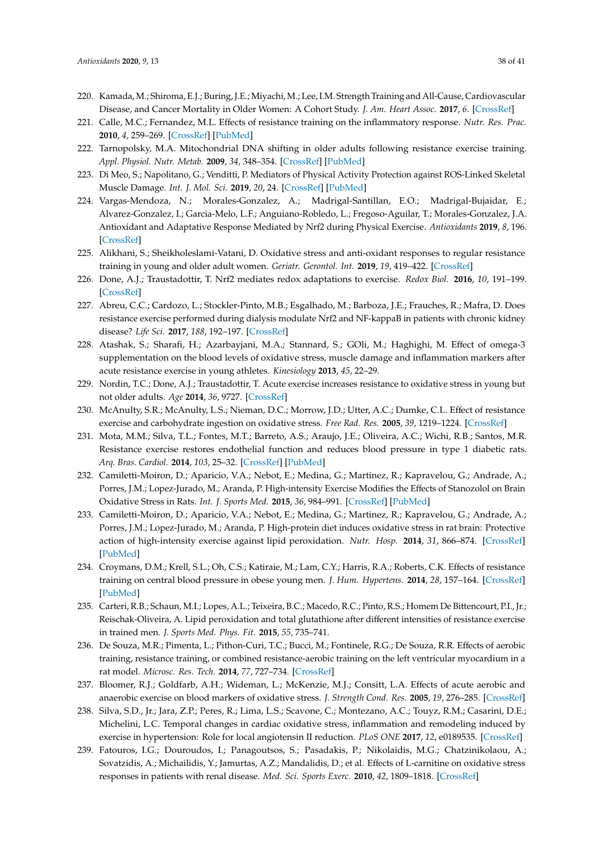- <span id="page-37-0"></span>220. Kamada, M.; Shiroma, E.J.; Buring, J.E.; Miyachi, M.; Lee, I.M. Strength Training and All-Cause, Cardiovascular Disease, and Cancer Mortality in Older Women: A Cohort Study. *J. Am. Heart Assoc.* **2017**, *6*. [\[CrossRef\]](http://dx.doi.org/10.1161/JAHA.117.007677)
- <span id="page-37-1"></span>221. Calle, M.C.; Fernandez, M.L. Effects of resistance training on the inflammatory response. *Nutr. Res. Prac.* **2010**, *4*, 259–269. [\[CrossRef\]](http://dx.doi.org/10.4162/nrp.2010.4.4.259) [\[PubMed\]](http://www.ncbi.nlm.nih.gov/pubmed/20827340)
- <span id="page-37-2"></span>222. Tarnopolsky, M.A. Mitochondrial DNA shifting in older adults following resistance exercise training. *Appl. Physiol. Nutr. Metab.* **2009**, *34*, 348–354. [\[CrossRef\]](http://dx.doi.org/10.1139/H09-022) [\[PubMed\]](http://www.ncbi.nlm.nih.gov/pubmed/19448697)
- <span id="page-37-3"></span>223. Di Meo, S.; Napolitano, G.; Venditti, P. Mediators of Physical Activity Protection against ROS-Linked Skeletal Muscle Damage. *Int. J. Mol. Sci.* **2019**, *20*, 24. [\[CrossRef\]](http://dx.doi.org/10.3390/ijms20123024) [\[PubMed\]](http://www.ncbi.nlm.nih.gov/pubmed/31226872)
- <span id="page-37-6"></span>224. Vargas-Mendoza, N.; Morales-Gonzalez, A.; Madrigal-Santillan, E.O.; Madrigal-Bujaidar, E.; Alvarez-Gonzalez, I.; Garcia-Melo, L.F.; Anguiano-Robledo, L.; Fregoso-Aguilar, T.; Morales-Gonzalez, J.A. Antioxidant and Adaptative Response Mediated by Nrf2 during Physical Exercise. *Antioxidants* **2019**, *8*, 196. [\[CrossRef\]](http://dx.doi.org/10.3390/antiox8060196)
- <span id="page-37-4"></span>225. Alikhani, S.; Sheikholeslami-Vatani, D. Oxidative stress and anti-oxidant responses to regular resistance training in young and older adult women. *Geriatr. Gerontol. Int.* **2019**, *19*, 419–422. [\[CrossRef\]](http://dx.doi.org/10.1111/ggi.13636)
- <span id="page-37-5"></span>226. Done, A.J.; Traustadottir, T. Nrf2 mediates redox adaptations to exercise. *Redox Biol.* **2016**, *10*, 191–199. [\[CrossRef\]](http://dx.doi.org/10.1016/j.redox.2016.10.003)
- <span id="page-37-7"></span>227. Abreu, C.C.; Cardozo, L.; Stockler-Pinto, M.B.; Esgalhado, M.; Barboza, J.E.; Frauches, R.; Mafra, D. Does resistance exercise performed during dialysis modulate Nrf2 and NF-kappaB in patients with chronic kidney disease? *Life Sci.* **2017**, *188*, 192–197. [\[CrossRef\]](http://dx.doi.org/10.1016/j.lfs.2017.09.007)
- <span id="page-37-8"></span>228. Atashak, S.; Sharafi, H.; Azarbayjani, M.A.; Stannard, S.; GOli, M.; Haghighi, M. Effect of omega-3 supplementation on the blood levels of oxidative stress, muscle damage and inflammation markers after acute resistance exercise in young athletes. *Kinesiology* **2013**, *45*, 22–29.
- <span id="page-37-9"></span>229. Nordin, T.C.; Done, A.J.; Traustadottir, T. Acute exercise increases resistance to oxidative stress in young but not older adults. *Age* **2014**, *36*, 9727. [\[CrossRef\]](http://dx.doi.org/10.1007/s11357-014-9727-z)
- <span id="page-37-10"></span>230. McAnulty, S.R.; McAnulty, L.S.; Nieman, D.C.; Morrow, J.D.; Utter, A.C.; Dumke, C.L. Effect of resistance exercise and carbohydrate ingestion on oxidative stress. *Free Rad. Res.* **2005**, *39*, 1219–1224. [\[CrossRef\]](http://dx.doi.org/10.1080/10725760500317536)
- <span id="page-37-11"></span>231. Mota, M.M.; Silva, T.L.; Fontes, M.T.; Barreto, A.S.; Araujo, J.E.; Oliveira, A.C.; Wichi, R.B.; Santos, M.R. Resistance exercise restores endothelial function and reduces blood pressure in type 1 diabetic rats. *Arq. Bras. Cardiol.* **2014**, *103*, 25–32. [\[CrossRef\]](http://dx.doi.org/10.5935/abc.20140087) [\[PubMed\]](http://www.ncbi.nlm.nih.gov/pubmed/25120082)
- <span id="page-37-12"></span>232. Camiletti-Moiron, D.; Aparicio, V.A.; Nebot, E.; Medina, G.; Martinez, R.; Kapravelou, G.; Andrade, A.; Porres, J.M.; Lopez-Jurado, M.; Aranda, P. High-intensity Exercise Modifies the Effects of Stanozolol on Brain Oxidative Stress in Rats. *Int. J. Sports Med.* **2015**, *36*, 984–991. [\[CrossRef\]](http://dx.doi.org/10.1055/s-0035-1548941) [\[PubMed\]](http://www.ncbi.nlm.nih.gov/pubmed/26252547)
- <span id="page-37-13"></span>233. Camiletti-Moiron, D.; Aparicio, V.A.; Nebot, E.; Medina, G.; Martinez, R.; Kapravelou, G.; Andrade, A.; Porres, J.M.; Lopez-Jurado, M.; Aranda, P. High-protein diet induces oxidative stress in rat brain: Protective action of high-intensity exercise against lipid peroxidation. *Nutr. Hosp.* **2014**, *31*, 866–874. [\[CrossRef\]](http://dx.doi.org/10.3305/nh.2015.31.2.8182) [\[PubMed\]](http://www.ncbi.nlm.nih.gov/pubmed/25617575)
- <span id="page-37-14"></span>234. Croymans, D.M.; Krell, S.L.; Oh, C.S.; Katiraie, M.; Lam, C.Y.; Harris, R.A.; Roberts, C.K. Effects of resistance training on central blood pressure in obese young men. *J. Hum. Hypertens.* **2014**, *28*, 157–164. [\[CrossRef\]](http://dx.doi.org/10.1038/jhh.2013.81) [\[PubMed\]](http://www.ncbi.nlm.nih.gov/pubmed/24005959)
- <span id="page-37-15"></span>235. Carteri, R.B.; Schaun, M.I.; Lopes, A.L.; Teixeira, B.C.; Macedo, R.C.; Pinto, R.S.; Homem De Bittencourt, P.I., Jr.; Reischak-Oliveira, A. Lipid peroxidation and total glutathione after different intensities of resistance exercise in trained men. *J. Sports Med. Phys. Fit.* **2015**, *55*, 735–741.
- <span id="page-37-16"></span>236. De Souza, M.R.; Pimenta, L.; Pithon-Curi, T.C.; Bucci, M.; Fontinele, R.G.; De Souza, R.R. Effects of aerobic training, resistance training, or combined resistance-aerobic training on the left ventricular myocardium in a rat model. *Microsc. Res. Tech.* **2014**, *77*, 727–734. [\[CrossRef\]](http://dx.doi.org/10.1002/jemt.22394)
- <span id="page-37-17"></span>237. Bloomer, R.J.; Goldfarb, A.H.; Wideman, L.; McKenzie, M.J.; Consitt, L.A. Effects of acute aerobic and anaerobic exercise on blood markers of oxidative stress. *J. Strength Cond. Res.* **2005**, *19*, 276–285. [\[CrossRef\]](http://dx.doi.org/10.1519/14823.1)
- <span id="page-37-18"></span>238. Silva, S.D., Jr.; Jara, Z.P.; Peres, R.; Lima, L.S.; Scavone, C.; Montezano, A.C.; Touyz, R.M.; Casarini, D.E.; Michelini, L.C. Temporal changes in cardiac oxidative stress, inflammation and remodeling induced by exercise in hypertension: Role for local angiotensin II reduction. *PLoS ONE* **2017**, *12*, e0189535. [\[CrossRef\]](http://dx.doi.org/10.1371/journal.pone.0189535)
- <span id="page-37-19"></span>239. Fatouros, I.G.; Douroudos, I.; Panagoutsos, S.; Pasadakis, P.; Nikolaidis, M.G.; Chatzinikolaou, A.; Sovatzidis, A.; Michailidis, Y.; Jamurtas, A.Z.; Mandalidis, D.; et al. Effects of L-carnitine on oxidative stress responses in patients with renal disease. *Med. Sci. Sports Exerc.* **2010**, *42*, 1809–1818. [\[CrossRef\]](http://dx.doi.org/10.1249/MSS.0b013e3181dbacab)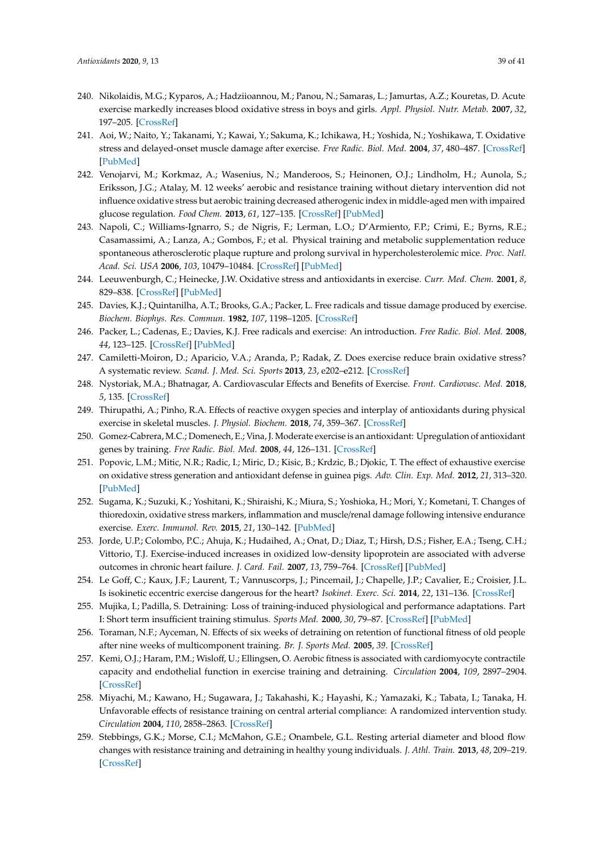- 240. Nikolaidis, M.G.; Kyparos, A.; Hadziioannou, M.; Panou, N.; Samaras, L.; Jamurtas, A.Z.; Kouretas, D. Acute exercise markedly increases blood oxidative stress in boys and girls. *Appl. Physiol. Nutr. Metab.* **2007**, *32*, 197–205. [\[CrossRef\]](http://dx.doi.org/10.1139/h06-097)
- <span id="page-38-0"></span>241. Aoi, W.; Naito, Y.; Takanami, Y.; Kawai, Y.; Sakuma, K.; Ichikawa, H.; Yoshida, N.; Yoshikawa, T. Oxidative stress and delayed-onset muscle damage after exercise. *Free Radic. Biol. Med.* **2004**, *37*, 480–487. [\[CrossRef\]](http://dx.doi.org/10.1016/j.freeradbiomed.2004.05.008) [\[PubMed\]](http://www.ncbi.nlm.nih.gov/pubmed/15256219)
- <span id="page-38-1"></span>242. Venojarvi, M.; Korkmaz, A.; Wasenius, N.; Manderoos, S.; Heinonen, O.J.; Lindholm, H.; Aunola, S.; Eriksson, J.G.; Atalay, M. 12 weeks' aerobic and resistance training without dietary intervention did not influence oxidative stress but aerobic training decreased atherogenic index in middle-aged men with impaired glucose regulation. *Food Chem.* **2013**, *61*, 127–135. [\[CrossRef\]](http://dx.doi.org/10.1016/j.fct.2013.04.015) [\[PubMed\]](http://www.ncbi.nlm.nih.gov/pubmed/23623841)
- <span id="page-38-2"></span>243. Napoli, C.; Williams-Ignarro, S.; de Nigris, F.; Lerman, L.O.; D'Armiento, F.P.; Crimi, E.; Byrns, R.E.; Casamassimi, A.; Lanza, A.; Gombos, F.; et al. Physical training and metabolic supplementation reduce spontaneous atherosclerotic plaque rupture and prolong survival in hypercholesterolemic mice. *Proc. Natl. Acad. Sci. USA* **2006**, *103*, 10479–10484. [\[CrossRef\]](http://dx.doi.org/10.1073/pnas.0602774103) [\[PubMed\]](http://www.ncbi.nlm.nih.gov/pubmed/16801544)
- <span id="page-38-3"></span>244. Leeuwenburgh, C.; Heinecke, J.W. Oxidative stress and antioxidants in exercise. *Curr. Med. Chem.* **2001**, *8*, 829–838. [\[CrossRef\]](http://dx.doi.org/10.2174/0929867013372896) [\[PubMed\]](http://www.ncbi.nlm.nih.gov/pubmed/11375753)
- <span id="page-38-4"></span>245. Davies, K.J.; Quintanilha, A.T.; Brooks, G.A.; Packer, L. Free radicals and tissue damage produced by exercise. *Biochem. Biophys. Res. Commun.* **1982**, *107*, 1198–1205. [\[CrossRef\]](http://dx.doi.org/10.1016/S0006-291X(82)80124-1)
- <span id="page-38-8"></span>246. Packer, L.; Cadenas, E.; Davies, K.J. Free radicals and exercise: An introduction. *Free Radic. Biol. Med.* **2008**, *44*, 123–125. [\[CrossRef\]](http://dx.doi.org/10.1016/j.freeradbiomed.2007.05.031) [\[PubMed\]](http://www.ncbi.nlm.nih.gov/pubmed/18191747)
- <span id="page-38-5"></span>247. Camiletti-Moiron, D.; Aparicio, V.A.; Aranda, P.; Radak, Z. Does exercise reduce brain oxidative stress? A systematic review. *Scand. J. Med. Sci. Sports* **2013**, *23*, e202–e212. [\[CrossRef\]](http://dx.doi.org/10.1111/sms.12065)
- <span id="page-38-6"></span>248. Nystoriak, M.A.; Bhatnagar, A. Cardiovascular Effects and Benefits of Exercise. *Front. Cardiovasc. Med.* **2018**, *5*, 135. [\[CrossRef\]](http://dx.doi.org/10.3389/fcvm.2018.00135)
- <span id="page-38-7"></span>249. Thirupathi, A.; Pinho, R.A. Effects of reactive oxygen species and interplay of antioxidants during physical exercise in skeletal muscles. *J. Physiol. Biochem.* **2018**, *74*, 359–367. [\[CrossRef\]](http://dx.doi.org/10.1007/s13105-018-0633-1)
- <span id="page-38-9"></span>250. Gomez-Cabrera, M.C.; Domenech, E.; Vina, J. Moderate exercise is an antioxidant: Upregulation of antioxidant genes by training. *Free Radic. Biol. Med.* **2008**, *44*, 126–131. [\[CrossRef\]](http://dx.doi.org/10.1016/j.freeradbiomed.2007.02.001)
- <span id="page-38-10"></span>251. Popovic, L.M.; Mitic, N.R.; Radic, I.; Miric, D.; Kisic, B.; Krdzic, B.; Djokic, T. The effect of exhaustive exercise on oxidative stress generation and antioxidant defense in guinea pigs. *Adv. Clin. Exp. Med.* **2012**, *21*, 313–320. [\[PubMed\]](http://www.ncbi.nlm.nih.gov/pubmed/23214194)
- <span id="page-38-11"></span>252. Sugama, K.; Suzuki, K.; Yoshitani, K.; Shiraishi, K.; Miura, S.; Yoshioka, H.; Mori, Y.; Kometani, T. Changes of thioredoxin, oxidative stress markers, inflammation and muscle/renal damage following intensive endurance exercise. *Exerc. Immunol. Rev.* **2015**, *21*, 130–142. [\[PubMed\]](http://www.ncbi.nlm.nih.gov/pubmed/25826051)
- <span id="page-38-12"></span>253. Jorde, U.P.; Colombo, P.C.; Ahuja, K.; Hudaihed, A.; Onat, D.; Diaz, T.; Hirsh, D.S.; Fisher, E.A.; Tseng, C.H.; Vittorio, T.J. Exercise-induced increases in oxidized low-density lipoprotein are associated with adverse outcomes in chronic heart failure. *J. Card. Fail.* **2007**, *13*, 759–764. [\[CrossRef\]](http://dx.doi.org/10.1016/j.cardfail.2007.06.724) [\[PubMed\]](http://www.ncbi.nlm.nih.gov/pubmed/17996825)
- <span id="page-38-13"></span>254. Le Goff, C.; Kaux, J.F.; Laurent, T.; Vannuscorps, J.; Pincemail, J.; Chapelle, J.P.; Cavalier, E.; Croisier, J.L. Is isokinetic eccentric exercise dangerous for the heart? *Isokinet. Exerc. Sci.* **2014**, *22*, 131–136. [\[CrossRef\]](http://dx.doi.org/10.3233/IES-130529)
- <span id="page-38-14"></span>255. Mujika, I.; Padilla, S. Detraining: Loss of training-induced physiological and performance adaptations. Part I: Short term insufficient training stimulus. *Sports Med.* **2000**, *30*, 79–87. [\[CrossRef\]](http://dx.doi.org/10.2165/00007256-200030020-00002) [\[PubMed\]](http://www.ncbi.nlm.nih.gov/pubmed/10966148)
- <span id="page-38-15"></span>256. Toraman, N.F.; Ayceman, N. Effects of six weeks of detraining on retention of functional fitness of old people after nine weeks of multicomponent training. *Br. J. Sports Med.* **2005**, *39*. [\[CrossRef\]](http://dx.doi.org/10.1136/bjsm.2004.015586)
- <span id="page-38-16"></span>257. Kemi, O.J.; Haram, P.M.; Wisloff, U.; Ellingsen, O. Aerobic fitness is associated with cardiomyocyte contractile capacity and endothelial function in exercise training and detraining. *Circulation* **2004**, *109*, 2897–2904. [\[CrossRef\]](http://dx.doi.org/10.1161/01.CIR.0000129308.04757.72)
- <span id="page-38-17"></span>258. Miyachi, M.; Kawano, H.; Sugawara, J.; Takahashi, K.; Hayashi, K.; Yamazaki, K.; Tabata, I.; Tanaka, H. Unfavorable effects of resistance training on central arterial compliance: A randomized intervention study. *Circulation* **2004**, *110*, 2858–2863. [\[CrossRef\]](http://dx.doi.org/10.1161/01.CIR.0000146380.08401.99)
- <span id="page-38-18"></span>259. Stebbings, G.K.; Morse, C.I.; McMahon, G.E.; Onambele, G.L. Resting arterial diameter and blood flow changes with resistance training and detraining in healthy young individuals. *J. Athl. Train.* **2013**, *48*, 209–219. [\[CrossRef\]](http://dx.doi.org/10.4085/1062-6050-48.1.17)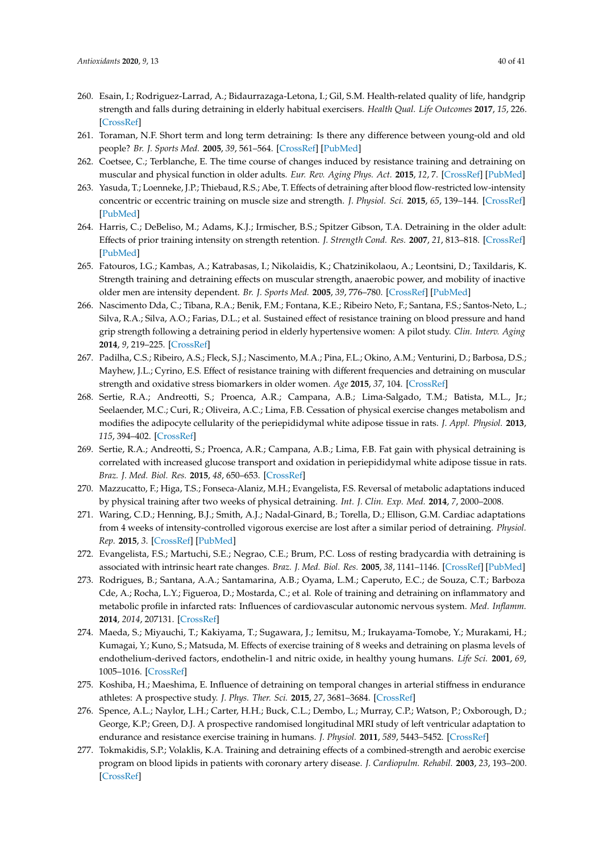- <span id="page-39-0"></span>260. Esain, I.; Rodriguez-Larrad, A.; Bidaurrazaga-Letona, I.; Gil, S.M. Health-related quality of life, handgrip strength and falls during detraining in elderly habitual exercisers. *Health Qual. Life Outcomes* **2017**, *15*, 226. [\[CrossRef\]](http://dx.doi.org/10.1186/s12955-017-0800-z)
- <span id="page-39-16"></span>261. Toraman, N.F. Short term and long term detraining: Is there any difference between young-old and old people? *Br. J. Sports Med.* **2005**, *39*, 561–564. [\[CrossRef\]](http://dx.doi.org/10.1136/bjsm.2004.015420) [\[PubMed\]](http://www.ncbi.nlm.nih.gov/pubmed/16046344)
- <span id="page-39-4"></span>262. Coetsee, C.; Terblanche, E. The time course of changes induced by resistance training and detraining on muscular and physical function in older adults. *Eur. Rev. Aging Phys. Act.* **2015**, *12*, 7. [\[CrossRef\]](http://dx.doi.org/10.1186/s11556-015-0153-8) [\[PubMed\]](http://www.ncbi.nlm.nih.gov/pubmed/26865871)
- <span id="page-39-3"></span>263. Yasuda, T.; Loenneke, J.P.; Thiebaud, R.S.; Abe, T. Effects of detraining after blood flow-restricted low-intensity concentric or eccentric training on muscle size and strength. *J. Physiol. Sci.* **2015**, *65*, 139–144. [\[CrossRef\]](http://dx.doi.org/10.1007/s12576-014-0345-4) [\[PubMed\]](http://www.ncbi.nlm.nih.gov/pubmed/25381173)
- <span id="page-39-2"></span>264. Harris, C.; DeBeliso, M.; Adams, K.J.; Irmischer, B.S.; Spitzer Gibson, T.A. Detraining in the older adult: Effects of prior training intensity on strength retention. *J. Strength Cond. Res.* **2007**, *21*, 813–818. [\[CrossRef\]](http://dx.doi.org/10.1519/00124278-200708000-00027) [\[PubMed\]](http://www.ncbi.nlm.nih.gov/pubmed/17685673)
- <span id="page-39-1"></span>265. Fatouros, I.G.; Kambas, A.; Katrabasas, I.; Nikolaidis, K.; Chatzinikolaou, A.; Leontsini, D.; Taxildaris, K. Strength training and detraining effects on muscular strength, anaerobic power, and mobility of inactive older men are intensity dependent. *Br. J. Sports Med.* **2005**, *39*, 776–780. [\[CrossRef\]](http://dx.doi.org/10.1136/bjsm.2005.019117) [\[PubMed\]](http://www.ncbi.nlm.nih.gov/pubmed/16183776)
- <span id="page-39-5"></span>266. Nascimento Dda, C.; Tibana, R.A.; Benik, F.M.; Fontana, K.E.; Ribeiro Neto, F.; Santana, F.S.; Santos-Neto, L.; Silva, R.A.; Silva, A.O.; Farias, D.L.; et al. Sustained effect of resistance training on blood pressure and hand grip strength following a detraining period in elderly hypertensive women: A pilot study. *Clin. Interv. Aging* **2014**, *9*, 219–225. [\[CrossRef\]](http://dx.doi.org/10.2147/CIA.S56058)
- <span id="page-39-6"></span>267. Padilha, C.S.; Ribeiro, A.S.; Fleck, S.J.; Nascimento, M.A.; Pina, F.L.; Okino, A.M.; Venturini, D.; Barbosa, D.S.; Mayhew, J.L.; Cyrino, E.S. Effect of resistance training with different frequencies and detraining on muscular strength and oxidative stress biomarkers in older women. *Age* **2015**, *37*, 104. [\[CrossRef\]](http://dx.doi.org/10.1007/s11357-015-9841-6)
- <span id="page-39-7"></span>268. Sertie, R.A.; Andreotti, S.; Proenca, A.R.; Campana, A.B.; Lima-Salgado, T.M.; Batista, M.L., Jr.; Seelaender, M.C.; Curi, R.; Oliveira, A.C.; Lima, F.B. Cessation of physical exercise changes metabolism and modifies the adipocyte cellularity of the periepididymal white adipose tissue in rats. *J. Appl. Physiol.* **2013**, *115*, 394–402. [\[CrossRef\]](http://dx.doi.org/10.1152/japplphysiol.01272.2012)
- <span id="page-39-9"></span>269. Sertie, R.A.; Andreotti, S.; Proenca, A.R.; Campana, A.B.; Lima, F.B. Fat gain with physical detraining is correlated with increased glucose transport and oxidation in periepididymal white adipose tissue in rats. *Braz. J. Med. Biol. Res.* **2015**, *48*, 650–653. [\[CrossRef\]](http://dx.doi.org/10.1590/1414-431x20154356)
- <span id="page-39-8"></span>270. Mazzucatto, F.; Higa, T.S.; Fonseca-Alaniz, M.H.; Evangelista, F.S. Reversal of metabolic adaptations induced by physical training after two weeks of physical detraining. *Int. J. Clin. Exp. Med.* **2014**, *7*, 2000–2008.
- <span id="page-39-10"></span>271. Waring, C.D.; Henning, B.J.; Smith, A.J.; Nadal-Ginard, B.; Torella, D.; Ellison, G.M. Cardiac adaptations from 4 weeks of intensity-controlled vigorous exercise are lost after a similar period of detraining. *Physiol. Rep.* **2015**, *3*. [\[CrossRef\]](http://dx.doi.org/10.14814/phy2.12302) [\[PubMed\]](http://www.ncbi.nlm.nih.gov/pubmed/25713328)
- <span id="page-39-11"></span>272. Evangelista, F.S.; Martuchi, S.E.; Negrao, C.E.; Brum, P.C. Loss of resting bradycardia with detraining is associated with intrinsic heart rate changes. *Braz. J. Med. Biol. Res.* **2005**, *38*, 1141–1146. [\[CrossRef\]](http://dx.doi.org/10.1590/S0100-879X2005000700018) [\[PubMed\]](http://www.ncbi.nlm.nih.gov/pubmed/16007286)
- <span id="page-39-12"></span>273. Rodrigues, B.; Santana, A.A.; Santamarina, A.B.; Oyama, L.M.; Caperuto, E.C.; de Souza, C.T.; Barboza Cde, A.; Rocha, L.Y.; Figueroa, D.; Mostarda, C.; et al. Role of training and detraining on inflammatory and metabolic profile in infarcted rats: Influences of cardiovascular autonomic nervous system. *Med. Inflamm.* **2014**, *2014*, 207131. [\[CrossRef\]](http://dx.doi.org/10.1155/2014/207131)
- <span id="page-39-13"></span>274. Maeda, S.; Miyauchi, T.; Kakiyama, T.; Sugawara, J.; Iemitsu, M.; Irukayama-Tomobe, Y.; Murakami, H.; Kumagai, Y.; Kuno, S.; Matsuda, M. Effects of exercise training of 8 weeks and detraining on plasma levels of endothelium-derived factors, endothelin-1 and nitric oxide, in healthy young humans. *Life Sci.* **2001**, *69*, 1005–1016. [\[CrossRef\]](http://dx.doi.org/10.1016/S0024-3205(01)01192-4)
- <span id="page-39-14"></span>275. Koshiba, H.; Maeshima, E. Influence of detraining on temporal changes in arterial stiffness in endurance athletes: A prospective study. *J. Phys. Ther. Sci.* **2015**, *27*, 3681–3684. [\[CrossRef\]](http://dx.doi.org/10.1589/jpts.27.3681)
- <span id="page-39-15"></span>276. Spence, A.L.; Naylor, L.H.; Carter, H.H.; Buck, C.L.; Dembo, L.; Murray, C.P.; Watson, P.; Oxborough, D.; George, K.P.; Green, D.J. A prospective randomised longitudinal MRI study of left ventricular adaptation to endurance and resistance exercise training in humans. *J. Physiol.* **2011**, *589*, 5443–5452. [\[CrossRef\]](http://dx.doi.org/10.1113/jphysiol.2011.217125)
- <span id="page-39-17"></span>277. Tokmakidis, S.P.; Volaklis, K.A. Training and detraining effects of a combined-strength and aerobic exercise program on blood lipids in patients with coronary artery disease. *J. Cardiopulm. Rehabil.* **2003**, *23*, 193–200. [\[CrossRef\]](http://dx.doi.org/10.1097/00008483-200305000-00006)